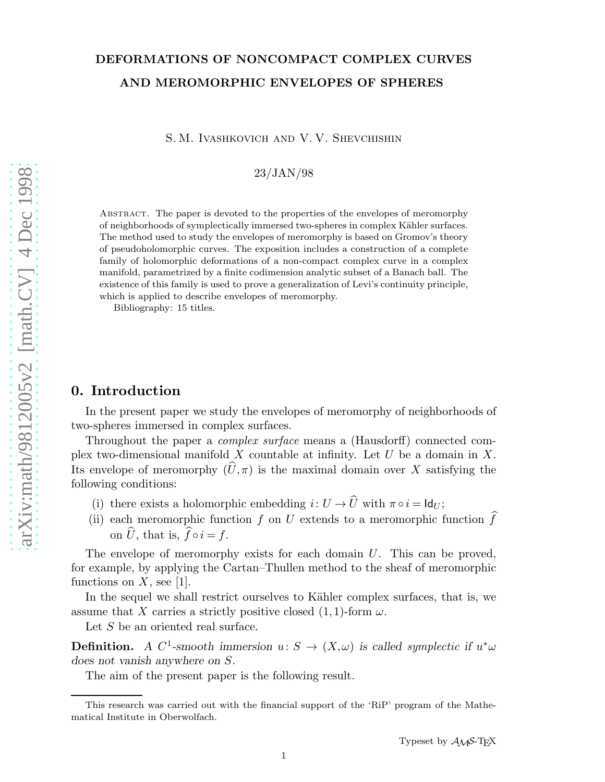# DEFORMATIONS OF NONCOMPACT COMPLEX CURVES AND MEROMORPHIC ENVELOPES OF SPHERES

S. M. Ivashkovich and V. V. Shevchishin

23/JAN/98

Abstract. The paper is devoted to the properties of the envelopes of meromorphy of neighborhoods of symplectically immersed two-spheres in complex Kähler surfaces. The method used to study the envelopes of meromorphy is based on Gromov's theory of pseudoholomorphic curves. The exposition includes a construction of a complete family of holomorphic deformations of a non-compact complex curve in a complex manifold, parametrized by a finite codimension analytic subset of a Banach ball. The existence of this family is used to prove a generalization of Levi's continuity principle, which is applied to describe envelopes of meromorphy.

Bibliography: 15 titles.

## 0. Introduction

In the present paper we study the envelopes of meromorphy of neighborhoods of two-spheres immersed in complex surfaces.

Throughout the paper a complex surface means a (Hausdorff) connected complex two-dimensional manifold  $X$  countable at infinity. Let  $U$  be a domain in  $X$ . Its envelope of meromorphy  $(\widehat{U}, \pi)$  is the maximal domain over X satisfying the following conditions:

- (i) there exists a holomorphic embedding  $i: U \to \widehat{U}$  with  $\pi \circ i = \mathsf{Id}_U$ ;
- (ii) each meromorphic function f on U extends to a meromorphic function  $\hat{f}$ on  $\hat{U}$ , that is,  $\hat{f} \circ i = f$ .

The envelope of meromorphy exists for each domain  $U$ . This can be proved, for example, by applying the Cartan–Thullen method to the sheaf of meromorphic functions on  $X$ , see [1].

In the sequel we shall restrict ourselves to Kähler complex surfaces, that is, we assume that X carries a strictly positive closed  $(1,1)$ -form  $\omega$ .

Let S be an oriented real surface.

**Definition.** A C<sup>1</sup>-smooth immersion  $u: S \to (X, \omega)$  is called symplectic if  $u^*\omega$ does not vanish anywhere on S.

The aim of the present paper is the following result.

This research was carried out with the financial support of the 'RiP' program of the Mathematical Institute in Oberwolfach.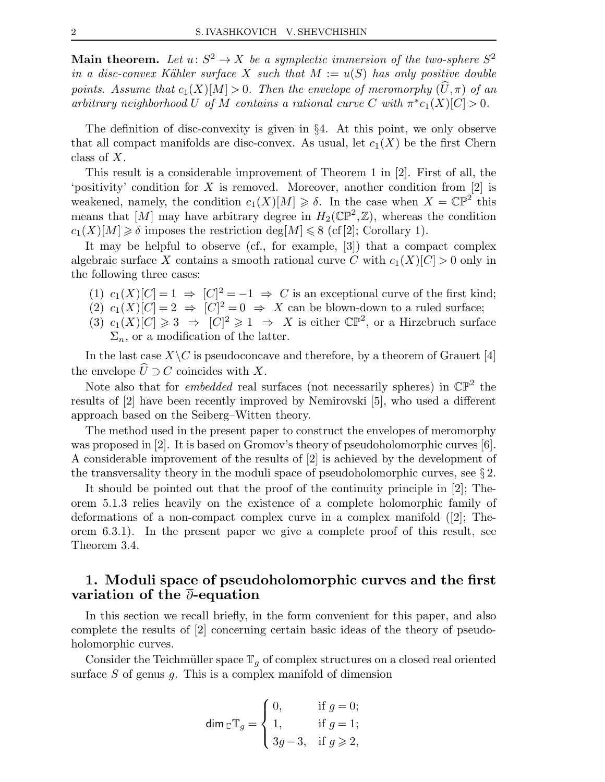Main theorem. Let  $u: S^2 \to X$  be a symplectic immersion of the two-sphere  $S^2$ in a disc-convex Kähler surface X such that  $M := u(S)$  has only positive double points. Assume that  $c_1(X)[M] > 0$ . Then the envelope of meromorphy  $(\widehat{U}, \pi)$  of an arbitrary neighborhood U of M contains a rational curve C with  $\pi^*c_1(X)[C] > 0$ .

The definition of disc-convexity is given in §4. At this point, we only observe that all compact manifolds are disc-convex. As usual, let  $c_1(X)$  be the first Chern class of X.

This result is a considerable improvement of Theorem 1 in [2]. First of all, the 'positivity' condition for  $X$  is removed. Moreover, another condition from [2] is weakened, namely, the condition  $c_1(X)[M] \geq \delta$ . In the case when  $X = \mathbb{CP}^2$  this means that  $[M]$  may have arbitrary degree in  $H_2(\mathbb{CP}^2, \mathbb{Z})$ , whereas the condition  $c_1(X)[M] \geq \delta$  imposes the restriction deg[M]  $\leq 8$  (cf [2]; Corollary 1).

It may be helpful to observe (cf., for example, [3]) that a compact complex algebraic surface X contains a smooth rational curve C with  $c_1(X)[C] > 0$  only in the following three cases:

- (1)  $c_1(X)[C] = 1 \Rightarrow [C]^2 = -1 \Rightarrow C$  is an exceptional curve of the first kind;
- (2)  $c_1(X)[C] = 2 \Rightarrow [C]^2 = 0 \Rightarrow X$  can be blown-down to a ruled surface;
- (3)  $c_1(X)[C] \geq 3 \Rightarrow [C]^2 \geq 1 \Rightarrow X$  is either  $\mathbb{CP}^2$ , or a Hirzebruch surface  $\Sigma_n$ , or a modification of the latter.

In the last case  $X\setminus C$  is pseudoconcave and therefore, by a theorem of Grauert [4] the envelope  $\hat{U} \supset C$  coincides with X.

Note also that for *embedded* real surfaces (not necessarily spheres) in  $\mathbb{CP}^2$  the results of [2] have been recently improved by Nemirovski [5], who used a different approach based on the Seiberg–Witten theory.

The method used in the present paper to construct the envelopes of meromorphy was proposed in [2]. It is based on Gromov's theory of pseudoholomorphic curves [6]. A considerable improvement of the results of [2] is achieved by the development of the transversality theory in the moduli space of pseudoholomorphic curves, see  $\S 2$ .

It should be pointed out that the proof of the continuity principle in [2]; Theorem 5.1.3 relies heavily on the existence of a complete holomorphic family of deformations of a non-compact complex curve in a complex manifold ([2]; Theorem 6.3.1). In the present paper we give a complete proof of this result, see Theorem 3.4.

# 1. Moduli space of pseudoholomorphic curves and the first variation of the ∂-equation

In this section we recall briefly, in the form convenient for this paper, and also complete the results of [2] concerning certain basic ideas of the theory of pseudoholomorphic curves.

Consider the Teichmüller space  $\mathbb{T}_q$  of complex structures on a closed real oriented surface  $S$  of genus  $g$ . This is a complex manifold of dimension

$$
\dim_{\mathbb{C}} \mathbb{T}_g = \begin{cases} 0, & \text{if } g = 0; \\ 1, & \text{if } g = 1; \\ 3g - 3, & \text{if } g \ge 2, \end{cases}
$$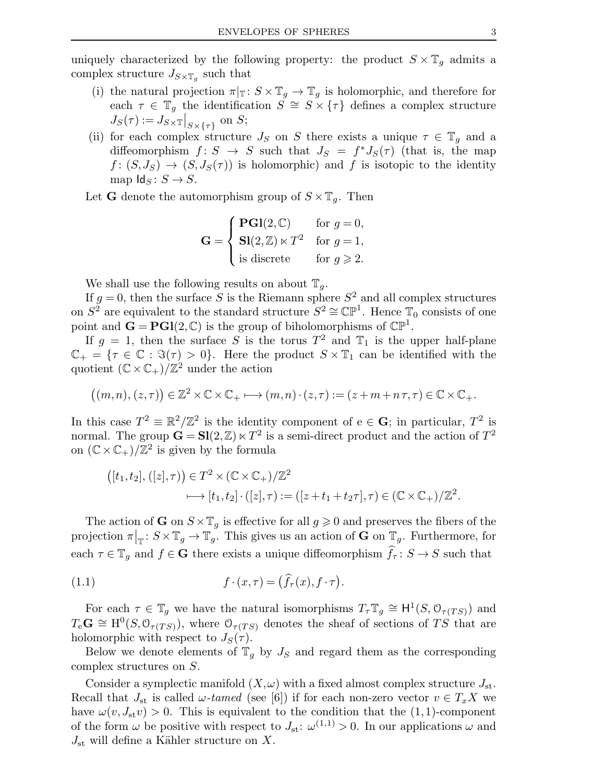uniquely characterized by the following property: the product  $S \times \mathbb{T}_g$  admits a complex structure  $J_{S\times\mathbb{T}_g}$  such that

- (i) the natural projection  $\pi|_{\mathbb{T}}: S \times \mathbb{T}_g \to \mathbb{T}_g$  is holomorphic, and therefore for each  $\tau \in \mathbb{T}_g$  the identification  $\tilde{S} \cong S \times {\tau}$  defines a complex structure  $J_S(\tau) := J_{S \times \mathbb{T}} \big|_{S \times \{\tau\}}$  on S;
- (ii) for each complex structure  $J_S$  on S there exists a unique  $\tau \in \mathbb{T}_q$  and a diffeomorphism  $f: S \to S$  such that  $J_S = f^* J_S(\tau)$  (that is, the map  $f: (S, J_S) \to (S, J_S(\tau))$  is holomorphic) and f is isotopic to the identity map  $\text{Id}_S : S \to S$ .

Let **G** denote the automorphism group of  $S \times \mathbb{T}_q$ . Then

$$
\mathbf{G} = \begin{cases} \mathbf{PGI}(2,\mathbb{C}) & \text{for } g = 0, \\ \mathbf{SI}(2,\mathbb{Z}) \ltimes T^2 & \text{for } g = 1, \\ \text{is discrete} & \text{for } g \geqslant 2. \end{cases}
$$

We shall use the following results on about  $\mathbb{T}_q$ .

If  $g = 0$ , then the surface S is the Riemann sphere  $S<sup>2</sup>$  and all complex structures on  $S^2$  are equivalent to the standard structure  $S^2 \cong \mathbb{CP}^1$ . Hence  $\mathbb{T}_0$  consists of one point and  $\mathbf{G} = \mathbf{PGl}(2, \mathbb{C})$  is the group of biholomorphisms of  $\mathbb{CP}^1$ .

If  $g = 1$ , then the surface S is the torus  $T^2$  and  $\mathbb{T}_1$  is the upper half-plane  $\mathbb{C}_+ = \{\tau \in \mathbb{C} : \Im(\tau) > 0\}.$  Here the product  $S \times \mathbb{T}_1$  can be identified with the quotient  $(\mathbb{C} \times \mathbb{C}_+)/\mathbb{Z}^2$  under the action

$$
\big((m, n), (z, \tau)\big) \in \mathbb{Z}^2 \times \mathbb{C} \times \mathbb{C}_+ \longmapsto (m, n) \cdot (z, \tau) := (z + m + n\,\tau, \tau) \in \mathbb{C} \times \mathbb{C}_+.
$$

In this case  $T^2 \equiv \mathbb{R}^2/\mathbb{Z}^2$  is the identity component of  $e \in \mathbf{G}$ ; in particular,  $T^2$  is normal. The group  $\mathbf{G} = \mathbf{S} \mathbf{l}(2, \mathbb{Z}) \ltimes T^2$  is a semi-direct product and the action of  $T^2$ on  $(\mathbb{C} \times \mathbb{C}_+)/\mathbb{Z}^2$  is given by the formula

$$
([t_1, t_2], ([z], \tau)) \in T^2 \times (\mathbb{C} \times \mathbb{C}_+)/\mathbb{Z}^2
$$
  

$$
\longmapsto [t_1, t_2] \cdot ([z], \tau) := ([z + t_1 + t_2 \tau], \tau) \in (\mathbb{C} \times \mathbb{C}_+)/\mathbb{Z}^2.
$$

The action of **G** on  $S \times \mathbb{T}_q$  is effective for all  $g \geq 0$  and preserves the fibers of the projection  $\pi|_{\mathbb{T}}: S \times \mathbb{T}_g \to \mathbb{T}_g$ . This gives us an action of **G** on  $\mathbb{T}_g$ . Furthermore, for each  $\tau \in \mathbb{T}_q$  and  $f \in \mathbf{G}$  there exists a unique diffeomorphism  $\hat{f}_{\tau} : S \to S$  such that

(1.1) 
$$
f \cdot (x, \tau) = (\widehat{f}_{\tau}(x), f \cdot \tau).
$$

For each  $\tau \in \mathbb{T}_g$  we have the natural isomorphisms  $T_{\tau} \mathbb{T}_g \cong H^1(S, \mathcal{O}_{\tau(TS)})$  and  $T_e \mathbf{G} \cong \mathrm{H}^0(S, \mathcal{O}_{\tau(TS)})$ , where  $\mathcal{O}_{\tau(TS)}$  denotes the sheaf of sections of TS that are holomorphic with respect to  $J_S(\tau)$ .

Below we denote elements of  $\mathbb{T}_q$  by  $J_S$  and regard them as the corresponding complex structures on S.

Consider a symplectic manifold  $(X,\omega)$  with a fixed almost complex structure  $J_{st}$ . Recall that  $J_{st}$  is called  $\omega$ -tamed (see [6]) if for each non-zero vector  $v \in T_xX$  we have  $\omega(v, J_{st}v) > 0$ . This is equivalent to the condition that the (1,1)-component of the form  $\omega$  be positive with respect to  $J_{st}: \omega^{(1,1)} > 0$ . In our applications  $\omega$  and  $J_{\rm st}$  will define a Kähler structure on X.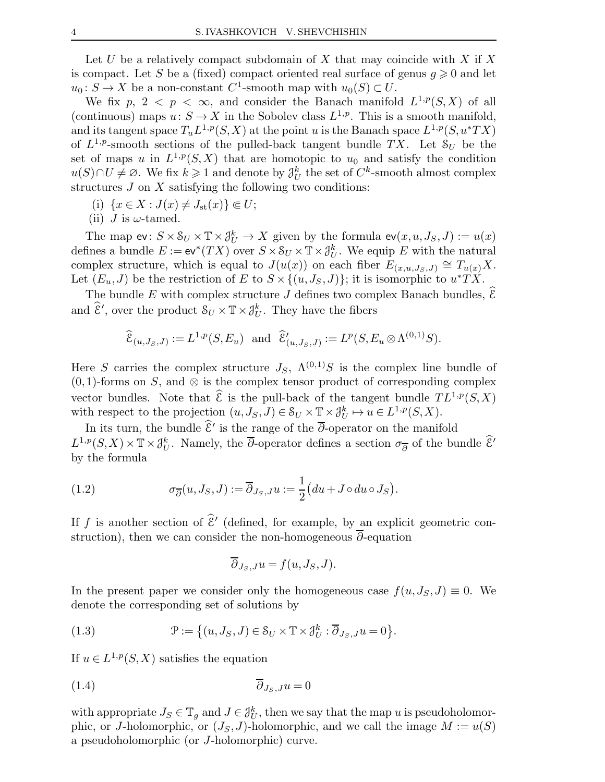Let U be a relatively compact subdomain of X that may coincide with X if X is compact. Let S be a (fixed) compact oriented real surface of genus  $g \geqslant 0$  and let  $u_0: S \to X$  be a non-constant C<sup>1</sup>-smooth map with  $u_0(S) \subset U$ .

We fix  $p, 2 < p < \infty$ , and consider the Banach manifold  $L^{1,p}(S,X)$  of all (continuous) maps  $u: S \to X$  in the Sobolev class  $L^{1,p}$ . This is a smooth manifold, and its tangent space  $T_u L^{1,p}(S,X)$  at the point u is the Banach space  $L^{1,p}(S, u^*TX)$ of  $L^{1,p}$ -smooth sections of the pulled-back tangent bundle TX. Let  $S_U$  be the set of maps u in  $L^{1,p}(S,X)$  that are homotopic to  $u_0$  and satisfy the condition  $u(S) \cap U \neq \emptyset$ . We fix  $k \geq 1$  and denote by  $\mathcal{J}_U^k$  the set of  $C^k$ -smooth almost complex structures  $J$  on  $X$  satisfying the following two conditions:

- (i)  $\{x \in X : J(x) \neq J_{\rm st}(x)\} \Subset U;$
- (ii) *J* is  $\omega$ -tamed.

The map  $ev: S \times S_U \times T \times \mathcal{J}_U^k \to X$  given by the formula  $ev(x, u, J_S, J) := u(x)$ defines a bundle  $E := ev^*(TX)$  over  $S \times S_U \times T \times \mathcal{J}_U^k$ . We equip E with the natural complex structure, which is equal to  $J(u(x))$  on each fiber  $E_{(x,u,J_S,J)} \cong T_{u(x)}X$ . Let  $(E_u, J)$  be the restriction of E to  $S \times \{(u, J_S, J)\}$ ; it is isomorphic to  $u^*TX$ .

The bundle E with complex structure J defines two complex Banach bundles,  $\mathcal{E}$ and  $\widehat{\mathcal{E}}'$ , over the product  $\mathcal{S}_U \times \mathbb{T} \times \mathcal{J}_U^k$ . They have the fibers

$$
\widehat{\mathcal{E}}_{(u,J_S,J)} := L^{1,p}(S,E_u)
$$
 and  $\widehat{\mathcal{E}}'_{(u,J_S,J)} := L^p(S,E_u \otimes \Lambda^{(0,1)}S).$ 

Here S carries the complex structure  $J_S$ ,  $\Lambda^{(0,1)}S$  is the complex line bundle of  $(0,1)$ -forms on S, and ⊗ is the complex tensor product of corresponding complex vector bundles. Note that  $\hat{\mathcal{E}}$  is the pull-back of the tangent bundle  $TL^{1,p}(S,X)$ with respect to the projection  $(u, J_S, J) \in \mathcal{S}_U \times \mathbb{T} \times \mathcal{J}_U^k \mapsto u \in L^{1,p}(S, X)$ .

In its turn, the bundle  $\hat{\mathcal{E}}'$  is the range of the  $\overline{\partial}$ -operator on the manifold  $L^{1,p}(S,X) \times \mathbb{T} \times \mathcal{J}_{U}^{k}$ . Namely, the  $\overline{\partial}$ -operator defines a section  $\sigma_{\overline{\partial}}$  of the bundle  $\widehat{\mathcal{E}}'$ by the formula

(1.2) 
$$
\sigma_{\overline{\partial}}(u, J_S, J) := \overline{\partial}_{J_S, J} u := \frac{1}{2} (du + J \circ du \circ J_S).
$$

If f is another section of  $\mathcal{E}'$  (defined, for example, by an explicit geometric construction), then we can consider the non-homogeneous  $\overline{\partial}$ -equation

$$
\overline{\partial}_{J_S,J} u = f(u, J_S, J).
$$

In the present paper we consider only the homogeneous case  $f(u, J<sub>S</sub>, J) \equiv 0$ . We denote the corresponding set of solutions by

(1.3) 
$$
\mathcal{P} := \left\{ (u, J_S, J) \in \mathcal{S}_U \times \mathbb{T} \times \mathcal{J}_U^k : \overline{\partial}_{J_S, J} u = 0 \right\}.
$$

If  $u \in L^{1,p}(S,X)$  satisfies the equation

$$
\overline{\partial}_{J_S, J} u = 0
$$

with appropriate  $J_S \in \mathbb{T}_g$  and  $J \in \mathcal{J}_U^k$ , then we say that the map u is pseudoholomorphic, or J-holomorphic, or  $(J_S, J)$ -holomorphic, and we call the image  $M := u(S)$ a pseudoholomorphic (or J-holomorphic) curve.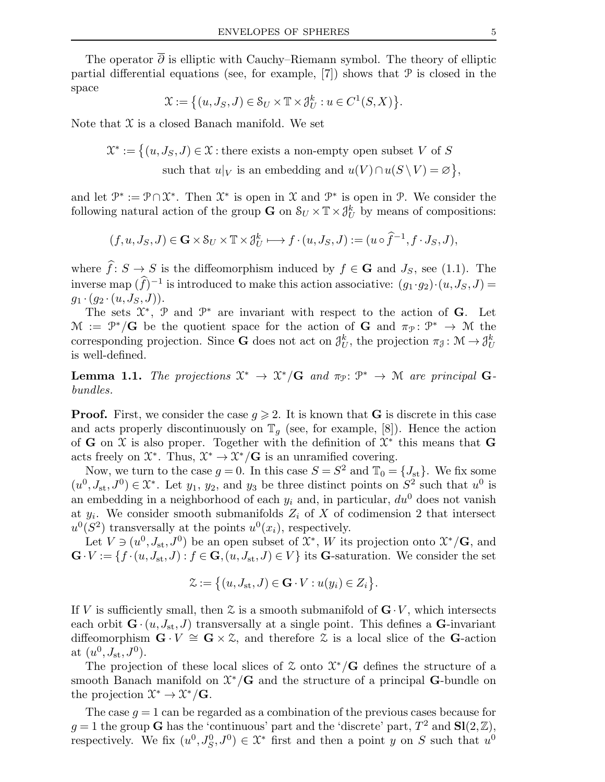The operator  $\overline{\partial}$  is elliptic with Cauchy–Riemann symbol. The theory of elliptic partial differential equations (see, for example,  $[7]$ ) shows that P is closed in the space

$$
\mathcal{X} := \big\{ (u, J_S, J) \in \mathcal{S}_U \times \mathbb{T} \times \mathcal{J}_U^k : u \in C^1(S, X) \big\}.
$$

Note that  $\mathfrak X$  is a closed Banach manifold. We set

 $\mathcal{X}^* := \big\{ (u, J_S, J) \in \mathcal{X} : \text{there exists a non-empty open subset } V \text{ of } S \big\}$ such that  $u|_V$  is an embedding and  $u(V) \cap u(S \setminus V) = \varnothing$ ,

and let  $\mathcal{P}^* := \mathcal{P} \cap \mathcal{X}^*$ . Then  $\mathcal{X}^*$  is open in  $\mathcal{X}$  and  $\mathcal{P}^*$  is open in  $\mathcal{P}$ . We consider the following natural action of the group **G** on  $S_U \times T \times \mathcal{J}_U^k$  by means of compositions:

$$
(f, u, J_S, J) \in \mathbf{G} \times \mathcal{S}_U \times \mathbb{T} \times \mathcal{J}_U^k \longmapsto f \cdot (u, J_S, J) := (u \circ \hat{f}^{-1}, f \cdot J_S, J),
$$

where  $\hat{f}: S \to S$  is the diffeomorphism induced by  $f \in G$  and  $J_S$ , see (1.1). The inverse map  $(f)^{-1}$  is introduced to make this action associative:  $(g_1 \cdot g_2) \cdot (u, J_S, J) =$  $g_1 \cdot (g_2 \cdot (u, J_S, J)).$ 

The sets  $\mathfrak{X}^*$ ,  $\mathfrak{P}$  and  $\mathfrak{P}^*$  are invariant with respect to the action of **G**. Let  $\mathcal{M} := \mathcal{P}^*/\mathbf{G}$  be the quotient space for the action of  $\mathbf{G}$  and  $\pi_{\mathcal{P}}: \mathcal{P}^* \to \mathcal{M}$  the corresponding projection. Since **G** does not act on  $\mathcal{J}_U^k$ , the projection  $\pi_{\mathcal{J}} \colon \mathcal{M} \to \mathcal{J}_U^k$ is well-defined.

**Lemma 1.1.** The projections  $\mathfrak{X}^* \to \mathfrak{X}^*/\mathbf{G}$  and  $\pi_{\mathfrak{P}} \colon \mathfrak{P}^* \to \mathfrak{M}$  are principal Gbundles.

**Proof.** First, we consider the case  $g \ge 2$ . It is known that **G** is discrete in this case and acts properly discontinuously on  $\mathbb{T}_q$  (see, for example, [8]). Hence the action of G on X is also proper. Together with the definition of  $\mathfrak{X}^*$  this means that G acts freely on  $\mathfrak{X}^*$ . Thus,  $\mathfrak{X}^* \to \mathfrak{X}^*/\mathbf{G}$  is an unramified covering.

Now, we turn to the case  $g = 0$ . In this case  $S = S^2$  and  $\mathbb{T}_0 = \{J_{st}\}\.$  We fix some  $(u^0, J_{st}, J^0) \in \mathfrak{X}^*$ . Let  $y_1, y_2$ , and  $y_3$  be three distinct points on  $S^2$  such that  $u^0$  is an embedding in a neighborhood of each  $y_i$  and, in particular,  $du^0$  does not vanish at  $y_i$ . We consider smooth submanifolds  $Z_i$  of X of codimension 2 that intersect  $u^0(S^2)$  transversally at the points  $u^0(x_i)$ , respectively.

Let  $V \ni (u^0, J_{st}, J^0)$  be an open subset of  $\mathfrak{X}^*, W$  its projection onto  $\mathfrak{X}^*/\mathbf{G}$ , and  $\mathbf{G}\cdot V := \{f\cdot (u, J_{\rm st}, J) : f \in \mathbf{G}, (u, J_{\rm st}, J) \in V\}$  its G-saturation. We consider the set

$$
\mathcal{Z} := \big\{ (u, J_{\mathrm{st}}, J) \in \mathbf{G} \cdot V : u(y_i) \in Z_i \big\}.
$$

If V is sufficiently small, then  $\mathfrak X$  is a smooth submanifold of  $\mathbf G\cdot V$ , which intersects each orbit  $\mathbf{G} \cdot (u, J_{\text{st}}, J)$  transversally at a single point. This defines a  $\mathbf{G}$ -invariant diffeomorphism  $\mathbf{G} \cdot V \cong \mathbf{G} \times \mathcal{Z}$ , and therefore  $\mathcal{Z}$  is a local slice of the  $\mathbf{G}$ -action at  $(u^0, J_{\text{st}}, J^0)$ .

The projection of these local slices of  $\mathfrak X$  onto  $\mathfrak X^*/\mathbf G$  defines the structure of a smooth Banach manifold on  $\mathfrak{X}^*/\mathbf{G}$  and the structure of a principal G-bundle on the projection  $\mathfrak{X}^* \to \mathfrak{X}^*/\mathbf{G}$ .

The case  $q = 1$  can be regarded as a combination of the previous cases because for  $g = 1$  the group G has the 'continuous' part and the 'discrete' part,  $T^2$  and  $\mathbf{Sl}(2,\mathbb{Z})$ , respectively. We fix  $(u^0, J_S^0, J^0) \in \mathfrak{X}^*$  first and then a point y on S such that  $u^0$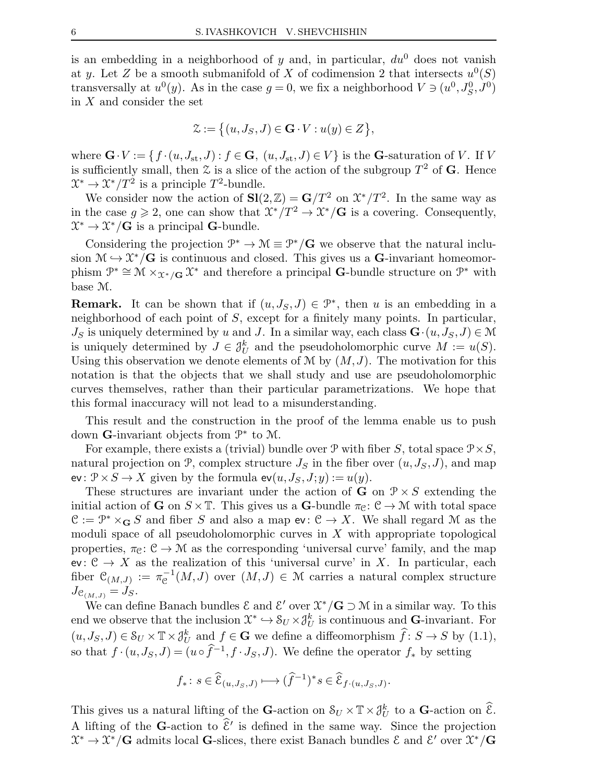is an embedding in a neighborhood of y and, in particular,  $du^0$  does not vanish at y. Let Z be a smooth submanifold of X of codimension 2 that intersects  $u^0(S)$ transversally at  $u^0(y)$ . As in the case  $g = 0$ , we fix a neighborhood  $V \ni (u^0, J_S^0, J^0)$ in X and consider the set

$$
\mathcal{Z} := \big\{ (u, J_S, J) \in \mathbf{G} \cdot V : u(y) \in Z \big\},\
$$

where  $\mathbf{G} \cdot V := \{f \cdot (u, J_{st}, J) : f \in \mathbf{G}, (u, J_{st}, J) \in V\}$  is the  $\mathbf{G}$ -saturation of V. If V is sufficiently small, then  $\mathfrak X$  is a slice of the action of the subgroup  $T^2$  of G. Hence  $\mathfrak{X}^* \to \mathfrak{X}^*/T^2$  is a principle  $T^2$ -bundle.

We consider now the action of  $\mathbf{SI}(2,\mathbb{Z}) = \mathbf{G}/T^2$  on  $\mathfrak{X}^*/T^2$ . In the same way as in the case  $g \geqslant 2$ , one can show that  $\mathfrak{X}^*/T^2 \to \mathfrak{X}^*/G$  is a covering. Consequently,  $\mathfrak{X}^* \to \mathfrak{X}^*/\mathbf{G}$  is a principal **G**-bundle.

Considering the projection  $\mathcal{P}^* \to \mathcal{M} \equiv \mathcal{P}^*/\mathbf{G}$  we observe that the natural inclusion  $\mathcal{M} \hookrightarrow \mathcal{X}^*/\mathbf{G}$  is continuous and closed. This gives us a G-invariant homeomorphism  $\mathcal{P}^* \cong \mathcal{M} \times_{\mathcal{X}^*/\mathbf{G}} \mathcal{X}^*$  and therefore a principal G-bundle structure on  $\mathcal{P}^*$  with base M.

**Remark.** It can be shown that if  $(u, J_S, J) \in \mathcal{P}^*$ , then u is an embedding in a neighborhood of each point of  $S$ , except for a finitely many points. In particular,  $J_S$  is uniquely determined by u and J. In a similar way, each class  $\mathbf{G} \cdot (u, J_S, J) \in \mathcal{M}$ is uniquely determined by  $J \in \mathcal{J}_U^k$  and the pseudoholomorphic curve  $M := u(S)$ . Using this observation we denote elements of M by  $(M, J)$ . The motivation for this notation is that the objects that we shall study and use are pseudoholomorphic curves themselves, rather than their particular parametrizations. We hope that this formal inaccuracy will not lead to a misunderstanding.

This result and the construction in the proof of the lemma enable us to push down G-invariant objects from  $\mathcal{P}^*$  to M.

For example, there exists a (trivial) bundle over  $\mathcal P$  with fiber S, total space  $\mathcal P \times S$ , natural projection on  $P$ , complex structure  $J_S$  in the fiber over  $(u, J_S, J)$ , and map ev:  $\mathcal{P} \times S \to X$  given by the formula  $ev(u, J_S, J; y) := u(y)$ .

These structures are invariant under the action of **G** on  $\mathcal{P} \times S$  extending the initial action of **G** on  $S \times \mathbb{T}$ . This gives us a **G**-bundle  $\pi_{\mathcal{C}}: \mathcal{C} \to \mathcal{M}$  with total space  $\mathcal{C} := \mathcal{P}^* \times_{\mathbf{G}} S$  and fiber S and also a map  $ev : \mathcal{C} \to X$ . We shall regard M as the moduli space of all pseudoholomorphic curves in  $X$  with appropriate topological properties,  $\pi_{\mathcal{C}}: \mathcal{C} \to \mathcal{M}$  as the corresponding 'universal curve' family, and the map ev:  $C \rightarrow X$  as the realization of this 'universal curve' in X. In particular, each fiber  $\mathcal{C}_{(M,J)} := \pi_{\mathcal{C}}^{-1}(M, J)$  over  $(M, J) \in \mathcal{M}$  carries a natural complex structure  $J_{\mathcal{C}_{(M,J)}} = J_S.$ 

We can define Banach bundles  $\mathcal E$  and  $\mathcal E'$  over  $\mathcal X^*/\mathbf G\supset\mathcal M$  in a similar way. To this end we observe that the inclusion  $\mathfrak{X}^* \hookrightarrow \mathcal{S}_U \times \mathcal{J}_U^k$  is continuous and G-invariant. For  $(u, J_S, J) \in \mathcal{S}_U \times \mathbb{T} \times \mathcal{J}_U^k$  and  $f \in \mathbf{G}$  we define a diffeomorphism  $\hat{f}: S \to S$  by  $(1.1)$ , so that  $f \cdot (u, J_S, J) = (u \circ \hat{f}^{-1}, f \cdot J_S, J)$ . We define the operator  $f_*$  by setting

$$
f_*\colon s\in \widehat{\mathcal{E}}_{(u,J_S,J)}\longmapsto (\widehat{f}^{-1})^*s\in \widehat{\mathcal{E}}_{f\cdot (u,J_S,J)}.
$$

This gives us a natural lifting of the **G**-action on  $\mathcal{S}_U \times \mathbb{T} \times \mathcal{J}_U^k$  to a **G**-action on  $\widehat{\mathcal{E}}$ . A lifting of the G-action to  $\hat{\mathcal{E}}'$  is defined in the same way. Since the projection  $\mathfrak{X}^* \to \mathfrak{X}^*/\mathbf{G}$  admits local G-slices, there exist Banach bundles  $\mathcal{E}$  and  $\mathcal{E}'$  over  $\mathfrak{X}^*/\mathbf{G}$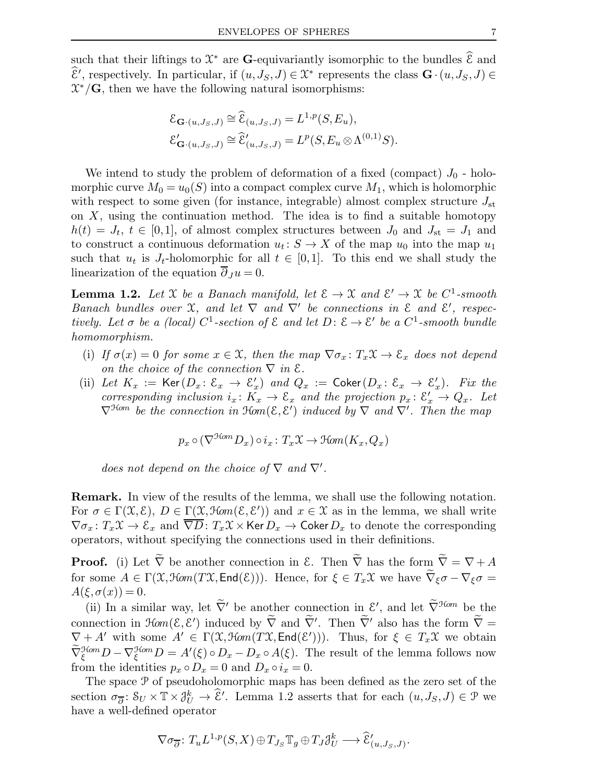such that their liftings to  $\mathfrak{X}^*$  are **G**-equivariantly isomorphic to the bundles  $\widehat{\mathcal{E}}$  and  $\hat{\mathcal{E}}'$ , respectively. In particular, if  $(u, J_S, J) \in \mathcal{X}^*$  represents the class  $\mathbf{G} \cdot (u, J_S, J) \in$  $\mathcal{X}^*/\mathbf{G}$ , then we have the following natural isomorphisms:

$$
\mathcal{E}_{\mathbf{G}\cdot(u,J_S,J)} \cong \widehat{\mathcal{E}}_{(u,J_S,J)} = L^{1,p}(S, E_u),
$$
  

$$
\mathcal{E}'_{\mathbf{G}\cdot(u,J_S,J)} \cong \widehat{\mathcal{E}}'_{(u,J_S,J)} = L^p(S, E_u \otimes \Lambda^{(0,1)}S).
$$

We intend to study the problem of deformation of a fixed (compact)  $J_0$  - holomorphic curve  $M_0 = u_0(S)$  into a compact complex curve  $M_1$ , which is holomorphic with respect to some given (for instance, integrable) almost complex structure  $J_{st}$ on  $X$ , using the continuation method. The idea is to find a suitable homotopy  $h(t) = J_t, t \in [0,1],$  of almost complex structures between  $J_0$  and  $J_{st} = J_1$  and to construct a continuous deformation  $u_t: S \to X$  of the map  $u_0$  into the map  $u_1$ such that  $u_t$  is  $J_t$ -holomorphic for all  $t \in [0,1]$ . To this end we shall study the linearization of the equation  $\partial_J u = 0$ .

**Lemma 1.2.** Let X be a Banach manifold, let  $\mathcal{E} \to \mathcal{X}$  and  $\mathcal{E}' \to \mathcal{X}$  be  $C^1$ -smooth Banach bundles over  $\mathfrak X$ , and let  $\nabla$  and  $\nabla'$  be connections in  $\mathfrak E$  and  $\mathfrak E'$ , respectively. Let  $\sigma$  be a (local) C<sup>1</sup>-section of  $\mathcal E$  and let  $D\colon \mathcal E\to \mathcal E'$  be a C<sup>1</sup>-smooth bundle homomorphism.

- (i) If  $\sigma(x) = 0$  for some  $x \in \mathcal{X}$ , then the map  $\nabla \sigma_x : T_x\mathcal{X} \to \mathcal{E}_x$  does not depend on the choice of the connection  $\nabla$  in  $\mathcal{E}.$
- (ii) Let  $K_x := \text{Ker}(D_x \colon \mathcal{E}_x \to \mathcal{E}'_x)$  and  $Q_x := \text{Coker}(D_x \colon \mathcal{E}_x \to \mathcal{E}'_x)$ . Fix the corresponding inclusion  $i_x \colon K_x \to \mathcal{E}_x$  and the projection  $p_x \colon \mathcal{E}'_x \to Q_x$ . Let  $\nabla^{\mathcal{H}om}$  be the connection in  $\mathcal{H}om(\mathcal{E}, \mathcal{E}')$  induced by  $\nabla$  and  $\nabla'$ . Then the map

$$
p_x \circ (\nabla^{\mathcal{H}om} D_x) \circ i_x \colon T_x \mathcal{X} \to \mathcal{H}om(K_x, Q_x)
$$

does not depend on the choice of  $\nabla$  and  $\nabla'$ .

Remark. In view of the results of the lemma, we shall use the following notation. For  $\sigma \in \Gamma(\mathfrak{X}, \mathcal{E}), D \in \Gamma(\mathfrak{X}, \mathfrak{Hom}(\mathcal{E}, \mathcal{E}'))$  and  $x \in \mathfrak{X}$  as in the lemma, we shall write  $\nabla \sigma_x \colon T_x \mathfrak{X} \to \mathcal{E}_x$  and  $\overline{\nabla D} \colon T_x \mathfrak{X} \times \text{Ker} D_x \to \text{Coker} D_x$  to denote the corresponding operators, without specifying the connections used in their definitions.

**Proof.** (i) Let  $\tilde{\nabla}$  be another connection in  $\mathcal{E}$ . Then  $\tilde{\nabla}$  has the form  $\tilde{\nabla} = \nabla + A$ for some  $A \in \Gamma(\mathfrak{X}, \mathfrak{H}om(T\mathfrak{X}, \mathsf{End}(\mathcal{E})))$ . Hence, for  $\xi \in T_x\mathfrak{X}$  we have  $\widetilde{\nabla}_{\xi}\sigma - \nabla_{\xi}\sigma =$  $A(\xi, \sigma(x)) = 0.$ 

(ii) In a similar way, let  $\tilde{\nabla}'$  be another connection in  $\mathcal{E}'$ , and let  $\tilde{\nabla}^{\text{Hom}}$  be the connection in  $\mathcal{H}om(\mathcal{E}, \mathcal{E}')$  induced by  $\overline{V}$  and  $\overline{V}'$ . Then  $\overline{V}'$  also has the form  $\overline{V}$  =  $\nabla + A'$  with some  $A' \in \Gamma(\mathfrak{X}, \mathfrak{Hom}(T\mathfrak{X}, \mathsf{End}(\mathcal{E}')))$ . Thus, for  $\xi \in T_x\mathfrak{X}$  we obtain  $\widetilde{\nabla}_{\xi}^{\mathcal{H}om}D-\nabla_{\xi}^{\mathcal{H}om}D=A'(\xi)\circ D_{x}-D_{x}\circ A(\xi).$  The result of the lemma follows now from the identities  $p_x \circ D_x = 0$  and  $D_x \circ i_x = 0$ .

The space P of pseudoholomorphic maps has been defined as the zero set of the section  $\sigma_{\overline{\partial}}\colon \mathcal{S}_U \times \mathbb{T} \times \mathcal{J}_U^k \to \hat{\mathcal{E}}'$ . Lemma 1.2 asserts that for each  $(u, J_S, J) \in \mathcal{P}$  we have a well-defined operator

$$
\nabla \sigma_{\overline{\partial}} \colon T_u L^{1,p}(S,X) \oplus T_{J_S} \mathbb{T}_g \oplus T_J \mathcal{J}_U^k \longrightarrow \widehat{\mathcal{E}}'_{(u,J_S,J)}.
$$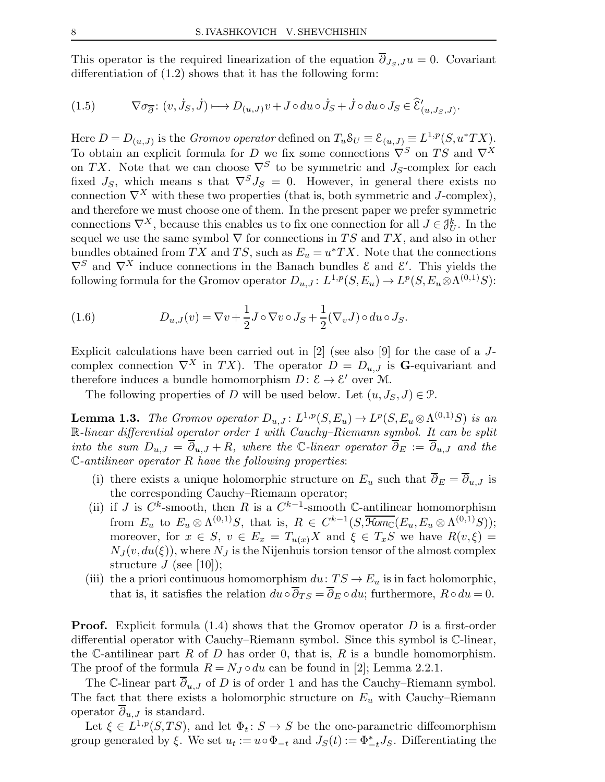This operator is the required linearization of the equation  $\overline{\partial}_{J_S, J} u = 0$ . Covariant differentiation of (1.2) shows that it has the following form:

(1.5) 
$$
\nabla \sigma_{\overline{\partial}} \colon (v, \dot{J}_S, \dot{J}) \longmapsto D_{(u, J)}v + J \circ du \circ \dot{J}_S + \dot{J} \circ du \circ J_S \in \widehat{\mathcal{E}}'_{(u, J_S, J)}.
$$

Here  $D = D_{(u,J)}$  is the *Gromov operator* defined on  $T_u \mathcal{S}_U \equiv \mathcal{E}_{(u,J)} \equiv L^{1,p}(S, u^*TX)$ . To obtain an explicit formula for D we fix some connections  $\nabla^S$  on TS and  $\nabla^X$ on TX. Note that we can choose  $\nabla^S$  to be symmetric and J<sub>S</sub>-complex for each fixed  $J_S$ , which means s that  $\nabla^S J_S = 0$ . However, in general there exists no connection  $\nabla^X$  with these two properties (that is, both symmetric and J-complex), and therefore we must choose one of them. In the present paper we prefer symmetric connections  $\nabla^X$ , because this enables us to fix one connection for all  $J \in \mathcal{J}_U^k$ . In the sequel we use the same symbol  $\nabla$  for connections in TS and TX, and also in other bundles obtained from TX and TS, such as  $E_u = u^*TX$ . Note that the connections  $\nabla^S$  and  $\nabla^X$  induce connections in the Banach bundles  $\mathcal E$  and  $\mathcal E'$ . This yields the following formula for the Gromov operator  $D_{u,J}: L^{1,p}(S, E_u) \to L^p(S, E_u \otimes \Lambda^{(0,1)}S)$ :

(1.6) 
$$
D_{u,J}(v) = \nabla v + \frac{1}{2}J \circ \nabla v \circ J_S + \frac{1}{2}(\nabla_v J) \circ du \circ J_S.
$$

Explicit calculations have been carried out in [2] (see also [9] for the case of a Jcomplex connection  $\nabla^X$  in  $TX$ ). The operator  $D = D_{u,J}$  is **G**-equivariant and therefore induces a bundle homomorphism  $D: \mathcal{E} \to \mathcal{E}'$  over M.

The following properties of D will be used below. Let  $(u, J_S, J) \in \mathcal{P}$ .

**Lemma 1.3.** The Gromov operator  $D_{u,J}: L^{1,p}(S, E_u) \to L^p(S, E_u \otimes \Lambda^{(0,1)}S)$  is an R-linear differential operator order 1 with Cauchy–Riemann symbol. It can be split into the sum  $D_{u,J} = \overline{\partial}_{u,J} + R$ , where the C-linear operator  $\overline{\partial}_E := \overline{\partial}_{u,J}$  and the  $\mathbb{C}\text{-}antilinear operator R$  have the following properties:

- (i) there exists a unique holomorphic structure on  $E_u$  such that  $\overline{\partial}_E = \overline{\partial}_{u,J}$  is the corresponding Cauchy–Riemann operator;
- (ii) if J is  $C^k$ -smooth, then R is a  $C^{k-1}$ -smooth C-antilinear homomorphism from  $E_u$  to  $E_u \otimes \Lambda^{(0,1)}S$ , that is,  $R \in C^{k-1}(S, \overline{\mathcal{H}om}_{\mathbb{C}}(E_u, E_u \otimes \Lambda^{(0,1)}S));$ moreover, for  $x \in S$ ,  $v \in E_x = T_{u(x)}X$  and  $\xi \in T_xS$  we have  $R(v,\xi) =$  $N_J(v, du(\xi))$ , where  $N_J$  is the Nijenhuis torsion tensor of the almost complex structure  $J$  (see [10]);
- (iii) the a priori continuous homomorphism  $du: TS \to E_u$  is in fact holomorphic, that is, it satisfies the relation  $du \circ \overline{\partial}_{TS} = \overline{\partial}_E \circ du$ ; furthermore,  $R \circ du = 0$ .

**Proof.** Explicit formula  $(1.4)$  shows that the Gromov operator D is a first-order differential operator with Cauchy–Riemann symbol. Since this symbol is C-linear, the C-antilinear part R of D has order 0, that is, R is a bundle homomorphism. The proof of the formula  $R = N_J \circ du$  can be found in [2]; Lemma 2.2.1.

The C-linear part  $\partial_{u,J}$  of D is of order 1 and has the Cauchy–Riemann symbol. The fact that there exists a holomorphic structure on  $E_u$  with Cauchy–Riemann operator  $\overline{\partial}_{u,J}$  is standard.

Let  $\xi \in L^{1,p}(S, TS)$ , and let  $\Phi_t: S \to S$  be the one-parametric diffeomorphism group generated by  $\xi$ . We set  $u_t := u \circ \Phi_{-t}$  and  $J_S(t) := \Phi_{-t}^* J_S$ . Differentiating the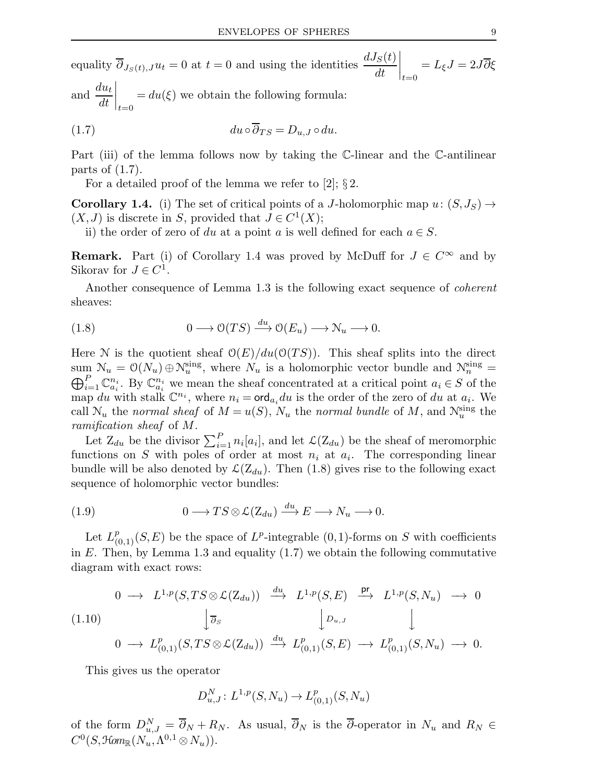equality  $\overline{\partial}_{J_S(t),J} u_t = 0$  at  $t = 0$  and using the identities  $\frac{dJ_S(t)}{dt}$  $\bigg|_{t=0}$  $=L_{\xi}J=2J\partial \xi$ and  $\frac{du_t}{dt}$ 

dt  $\bigg|_{t=0}$  $= du(\xi)$  we obtain the following formula:

(1.7) 
$$
du \circ \overline{\partial}_{TS} = D_{u,J} \circ du.
$$

Part (iii) of the lemma follows now by taking the C-linear and the C-antilinear parts of (1.7).

For a detailed proof of the lemma we refer to [2];  $\S 2$ .

**Corollary 1.4.** (i) The set of critical points of a J-holomorphic map  $u: (S, J_S) \rightarrow$  $(X, J)$  is discrete in S, provided that  $J \in C^1(X)$ ;

ii) the order of zero of du at a point a is well defined for each  $a \in S$ .

**Remark.** Part (i) of Corollary 1.4 was proved by McDuff for  $J \in C^{\infty}$  and by Sikorav for  $J \in C^1$ .

Another consequence of Lemma 1.3 is the following exact sequence of coherent sheaves:

(1.8) 
$$
0 \longrightarrow \mathcal{O}(TS) \xrightarrow{du} \mathcal{O}(E_u) \longrightarrow \mathcal{N}_u \longrightarrow 0.
$$

Here N is the quotient sheaf  $\mathcal{O}(E)/du(\mathcal{O}(TS))$ . This sheaf splits into the direct sum  $\mathcal{N}_u = \mathcal{O}(N_u) \oplus \mathcal{N}_u^{\text{sing}}$ , where  $N_u$  is a holomorphic vector bundle and  $\mathcal{N}_n^{\text{sing}} = \bigoplus_{i=1}^n \mathbb{C}^{n_i}$ . By  $\mathbb{C}^{n_i}$  we mean the sheaf concentrated at a critical point  $a_i \in S$  of the  $_{i=1}^{P} \mathbb{C}^{n_i}_{a_i}$ . By  $\mathbb{C}^{n_i}_{a_i}$  we mean the sheaf concentrated at a critical point  $a_i \in S$  of the map du with stalk  $\mathbb{C}^{n_i}$ , where  $n_i = \text{ord}_{a_i} du$  is the order of the zero of du at  $a_i$ . We call  $\mathcal{N}_u$  the normal sheaf of  $M = u(S)$ ,  $N_u$  the normal bundle of M, and  $\mathcal{N}_u^{\text{sing}}$  the ramification sheaf of M.

Let  $Z_{du}$  be the divisor  $\sum_{i=1}^{P} n_i[a_i]$ , and let  $\mathcal{L}(Z_{du})$  be the sheaf of meromorphic functions on S with poles of order at most  $n_i$  at  $a_i$ . The corresponding linear bundle will be also denoted by  $\mathcal{L}(Z_{du})$ . Then (1.8) gives rise to the following exact sequence of holomorphic vector bundles:

(1.9) 
$$
0 \longrightarrow TS \otimes \mathcal{L}(Z_{du}) \stackrel{du}{\longrightarrow} E \longrightarrow N_u \longrightarrow 0.
$$

Let  $L^p_{(0,1)}(S,E)$  be the space of  $L^p$ -integrable  $(0,1)$ -forms on S with coefficients in  $E$ . Then, by Lemma 1.3 and equality  $(1.7)$  we obtain the following commutative diagram with exact rows:

$$
\begin{array}{ccccccccc}\n0 & \longrightarrow & L^{1,p}(S, TS \otimes \mathcal{L}(Z_{du})) & \xrightarrow{du} & L^{1,p}(S, E) & \xrightarrow{\mathsf{pr}} & L^{1,p}(S, N_u) & \longrightarrow & 0 \\
(1.10) & & & \downarrow \overline{\partial}_S & & & \downarrow \mathcal{D}_{u,J} & & \downarrow \\
0 & \longrightarrow & L^p_{(0,1)}(S, TS \otimes \mathcal{L}(Z_{du})) & \xrightarrow{du} & L^p_{(0,1)}(S, E) & \longrightarrow & L^p_{(0,1)}(S, N_u) & \longrightarrow & 0.\n\end{array}
$$

This gives us the operator

$$
D_{u,J}^N\colon L^{1,p}(S,N_u)\to L^p_{(0,1)}(S,N_u)
$$

of the form  $D_{u,J}^N = \overline{\partial}_N + R_N$ . As usual,  $\overline{\partial}_N$  is the  $\overline{\partial}$ -operator in  $N_u$  and  $R_N \in$  $C^0(S, \mathfrak{Hom}_{\mathbb{R}}(N_u, \Lambda^{0,1}\otimes N_u)).$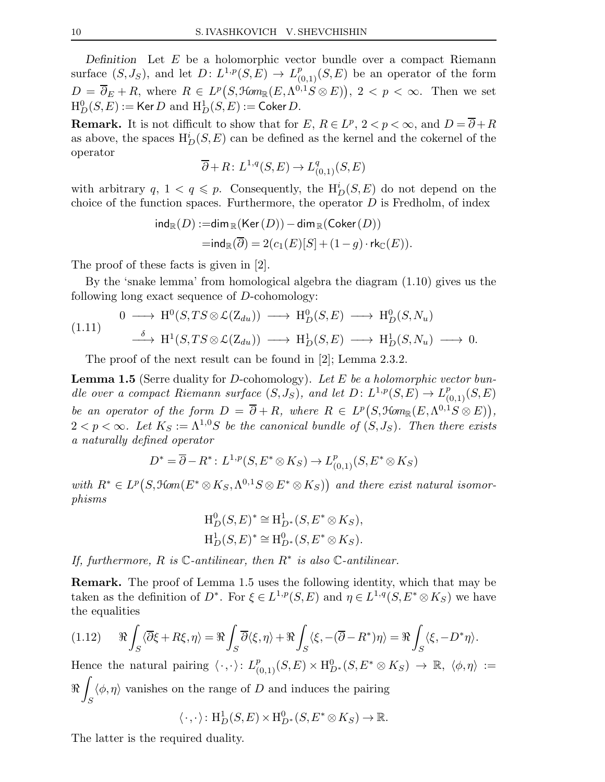Definition Let  $E$  be a holomorphic vector bundle over a compact Riemann surface  $(S, J_S)$ , and let  $D: L^{1,p}(S, E) \to L^p_{(0,1)}(S, E)$  be an operator of the form  $D = \overline{\partial}_E + R$ , where  $R \in L^p(S, \mathcal{H}om_{\mathbb{R}}(E, \Lambda^{0,1}S \otimes E)), 2 < p < \infty$ . Then we set  $\mathrm{H}^0_D(S,E) := \mathsf{Ker}\, D \,\, \text{and} \,\, \mathrm{H}^1_D(S,E) := \mathsf{Coker}\, D.$ 

**Remark.** It is not difficult to show that for  $E, R \in L^p$ ,  $2 < p < \infty$ , and  $D = \overline{\partial} + R$ as above, the spaces  $H_D^i(S, E)$  can be defined as the kernel and the cokernel of the operator

$$
\overline{\partial} + R \colon L^{1,q}(S,E) \to L^q_{(0,1)}(S,E)
$$

with arbitrary  $q, 1 < q \leqslant p$ . Consequently, the  $H_D^i(S, E)$  do not depend on the choice of the function spaces. Furthermore, the operator  $D$  is Fredholm, of index

$$
\begin{aligned} \mathsf{ind}_\mathbb{R}(D):=&\mathsf{dim}_\mathbb{R}(\mathsf{Ker}\,(D))-\mathsf{dim}_\mathbb{R}(\mathsf{Coker}\,(D))\\ =&\mathsf{ind}_\mathbb{R}(\overline{\partial})=2(c_1(E)[S]+(1-g)\cdot \mathsf{rk}_\mathbb{C}(E)).\end{aligned}
$$

The proof of these facts is given in [2].

By the 'snake lemma' from homological algebra the diagram (1.10) gives us the following long exact sequence of D-cohomology:

$$
(1.11) \quad 0 \longrightarrow H^0(S, TS \otimes \mathcal{L}(Z_{du})) \longrightarrow H^0_D(S, E) \longrightarrow H^0_D(S, N_u)
$$
\n
$$
\xrightarrow{\delta} H^1(S, TS \otimes \mathcal{L}(Z_{du})) \longrightarrow H^1_D(S, E) \longrightarrow H^1_D(S, N_u) \longrightarrow 0.
$$

The proof of the next result can be found in [2]; Lemma 2.3.2.

**Lemma 1.5** (Serre duality for D-cohomology). Let E be a holomorphic vector bundle over a compact Riemann surface  $(S, J_S)$ , and let  $D: L^{1,p}(S, E) \to L^p_{(0,1)}(S, E)$ be an operator of the form  $D = \overline{\partial} + R$ , where  $R \in L^p(S, \text{Hom}_{\mathbb{R}}(E, \Lambda^{0,1}S \otimes E)),$  $2 < p < \infty$ . Let  $K_S := \Lambda^{1,0}S$  be the canonical bundle of  $(S, J_S)$ . Then there exists a naturally defined operator

$$
D^* = \overline{\partial} - R^* : L^{1,p}(S, E^* \otimes K_S) \to L^p_{(0,1)}(S, E^* \otimes K_S)
$$

with  $R^* \in L^p(S, \mathfrak{Hom}(E^* \otimes K_S, \Lambda^{0,1}S \otimes E^* \otimes K_S))$  and there exist natural isomorphisms

$$
H_D^0(S, E)^* \cong H_{D^*}^1(S, E^* \otimes K_S),
$$
  
\n $H_D^1(S, E)^* \cong H_{D^*}^0(S, E^* \otimes K_S).$ 

If, furthermore, R is  $\mathbb C$ -antilinear, then  $R^*$  is also  $\mathbb C$ -antilinear.

Remark. The proof of Lemma 1.5 uses the following identity, which that may be taken as the definition of  $D^*$ . For  $\xi \in L^{1,p}(S,E)$  and  $\eta \in L^{1,q}(S,E^* \otimes K_S)$  we have the equalities

$$
(1.12) \qquad \Re \int_S \langle \overline{\partial} \xi + R\xi, \eta \rangle = \Re \int_S \overline{\partial} \langle \xi, \eta \rangle + \Re \int_S \langle \xi, -(\overline{\partial} - R^*)\eta \rangle = \Re \int_S \langle \xi, -D^* \eta \rangle.
$$

Hence the natural pairing  $\langle \cdot, \cdot \rangle: L^p_{(0,1)}(S,E) \times \mathrm{H}^0_{D^*}(S,E^* \otimes K_S) \to \mathbb{R}, \langle \phi, \eta \rangle :=$  $\Re$ Z S  $\langle \phi, \eta \rangle$  vanishes on the range of D and induces the pairing

$$
\langle \cdot, \cdot \rangle \colon \mathrm{H}^1_D(S, E) \times \mathrm{H}^0_{D^*}(S, E^* \otimes K_S) \to \mathbb{R}.
$$

The latter is the required duality.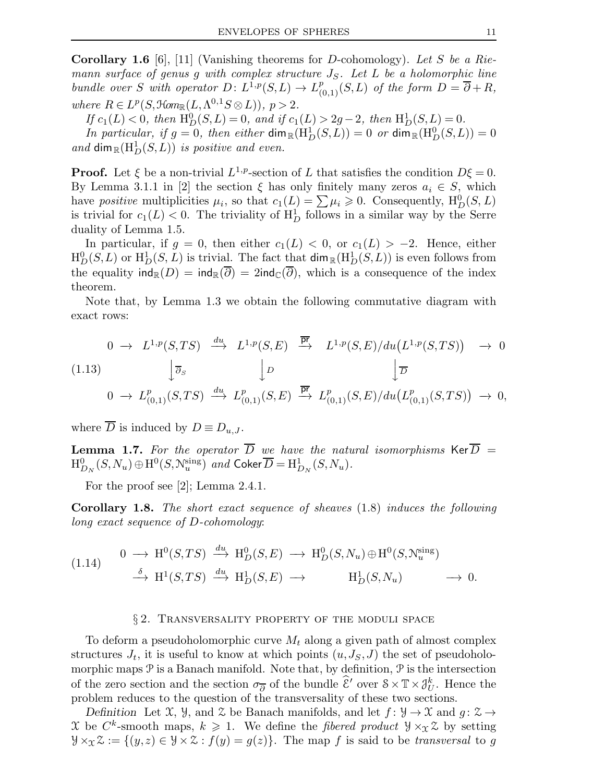**Corollary 1.6** [6], [11] (Vanishing theorems for D-cohomology). Let S be a Riemann surface of genus g with complex structure  $J<sub>S</sub>$ . Let L be a holomorphic line bundle over S with operator  $D: L^{1,p}(S,L) \to L^p_{(0,1)}(S,L)$  of the form  $D = \overline{\partial} + R$ , where  $R \in L^p(S, \mathcal{H}om_{\mathbb{R}}(L, \Lambda^{0,1}S \otimes L)), p > 2.$ 

If  $c_1(L) < 0$ , then  $\mathrm{H}^0_D(S, L) = 0$ , and if  $c_1(L) > 2g - 2$ , then  $\mathrm{H}^1_D(S, L) = 0$ .

In particular, if  $g = 0$ , then either  $\dim_{\mathbb{R}}(\mathrm{H}_D^1(S, L)) = 0$  or  $\dim_{\mathbb{R}}(\mathrm{H}_D^0(S, L)) = 0$ and  $\dim_{\mathbb{R}}(\mathrm{H}_D^1(S,L))$  is positive and even.

**Proof.** Let  $\xi$  be a non-trivial  $L^{1,p}$ -section of L that satisfies the condition  $D\xi = 0$ . By Lemma 3.1.1 in [2] the section  $\xi$  has only finitely many zeros  $a_i \in S$ , which have positive multiplicities  $\mu_i$ , so that  $c_1(L) = \sum \mu_i \geqslant 0$ . Consequently,  $H_D^0(S, L)$ is trivial for  $c_1(L) < 0$ . The triviality of  $H_D^1$  follows in a similar way by the Serre duality of Lemma 1.5.

In particular, if  $g = 0$ , then either  $c_1(L) < 0$ , or  $c_1(L) > -2$ . Hence, either  $H_D^0(S, L)$  or  $H_D^1(S, L)$  is trivial. The fact that  $\dim_{\mathbb{R}}(H_D^1(S, L))$  is even follows from the equality  $\text{ind}_{\mathbb{R}}(D) = \text{ind}_{\mathbb{R}}(\overline{\partial}) = 2\text{ind}_{\mathbb{C}}(\overline{\partial})$ , which is a consequence of the index theorem.

Note that, by Lemma 1.3 we obtain the following commutative diagram with exact rows:

$$
\begin{array}{ccccccccc}\n & 0 & \rightarrow & L^{1,p}(S,TS) & \xrightarrow{du} & L^{1,p}(S,E) & \xrightarrow{\overline{\mathbf{pr}}} & L^{1,p}(S,E)/du(L^{1,p}(S,TS)) & \rightarrow & 0 \\
 & & & & \downarrow \overline{\partial}_S & & & \downarrow D & & \downarrow \overline{D} \\
 & & 0 & \rightarrow & L^p_{(0,1)}(S,TS) & \xrightarrow{du} & L^p_{(0,1)}(S,E) & \xrightarrow{\overline{\mathbf{pr}}} & L^p_{(0,1)}(S,E)/du(L^p_{(0,1)}(S,TS)) & \rightarrow & 0,\n\end{array}
$$

where  $\overline{D}$  is induced by  $D \equiv D_{u,J}$ .

**Lemma 1.7.** For the operator  $\overline{D}$  we have the natural isomorphisms Ker $\overline{D}$  =  $\mathrm{H}^0_{D_N}(S,N_u)\oplus \mathrm{H}^0(S,\mathcal{N}_u^{\text{sing}})$  and  $\mathsf{Coker}\overline{D}=\mathrm{H}^1_{D_N}(S,N_u)$ .

For the proof see [2]; Lemma 2.4.1.

Corollary 1.8. The short exact sequence of sheaves (1.8) induces the following long exact sequence of D-cohomology:

$$
(1.14) \quad 0 \longrightarrow H^0(S, TS) \xrightarrow{du} H^0_D(S, E) \longrightarrow H^0_D(S, N_u) \oplus H^0(S, N_u^{\text{sing}})
$$
  

$$
\xrightarrow{\delta} H^1(S, TS) \xrightarrow{du} H^1_D(S, E) \longrightarrow H^1_D(S, N_u) \longrightarrow 0.
$$

#### § 2. TRANSVERSALITY PROPERTY OF THE MODULI SPACE

To deform a pseudoholomorphic curve  $M_t$  along a given path of almost complex structures  $J_t$ , it is useful to know at which points  $(u, J_S, J)$  the set of pseudoholomorphic maps  $P$  is a Banach manifold. Note that, by definition,  $P$  is the intersection of the zero section and the section  $\sigma_{\overline{\partial}}$  of the bundle  $\widehat{\mathcal{E}}'$  over  $S \times \mathbb{T} \times \mathcal{J}_{U}^{k}$ . Hence the problem reduces to the question of the transversality of these two sections.

Definition Let X,  $\mathcal{Y}$ , and  $\mathcal{Z}$  be Banach manifolds, and let  $f: \mathcal{Y} \to \mathcal{X}$  and  $q: \mathcal{Z} \to$ X be  $C^k$ -smooth maps,  $k \geq 1$ . We define the *fibered product*  $\mathcal{Y} \times_{\mathcal{X}} \mathcal{Z}$  by setting  $\mathcal{Y} \times_{\mathcal{X}} \mathcal{Z} := \{(y, z) \in \mathcal{Y} \times \mathcal{Z} : f(y) = g(z)\}.$  The map f is said to be transversal to g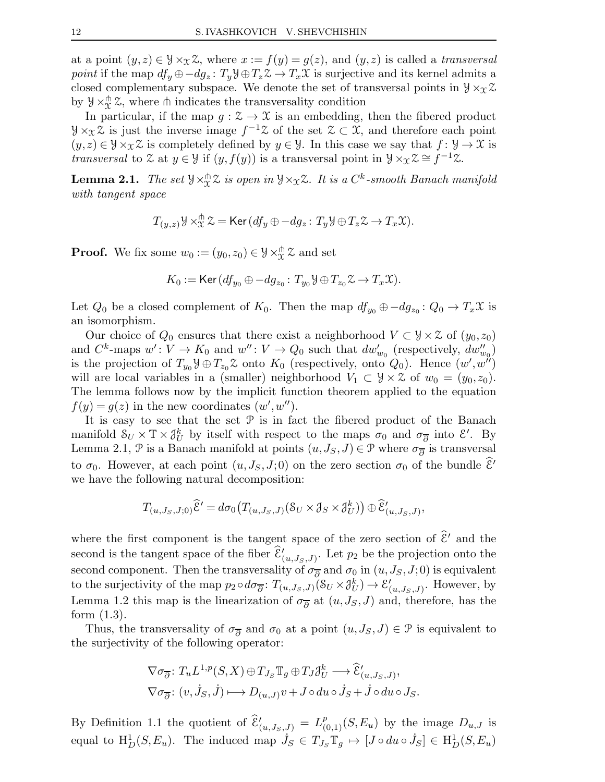at a point  $(y, z) \in \mathcal{Y} \times_{\mathcal{X}} \mathcal{Z}$ , where  $x := f(y) = g(z)$ , and  $(y, z)$  is called a transversal point if the map  $df_y \oplus -dg_z : T_y \mathcal{Y} \oplus T_z \mathcal{Z} \to T_x \mathcal{X}$  is surjective and its kernel admits a closed complementary subspace. We denote the set of transversal points in  $\mathcal{Y} \times_{\mathcal{X}} \mathcal{Z}$ by  $\mathcal{Y} \times_{\mathcal{X}}^{\mathsf{th}} \mathcal{Z}$ , where  $\mathsf{th}$  indicates the transversality condition

In particular, if the map  $g: \mathcal{Z} \to \mathcal{X}$  is an embedding, then the fibered product  $\mathcal{Y} \times_{\mathcal{X}} \mathcal{Z}$  is just the inverse image  $f^{-1}\mathcal{Z}$  of the set  $\mathcal{Z} \subset \mathcal{X}$ , and therefore each point  $(y, z) \in \mathcal{Y} \times_{\mathcal{X}} \mathcal{Z}$  is completely defined by  $y \in \mathcal{Y}$ . In this case we say that  $f : \mathcal{Y} \to \mathcal{X}$  is transversal to Z at  $y \in \mathcal{Y}$  if  $(y, f(y))$  is a transversal point in  $\mathcal{Y} \times_{\mathcal{X}} \mathcal{Z} \cong f^{-1}\mathcal{Z}$ .

**Lemma 2.1.** The set  $\forall \times_{\mathcal{X}}^{\pitchfork} \mathcal{Z}$  is open in  $\forall \times_{\mathcal{X}} \mathcal{Z}$ . It is a  $C^k$ -smooth Banach manifold with tangent space

$$
T_{(y,z)}\mathcal{Y}\times_{\mathcal{X}}^{\pitchfork}\mathcal{Z}=\mathsf{Ker}\,(df_y\oplus -dg_z\colon T_y\mathcal{Y}\oplus T_z\mathcal{Z}\to T_x\mathcal{X}).
$$

**Proof.** We fix some  $w_0 := (y_0, z_0) \in \mathcal{Y} \times_{\mathcal{X}}^{\mathcal{A}} \mathcal{Z}$  and set

$$
K_0 := \text{Ker}\,(df_{y_0} \oplus -dg_{z_0}: T_{y_0} \mathcal{Y} \oplus T_{z_0} \mathcal{Z} \to T_x \mathcal{X}).
$$

Let  $Q_0$  be a closed complement of  $K_0$ . Then the map  $df_{y_0} \oplus -dg_{z_0} : Q_0 \to T_x\mathfrak{X}$  is an isomorphism.

Our choice of  $Q_0$  ensures that there exist a neighborhood  $V \subset \mathcal{Y} \times \mathcal{Z}$  of  $(y_0, z_0)$ and  $C^k$ -maps  $w' : V \to K_0$  and  $w'' : V \to Q_0$  such that  $dw'_{w_0}$  (respectively,  $dw''_{w_0}$ ) is the projection of  $T_{y_0}\mathcal{Y} \oplus T_{z_0}\mathcal{Z}$  onto  $K_0$  (respectively, onto  $Q_0$ ). Hence  $(w', w'')$ will are local variables in a (smaller) neighborhood  $V_1 \subset \mathcal{Y} \times \mathcal{Z}$  of  $w_0 = (y_0, z_0)$ . The lemma follows now by the implicit function theorem applied to the equation  $f(y) = g(z)$  in the new coordinates  $(w', w'')$ .

It is easy to see that the set  $P$  is in fact the fibered product of the Banach manifold  $S_U \times T \times \mathcal{J}_U^k$  by itself with respect to the maps  $\sigma_0$  and  $\sigma_{\overline{\partial}}$  into  $\mathcal{E}'$ . By Lemma 2.1,  $\mathcal P$  is a Banach manifold at points  $(u, J_S, J) \in \mathcal P$  where  $\sigma_{\overline{\partial}}$  is transversal to  $\sigma_0$ . However, at each point  $(u, J_S, J; 0)$  on the zero section  $\sigma_0$  of the bundle  $\mathcal{E}'$ we have the following natural decomposition:

$$
T_{(u,J_S,J;0)}\widehat{\mathcal{E}}' = d\sigma_0 \big( T_{(u,J_S,J)}(S_U \times \mathcal{J}_S \times \mathcal{J}_U^k) \big) \oplus \widehat{\mathcal{E}}'_{(u,J_S,J)},
$$

where the first component is the tangent space of the zero section of  $\hat{\varepsilon}'$  and the second is the tangent space of the fiber  $\hat{\mathcal{E}}'_{(u,J_S,J)}$ . Let  $p_2$  be the projection onto the second component. Then the transversality of  $\sigma_{\overline{\partial}}$  and  $\sigma_0$  in  $(u, J_S, J; 0)$  is equivalent to the surjectivity of the map  $p_2 \circ d\sigma_{\overline{\partial}}$ :  $T_{(u, J_S, J)}(S_U \times \mathcal{J}_U^k) \to \mathcal{E}'_U$  $'_{(u,J_S,J)}$ . However, by Lemma 1.2 this map is the linearization of  $\sigma_{\overline{\partial}}$  at  $(u, J_S, J)$  and, therefore, has the form (1.3).

Thus, the transversality of  $\sigma_{\overline{\partial}}$  and  $\sigma_0$  at a point  $(u, J_S, J) \in \mathcal{P}$  is equivalent to the surjectivity of the following operator:

$$
\nabla \sigma_{\overline{\partial}} \colon T_u L^{1,p}(S, X) \oplus T_{J_S} \mathbb{T}_g \oplus T_J \mathcal{J}_U^k \longrightarrow \widehat{\mathcal{E}}'_{(u, J_S, J)},
$$
  

$$
\nabla \sigma_{\overline{\partial}} \colon (v, \dot{J}_S, \dot{J}) \longmapsto D_{(u, J)} v + J \circ du \circ \dot{J}_S + \dot{J} \circ du \circ J_S.
$$

By Definition 1.1 the quotient of  $\hat{\mathcal{E}}'_{(u,J_S,J)} = L^p_{(0,1)}(S, E_u)$  by the image  $D_{u,J}$  is equal to  $H_D^1(S, E_u)$ . The induced map  $\dot{J}_S \in T_{J_S} \mathbb{T}_g \mapsto [J \circ du \circ \dot{J}_S] \in H_D^1(S, E_u)$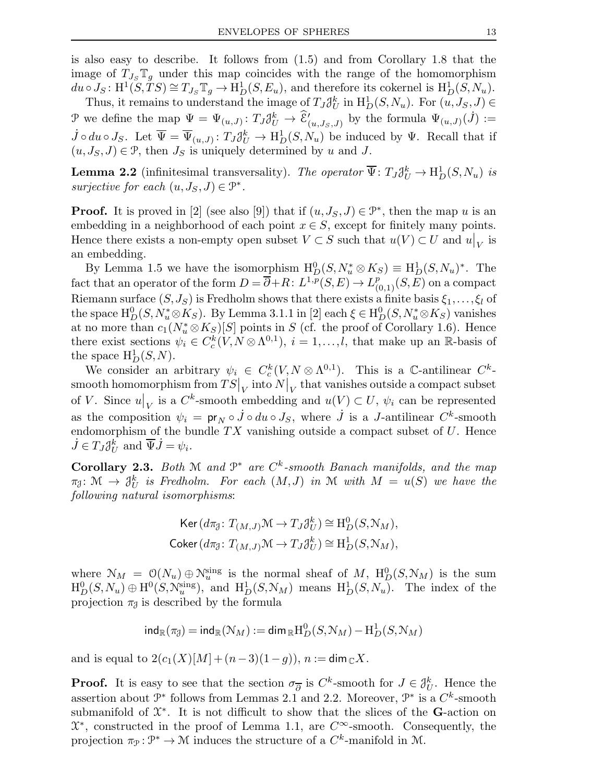is also easy to describe. It follows from (1.5) and from Corollary 1.8 that the image of  $T_{J_S} \mathbb{T}_q$  under this map coincides with the range of the homomorphism  $du \circ J_S: \mathrm{H}^1(S, TS) \cong T_{J_S} \mathbb{T}_g \to \mathrm{H}^1_D(S, E_u)$ , and therefore its cokernel is  $\mathrm{H}^1_D(S, N_u)$ .

Thus, it remains to understand the image of  $T_J \mathcal{J}_U^k$  in  $H_D^1(S, N_u)$ . For  $(u, J_S, J) \in$ P we define the map  $\Psi = \Psi_{(u,J)}: T_J \delta^k_U \to \hat{\mathcal{E}}'_{(u,J_S,J)}$  by the formula  $\Psi_{(u,J)}(J) :=$  $\dot{J} \circ du \circ J_S$ . Let  $\overline{\Psi} = \overline{\Psi}_{(u,J)} : T_J \mathcal{J}_U^k \to \mathrm{H}^1_D(S, N_u)$  be induced by  $\Psi$ . Recall that if  $(u, J_S, J) \in \mathcal{P}$ , then  $J_S$  is uniquely determined by u and J.

**Lemma 2.2** (infinitesimal transversality). The operator  $\overline{\Psi}$ :  $T_J \mathcal{J}_U^k \to H_D^1(S, N_u)$  is surjective for each  $(u, J_S, J) \in \mathcal{P}^*$ .

**Proof.** It is proved in [2] (see also [9]) that if  $(u, J_S, J) \in \mathcal{P}^*$ , then the map u is an embedding in a neighborhood of each point  $x \in S$ , except for finitely many points. Hence there exists a non-empty open subset  $V \subset S$  such that  $u(V) \subset U$  and  $u|_V$  is an embedding.

By Lemma 1.5 we have the isomorphism  $H_D^0(S, N_u^* \otimes K_S) \equiv H_D^1(S, N_u)^*$ . The fact that an operator of the form  $D = \overline{\partial} + R: L^{1,p}(S,E) \to L^p_{(0,1)}(S,E)$  on a compact Riemann surface  $(S, J_S)$  is Fredholm shows that there exists a finite basis  $\xi_1, \ldots, \xi_l$  of the space  $\mathrm{H}^0_D(S, N_u^* \otimes K_S)$ . By Lemma 3.1.1 in [2] each  $\xi \in \mathrm{H}^0_D(S, N_u^* \otimes K_S)$  vanishes at no more than  $c_1(N_u^* \otimes K_S)[S]$  points in S (cf. the proof of Corollary 1.6). Hence there exist sections  $\psi_i \in C_c^k(V, N \otimes \Lambda^{0,1}), i = 1, ..., l$ , that make up an R-basis of the space  $\mathrm{H}^1_D(S,N)$ .

We consider an arbitrary  $\psi_i \in C_c^k(V, N \otimes \Lambda^{0,1})$ . This is a C-antilinear  $C^k$ - $\pmb{\text{smooth homomorphism from } TS|}_V \text{ into } N\big|_V \text{ that vanishes outside a compact subset }$ of V. Since  $u|_V$  is a  $C^k$ -smooth embedding and  $u(V) \subset U$ ,  $\psi_i$  can be represented as the composition  $\psi_i = \text{pr}_N \circ j \circ du \circ J_S$ , where  $\dot{J}$  is a J-antilinear  $C^k$ -smooth endomorphism of the bundle  $TX$  vanishing outside a compact subset of  $U$ . Hence  $\dot{J} \in T_J \mathcal{J}_U^k$  and  $\overline{\Psi} \dot{J} = \psi_i$ .

Corollary 2.3. Both M and  $\mathbb{P}^*$  are  $C^k$ -smooth Banach manifolds, and the map  $\pi_{\mathcal{J}}\colon \mathcal{M} \to \mathcal{J}_{U}^{k}$  is Fredholm. For each  $(M,J)$  in  $\mathcal{M}$  with  $M = u(S)$  we have the following natural isomorphisms:

$$
\operatorname{Ker}(d\pi_{\mathcal{J}}: T_{(M,J)}\mathcal{M} \to T_J\mathcal{J}_U^k) \cong \mathrm{H}_D^0(S, \mathcal{N}_M),
$$
  
Coker
$$
(d\pi_{\mathcal{J}}: T_{(M,J)}\mathcal{M} \to T_J\mathcal{J}_U^k) \cong \mathrm{H}_D^1(S, \mathcal{N}_M),
$$

where  $\mathcal{N}_M = \mathcal{O}(N_u) \oplus \mathcal{N}_u^{\text{sing}}$  is the normal sheaf of M,  $H_D^0(S, \mathcal{N}_M)$  is the sum  $H_D^0(S, N_u) \oplus H^0(S, \mathcal{N}_u^{\text{sing}}),$  and  $H_D^1(S, \mathcal{N}_M)$  means  $H_D^1(S, N_u)$ . The index of the projection  $\pi_{\mathfrak{g}}$  is described by the formula

$$
\operatorname{\text{\rm ind}}_{\mathbb R}(\pi_{\mathcal J})=\operatorname{\text{\rm ind}}_{\mathbb R}(\mathcal N_M):=\operatorname{\text{\rm dim}}_{\mathbb R} \operatorname H^0_D(S,\mathcal N_M)-\operatorname H^1_D(S,\mathcal N_M)
$$

and is equal to  $2(c_1(X)[M] + (n-3)(1-q))$ ,  $n := \dim_{\mathbb{C}} X$ .

**Proof.** It is easy to see that the section  $\sigma_{\overline{\partial}}$  is  $C^k$ -smooth for  $J \in \mathcal{J}_U^k$ . Hence the assertion about  $\mathcal{P}^*$  follows from Lemmas 2.1 and 2.2. Moreover,  $\mathcal{P}^*$  is a  $C^k$ -smooth submanifold of  $\mathfrak{X}^*$ . It is not difficult to show that the slices of the **G**-action on  $\mathfrak{X}^*$ , constructed in the proof of Lemma 1.1, are  $C^{\infty}$ -smooth. Consequently, the projection  $\pi_{\mathcal{P}} : \mathcal{P}^* \to \mathcal{M}$  induces the structure of a  $C^k$ -manifold in M.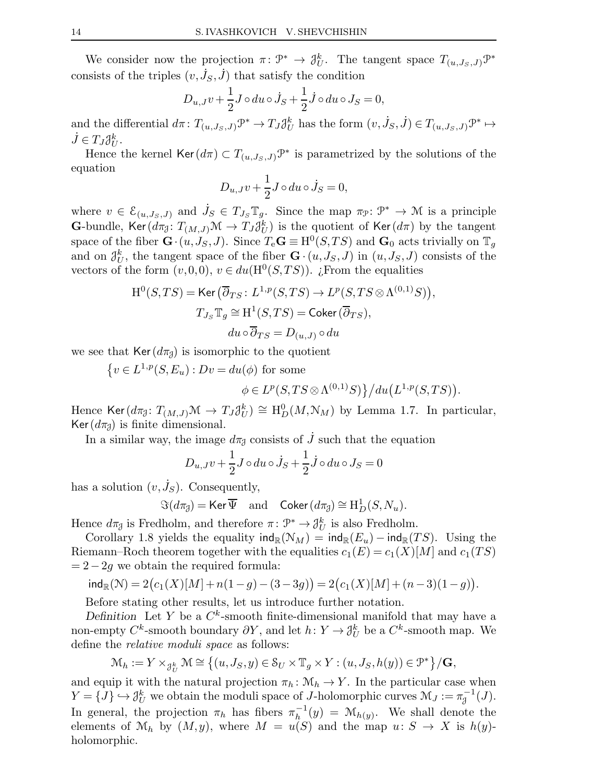We consider now the projection  $\pi \colon \mathcal{P}^* \to \mathcal{J}_U^k$ . The tangent space  $T_{(u,J_S,J)}\mathcal{P}^*$ consists of the triples  $(v, \dot{J}_S, \dot{J})$  that satisfy the condition

$$
D_{u,J}v + \frac{1}{2}J \circ du \circ \dot{J}_S + \frac{1}{2}\dot{J} \circ du \circ J_S = 0,
$$

and the differential  $d\pi \colon T_{(u,J_S,J)}\mathcal{P}^* \to T_J \mathcal{J}_U^k$  has the form  $(v, \dot{J}_S, \dot{J}) \in T_{(u,J_S,J)}\mathcal{P}^* \mapsto$  $\dot{J} \in T_J \mathcal{J}_U^k$ .

Hence the kernel  $\text{Ker}(d\pi) \subset T_{(u,J_S,J)}\mathcal{P}^*$  is parametrized by the solutions of the equation

$$
D_{u,J}v + \frac{1}{2}J \circ du \circ \dot{J}_S = 0,
$$

where  $v \in \mathcal{E}_{(u, J_S, J)}$  and  $\dot{J}_S \in T_{J_S} \mathbb{T}_g$ . Since the map  $\pi_{\mathcal{P}} \colon \mathcal{P}^* \to \mathcal{M}$  is a principle **G**-bundle, Ker $(d\pi_{\mathcal{J}}: T_{(M,J)}\mathcal{M} \to T_J \mathcal{J}_U^k)$  is the quotient of Ker $(d\pi)$  by the tangent space of the fiber  $\mathbf{G} \cdot (u, J_S, J)$ . Since  $T_e \mathbf{G} \equiv \mathrm{H}^0(S, TS)$  and  $\mathbf{G}_0$  acts trivially on  $\mathbb{T}_g$ and on  $\mathcal{J}_U^k$ , the tangent space of the fiber  $\mathbf{G} \cdot (u, J_S, J)$  in  $(u, J_S, J)$  consists of the vectors of the form  $(v,0,0), v \in du(\mathrm{H}^0(S,TS))$ . ¿From the equalities

$$
H^{0}(S, TS) = \text{Ker}(\overline{\partial}_{TS}: L^{1,p}(S, TS) \to L^{p}(S, TS \otimes \Lambda^{(0,1)}S)),
$$
  

$$
T_{J_{S}}\mathbb{T}_{g} \cong H^{1}(S, TS) = \text{Coker}(\overline{\partial}_{TS}),
$$
  

$$
du \circ \overline{\partial}_{TS} = D_{(u,J)} \circ du
$$

we see that  $\text{Ker}(d\pi_{\beta})$  is isomorphic to the quotient

 $\{v \in L^{1,p}(S,E_u) : Dv = du(\phi)$  for some  $\phi \in L^p(S, TS \otimes \Lambda^{(0,1)}S) \} / du(L^{1,p}(S, TS)).$ 

Hence Ker $(d\pi_{\mathcal{J}}: T_{(M,J)}\mathcal{M} \to T_J \mathcal{J}_U^k) \cong \mathrm{H}^0_D(M, \mathcal{N}_M)$  by Lemma 1.7. In particular, Ker( $d\pi_{\mathcal{J}}$ ) is finite dimensional.

In a similar way, the image  $d\pi_{\mathcal{J}}$  consists of  $\tilde{J}$  such that the equation

$$
D_{u,J}v + \frac{1}{2}J \circ du \circ \dot{J}_S + \frac{1}{2}\dot{J} \circ du \circ J_S = 0
$$

has a solution  $(v, \dot{J}_S)$ . Consequently,

$$
\Im(d\pi_{\mathcal{J}}) = \text{Ker}\,\overline{\Psi} \quad \text{and} \quad \text{Coker}\,(d\pi_{\mathcal{J}}) \cong \text{H}^1_D(S, N_u).
$$

Hence  $d\pi_{\mathcal{J}}$  is Fredholm, and therefore  $\pi: \mathcal{P}^* \to \mathcal{J}_U^k$  is also Fredholm.

Corollary 1.8 yields the equality  $\text{ind}_{\mathbb{R}}(\mathcal{N}_M) = \text{ind}_{\mathbb{R}}(E_u) - \text{ind}_{\mathbb{R}}(TS)$ . Using the Riemann–Roch theorem together with the equalities  $c_1(E) = c_1(X)[M]$  and  $c_1(TS)$  $= 2-2q$  we obtain the required formula:

$$
\mathrm{ind}_{\mathbb{R}}(\mathcal{N})=2\big(c_1(X)[M]+n(1-g)-(3-3g)\big)=2\big(c_1(X)[M]+(n-3)(1-g)\big).
$$

Before stating other results, let us introduce further notation.

Definition Let Y be a  $C^k$ -smooth finite-dimensional manifold that may have a non-empty  $C^k$ -smooth boundary  $\partial Y$ , and let  $h: Y \to \mathcal{J}_U^k$  be a  $C^k$ -smooth map. We define the relative moduli space as follows:

$$
\mathcal{M}_h := Y \times_{\mathcal{J}_U^k} \mathcal{M} \cong \left\{ (u, J_S, y) \in \mathcal{S}_U \times \mathbb{T}_g \times Y : (u, J_S, h(y)) \in \mathcal{P}^* \right\} / \mathbf{G},
$$

and equip it with the natural projection  $\pi_h : \mathcal{M}_h \to Y$ . In the particular case when  $Y = \{J\} \hookrightarrow \mathcal{J}_U^k$  we obtain the moduli space of J-holomorphic curves  $\mathcal{M}_J := \pi_J^{-1}(J)$ . In general, the projection  $\pi_h$  has fibers  $\pi_h^{-1}$  $h^{-1}(y) = \mathcal{M}_{h(y)}$ . We shall denote the elements of  $\mathcal{M}_h$  by  $(M, y)$ , where  $M = u(S)$  and the map  $u: S \to X$  is  $h(y)$ holomorphic.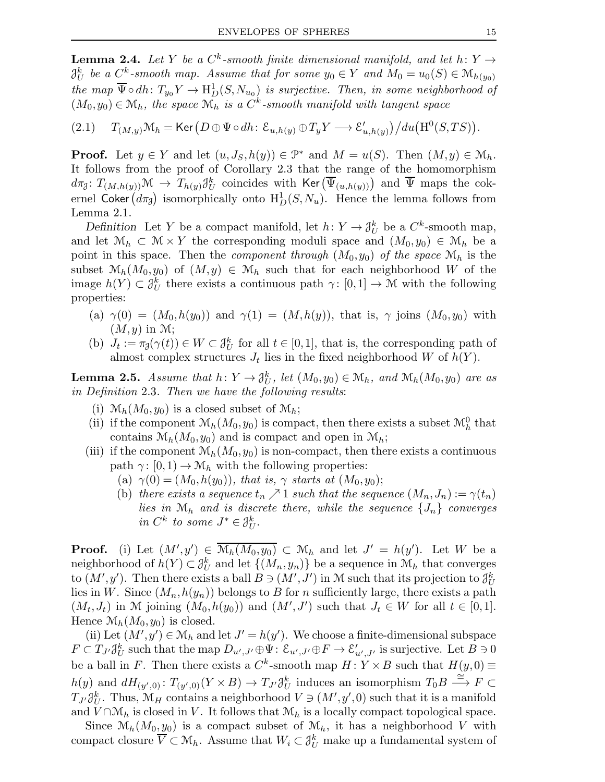**Lemma 2.4.** Let Y be a  $C^k$ -smooth finite dimensional manifold, and let  $h: Y \rightarrow$  $\beta^k_U$  be a  $C^k$ -smooth map. Assume that for some  $y_0 \in Y$  and  $M_0 = u_0(S) \in \mathcal{M}_{h(y_0)}$ the map  $\overline{\Psi} \circ dh \colon T_{y_0} Y \to \mathrm{H}^1_D(S, N_{u_0})$  is surjective. Then, in some neighborhood of  $(M_0, y_0) \in \mathcal{M}_h$ , the space  $\mathcal{M}_h$  is a  $C^k$ -smooth manifold with tangent space

$$
(2.1) \t T_{(M,y)}\mathcal{M}_h = \text{Ker}\left(D \oplus \Psi \circ dh \colon \mathcal{E}_{u,h(y)} \oplus T_y Y \longrightarrow \mathcal{E}'_{u,h(y)}\right) / du \big(\mathrm{H}^0(S, TS)\big).
$$

**Proof.** Let  $y \in Y$  and let  $(u, J_S, h(y)) \in \mathcal{P}^*$  and  $M = u(S)$ . Then  $(M, y) \in \mathcal{M}_h$ . It follows from the proof of Corollary 2.3 that the range of the homomorphism  $d\pi_{\mathcal{J}}\colon T_{(M,h(y))}\mathcal{M} \to \overline{T_{h(y)}\mathcal{J}^k_U}$  coincides with  $\mathsf{Ker}\left(\overline{\Psi}_{(u,h(y))}\right)$  and  $\overline{\Psi}$  maps the cokernel Coker  $(d\pi_{\tilde{\theta}})$  isomorphically onto  $H_D^1(S, N_u)$ . Hence the lemma follows from Lemma 2.1.

Definition Let Y be a compact manifold, let  $h: Y \to \mathcal{J}_U^k$  be a  $C^k$ -smooth map, and let  $\mathcal{M}_h \subset \mathcal{M} \times Y$  the corresponding moduli space and  $(M_0, y_0) \in \mathcal{M}_h$  be a point in this space. Then the *component through*  $(M_0, y_0)$  of the space  $\mathcal{M}_h$  is the subset  $\mathcal{M}_h(M_0,y_0)$  of  $(M,y) \in \mathcal{M}_h$  such that for each neighborhood W of the image  $h(Y) \subset \mathcal{J}_U^k$  there exists a continuous path  $\gamma: [0,1] \to \mathcal{M}$  with the following properties:

- (a)  $\gamma(0) = (M_0, h(y_0))$  and  $\gamma(1) = (M, h(y))$ , that is,  $\gamma$  joins  $(M_0, y_0)$  with  $(M, y)$  in M;
- (b)  $J_t := \pi_{\mathcal{J}}(\gamma(t)) \in W \subset \mathcal{J}_U^k$  for all  $t \in [0,1]$ , that is, the corresponding path of almost complex structures  $J_t$  lies in the fixed neighborhood W of  $h(Y)$ .

**Lemma 2.5.** Assume that  $h: Y \to \mathcal{J}_U^k$ , let  $(M_0, y_0) \in \mathcal{M}_h$ , and  $\mathcal{M}_h(M_0, y_0)$  are as in Definition 2.3. Then we have the following results:

- (i)  $\mathcal{M}_h(M_0,y_0)$  is a closed subset of  $\mathcal{M}_h$ ;
- (ii) if the component  $\mathcal{M}_h(M_0, y_0)$  is compact, then there exists a subset  $\mathcal{M}_h^0$  that contains  $\mathcal{M}_h(M_0,y_0)$  and is compact and open in  $\mathcal{M}_h$ ;
- (iii) if the component  $\mathcal{M}_h(M_0,y_0)$  is non-compact, then there exists a continuous path  $\gamma: [0,1) \to \mathcal{M}_h$  with the following properties:
	- (a)  $\gamma(0) = (M_0, h(y_0))$ , that is,  $\gamma$  starts at  $(M_0, y_0)$ ;
	- (b) there exists a sequence  $t_n \nearrow 1$  such that the sequence  $(M_n, J_n) := \gamma(t_n)$ lies in  $\mathcal{M}_h$  and is discrete there, while the sequence  $\{J_n\}$  converges in  $C^k$  to some  $J^* \in \mathfrak{J}_U^k$ .

**Proof.** (i) Let  $(M', y') \in \overline{\mathcal{M}_h(M_0, y_0)} \subset \mathcal{M}_h$  and let  $J' = h(y')$ . Let W be a neighborhood of  $h(Y) \subset \mathcal{J}_U^k$  and let  $\{(M_n, y_n)\}\)$  be a sequence in  $\mathcal{M}_h$  that converges to  $(M', y')$ . Then there exists a ball  $B \ni (M', J')$  in M such that its projection to  $\partial_U^k$ lies in W. Since  $(M_n,h(y_n))$  belongs to B for n sufficiently large, there exists a path  $(M_t, J_t)$  in M joining  $(M_0, h(y_0))$  and  $(M', J')$  such that  $J_t \in W$  for all  $t \in [0,1]$ . Hence  $\mathcal{M}_h(M_0,y_0)$  is closed.

(ii) Let  $(M', y') \in \mathcal{M}_h$  and let  $J' = h(y')$ . We choose a finite-dimensional subspace  $F \subset T_{J'}\mathcal{J}_U^k$  such that the map  $D_{u',J'} \oplus \Psi: \mathcal{E}_{u',J'} \oplus F \to \mathcal{E}'_{u',J'}$  is surjective. Let  $B \ni 0$ be a ball in F. Then there exists a  $C^k$ -smooth map  $H: Y \times B$  such that  $H(y,0) \equiv$  $h(y)$  and  $dH_{(y',0)}$ :  $T_{(y',0)}(Y \times B) \to T_{J'} \mathcal{J}_U^k$  induces an isomorphism  $T_0 B \stackrel{\cong}{\longrightarrow} F \subset$  $T_{J'}\partial_U^k$ . Thus,  $\mathcal{M}_H$  contains a neighborhood  $V \ni (M', y', 0)$  such that it is a manifold and  $V \cap \mathcal{M}_h$  is closed in V. It follows that  $\mathcal{M}_h$  is a locally compact topological space.

Since  $\mathcal{M}_h(M_0,y_0)$  is a compact subset of  $\mathcal{M}_h$ , it has a neighborhood V with compact closure  $\overline{V} \subset \mathcal{M}_h$ . Assume that  $W_i \subset \mathcal{J}_U^k$  make up a fundamental system of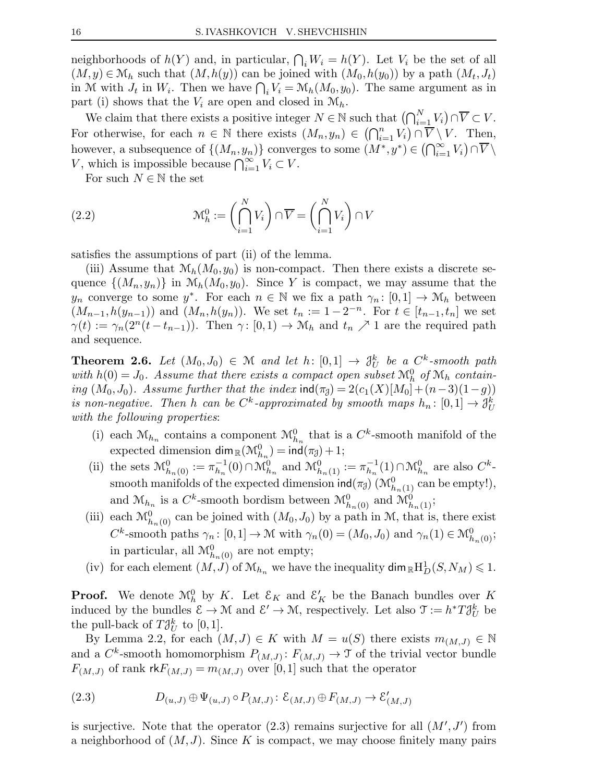neighborhoods of  $h(Y)$  and, in particular,  $\bigcap_i W_i = h(Y)$ . Let  $V_i$  be the set of all  $(M, y) \in \mathcal{M}_h$  such that  $(M, h(y))$  can be joined with  $(M_0, h(y_0))$  by a path  $(M_t, J_t)$ in M with  $J_t$  in  $W_i$ . Then we have  $\bigcap_i V_i = \mathcal{M}_h(M_0, y_0)$ . The same argument as in part (i) shows that the  $V_i$  are open and closed in  $\mathcal{M}_h$ .

We claim that there exists a positive integer  $N \in \mathbb{N}$  such that  $(\bigcap_{i=1}^{N} V_i) \cap \overline{V} \subset V$ . For otherwise, for each  $n \in \mathbb{N}$  there exists  $(M_n, y_n) \in (\bigcap_{i=1}^n V_i) \cap \overline{V} \setminus V$ . Then, however, a subsequence of  $\{(M_n, y_n)\}$  converges to some  $(M^*, y^*) \in (\bigcap_{i=1}^{\infty} V_i) \cap \overline{V} \setminus$ V, which is impossible because  $\bigcap_{i=1}^{\infty} V_i \subset V$ .

For such  $N \in \mathbb{N}$  the set

(2.2) 
$$
\mathcal{M}_h^0 := \left(\bigcap_{i=1}^N V_i\right) \cap \overline{V} = \left(\bigcap_{i=1}^N V_i\right) \cap V
$$

satisfies the assumptions of part (ii) of the lemma.

(iii) Assume that  $\mathcal{M}_h(M_0,y_0)$  is non-compact. Then there exists a discrete sequence  $\{(M_n,y_n)\}\$ in  $\mathcal{M}_h(M_0,y_0)$ . Since Y is compact, we may assume that the  $y_n$  converge to some  $y^*$ . For each  $n \in \mathbb{N}$  we fix a path  $\gamma_n : [0,1] \to \mathcal{M}_h$  between  $(M_{n-1}, h(y_{n-1}))$  and  $(M_n, h(y_n))$ . We set  $t_n := 1 - 2^{-n}$ . For  $t \in [t_{n-1}, t_n]$  we set  $\gamma(t) := \gamma_n(2^n(t - t_{n-1}))$ . Then  $\gamma: [0,1) \to \mathcal{M}_h$  and  $t_n \nearrow 1$  are the required path and sequence.

**Theorem 2.6.** Let  $(M_0, J_0) \in \mathcal{M}$  and let h:  $[0,1] \rightarrow \mathcal{J}_U^k$  be a  $C^k$ -smooth path with  $h(0) = J_0$ . Assume that there exists a compact open subset  $\mathcal{M}_h^0$  of  $\mathcal{M}_h$  containing  $(M_0, J_0)$ . Assume further that the index  $\text{ind}(\pi_{\mathfrak{J}}) = 2(c_1(X)[M_0] + (n-3)(1-g))$ is non-negative. Then h can be  $C^k$ -approximated by smooth maps  $h_n: [0,1] \to \mathfrak{J}_U^k$ with the following properties:

- (i) each  $\mathcal{M}_{h_n}$  contains a component  $\mathcal{M}_{h_n}^0$  that is a  $C^k$ -smooth manifold of the expected dimension  $\dim_{\mathbb{R}}(\mathcal{M}_{h_n}^0) = \text{ind}(\pi_{\overline{\theta}}) + 1;$
- (ii) the sets  $\mathcal{M}_{h_n(0)}^0 := \pi_{h_n}^{-1}$  $\mathcal{M}_{h_n}^1(0) \cap \mathcal{M}_{h_n}^0$  and  $\mathcal{M}_{h_n(1)}^0 := \pi_{h_n}^{-1}$  $\lambda_{h_n}^{-1}(1) \cap \mathcal{M}_{h_n}^0$  are also  $C^k$ smooth manifolds of the expected dimension  $\mathsf{ind}(\pi_{\mathcal{J}})$   $(\mathcal{M}_{h_n(1)}^0$  can be empty!), and  $\mathcal{M}_{h_n}$  is a  $C^k$ -smooth bordism between  $\mathcal{M}_{h_n(0)}^0$  and  $\mathcal{M}_{h_n(1)}^0$ ;
- (iii) each  $\mathcal{M}_{h_n(0)}^0$  can be joined with  $(M_0, J_0)$  by a path in M, that is, there exist  $C^k$ -smooth paths  $\gamma_n \colon [0,1] \to \mathcal{M}$  with  $\gamma_n(0) = (M_0, J_0)$  and  $\gamma_n(1) \in \mathcal{M}_{h_n(0)}^0$ ; in particular, all  $\mathcal{M}_{h_n(0)}^0$  are not empty;
- (iv) for each element  $(M, J)$  of  $\mathcal{M}_{h_n}$  we have the inequality  $\dim_{\mathbb{R}} H_D^1(S, N_M) \leq 1$ .

**Proof.** We denote  $\mathcal{M}_{h}^{0}$  by K. Let  $\mathcal{E}_{K}$  and  $\mathcal{E}'_{K}$  be the Banach bundles over K induced by the bundles  $\mathcal{E} \to \mathcal{M}$  and  $\mathcal{E}' \to \mathcal{M}$ , respectively. Let also  $\mathcal{T} := h^* T \mathcal{J}_U^k$  be the pull-back of  $T\mathcal{J}_U^k$  to  $[0,1]$ .

By Lemma 2.2, for each  $(M, J) \in K$  with  $M = u(S)$  there exists  $m_{(M, J)} \in \mathbb{N}$ and a  $C^k$ -smooth homomorphism  $P_{(M,J)}: F_{(M,J)} \to \mathcal{T}$  of the trivial vector bundle  $F_{(M,J)}$  of rank  $rkF_{(M,J)} = m_{(M,J)}$  over [0,1] such that the operator

(2.3) 
$$
D_{(u,J)} \oplus \Psi_{(u,J)} \circ P_{(M,J)} : \mathcal{E}_{(M,J)} \oplus F_{(M,J)} \to \mathcal{E}'_{(M,J)}
$$

is surjective. Note that the operator  $(2.3)$  remains surjective for all  $(M', J')$  from a neighborhood of  $(M, J)$ . Since K is compact, we may choose finitely many pairs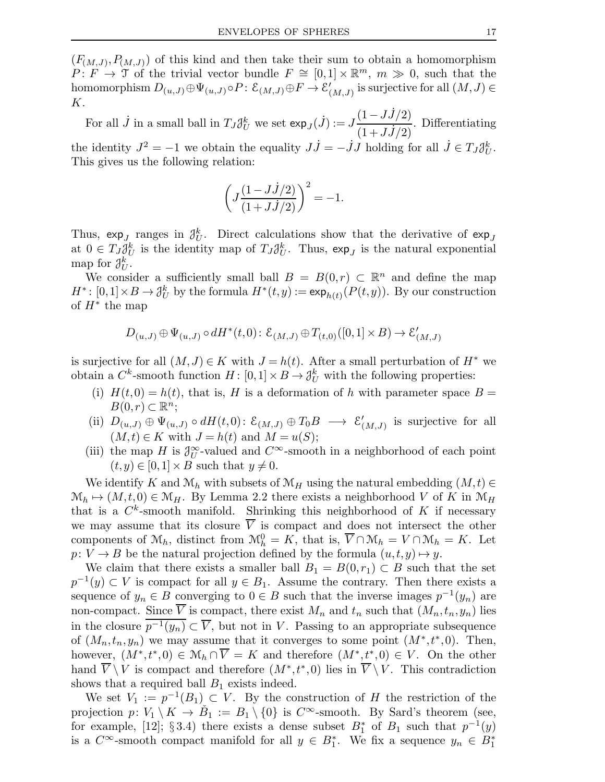$(F_{(M,J)}, P_{(M,J)})$  of this kind and then take their sum to obtain a homomorphism  $P: F \to \mathfrak{I}$  of the trivial vector bundle  $F \cong [0,1] \times \mathbb{R}^m$ ,  $m \gg 0$ , such that the homomorphism  $D_{(u,J)} \oplus \Psi_{(u,J)} \circ P \colon \mathcal{E}_{(M,J)} \oplus F \to \mathcal{E}_{(M,J)}'$  $'_{(M,J)}$  is surjective for all  $(M,J) \in$ K.

For all  $\dot{J}$  in a small ball in  $T_J \mathcal{J}_U^k$  we set  $\exp_J(\dot{J}) := J$  $(1-J\dot{J}/2)$  $\frac{(1+JJ/2)}{(1+JJ/2)}$ . Differentiating the identity  $J^2 = -1$  we obtain the equality  $J\dot{J} = -\dot{J}J$  holding for all  $\dot{J} \in T_J \mathcal{J}_U^k$ . This gives us the following relation:

$$
\left( J \frac{(1 - J \dot{J}/2)}{(1 + J \dot{J}/2)} \right)^2 = -1.
$$

Thus,  $\exp_{J}$  ranges in  $\mathcal{J}_U^k$ . Direct calculations show that the derivative of  $\exp_J$ at  $0 \in T_J \mathcal{J}_U^k$  is the identity map of  $T_J \mathcal{J}_U^k$ . Thus,  $\exp_J$  is the natural exponential map for  $\mathcal{J}_U^k$ .

We consider a sufficiently small ball  $B = B(0,r) \subset \mathbb{R}^n$  and define the map  $H^*: [0,1] \times B \to \mathcal{J}_U^k$  by the formula  $H^*(t,y) := \exp_{h(t)}(P(t,y))$ . By our construction of  $H^*$  the map

$$
D_{(u,J)} \oplus \Psi_{(u,J)} \circ dH^*(t,0) : \mathcal{E}_{(M,J)} \oplus T_{(t,0)}([0,1] \times B) \to \mathcal{E}'_{(M,J)}
$$

is surjective for all  $(M, J) \in K$  with  $J = h(t)$ . After a small perturbation of  $H^*$  we obtain a  $C^k$ -smooth function  $H: [0,1] \times B \to \mathcal{J}_U^k$  with the following properties:

- (i)  $H(t,0) = h(t)$ , that is, H is a deformation of h with parameter space  $B =$  $B(0,r) \subset \mathbb{R}^n;$
- (ii)  $D_{(u,J)} \oplus \Psi_{(u,J)} \circ dH(t,0)$ :  $\mathcal{E}_{(M,J)} \oplus T_0B \longrightarrow \mathcal{E}'_0$  $\big(_{(M,J)}\big)$  is surjective for all  $(M, t) \in K$  with  $J = h(t)$  and  $M = u(S)$ ;
- (iii) the map H is  $\partial_U^{\infty}$ -valued and  $C^{\infty}$ -smooth in a neighborhood of each point  $(t, y) \in [0, 1] \times B$  such that  $y \neq 0$ .

We identify K and  $\mathcal{M}_h$  with subsets of  $\mathcal{M}_H$  using the natural embedding  $(M, t) \in$  $\mathcal{M}_h \mapsto (M, t, 0) \in \mathcal{M}_H$ . By Lemma 2.2 there exists a neighborhood V of K in  $\mathcal{M}_H$ that is a  $C^k$ -smooth manifold. Shrinking this neighborhood of K if necessary we may assume that its closure  $V$  is compact and does not intersect the other components of  $\mathcal{M}_h$ , distinct from  $\mathcal{M}_h^0 = K$ , that is,  $\overline{V} \cap \mathcal{M}_h = V \cap \mathcal{M}_h = K$ . Let  $p: V \to B$  be the natural projection defined by the formula  $(u, t, y) \mapsto y$ .

We claim that there exists a smaller ball  $B_1 = B(0,r_1) \subset B$  such that the set  $p^{-1}(y) \subset V$  is compact for all  $y \in B_1$ . Assume the contrary. Then there exists a sequence of  $y_n \in B$  converging to  $0 \in B$  such that the inverse images  $p^{-1}(y_n)$  are non-compact. Since  $\overline{V}$  is compact, there exist  $M_n$  and  $t_n$  such that  $(M_n, t_n, y_n)$  lies in the closure  $\overline{p^{-1}(y_n)} \subset \overline{V}$ , but not in V. Passing to an appropriate subsequence of  $(M_n, t_n, y_n)$  we may assume that it converges to some point  $(M^*, t^*, 0)$ . Then, however,  $(M^*, t^*, 0) \in \mathcal{M}_h \cap \overline{V} = K$  and therefore  $(M^*, t^*, 0) \in V$ . On the other hand  $\overline{V} \setminus V$  is compact and therefore  $(M^*, t^*, 0)$  lies in  $\overline{V} \setminus V$ . This contradiction shows that a required ball  $B_1$  exists indeed.

We set  $V_1 := p^{-1}(B_1) \subset V$ . By the construction of H the restriction of the projection  $p: V_1 \setminus K \to \check{B}_1 := B_1 \setminus \{0\}$  is  $C^{\infty}$ -smooth. By Sard's theorem (see, for example, [12]; § 3.4) there exists a dense subset  $B_1^*$  of  $B_1$  such that  $p^{-1}(y)$ is a  $C^{\infty}$ -smooth compact manifold for all  $y \in B_1^*$ . We fix a sequence  $y_n \in B_1^*$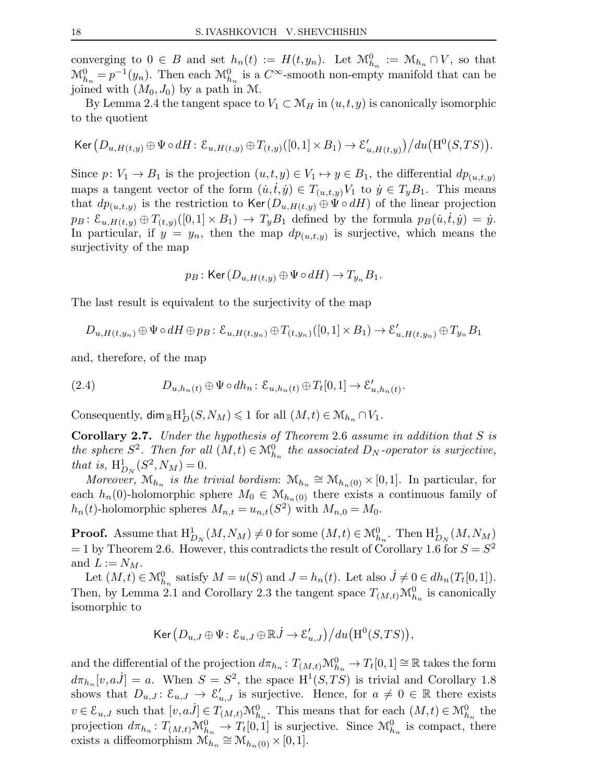converging to  $0 \in B$  and set  $h_n(t) := H(t, y_n)$ . Let  $\mathcal{M}_{h_n}^0 := \mathcal{M}_{h_n} \cap V$ , so that  $\mathcal{M}_{h_n}^0 = p^{-1}(y_n)$ . Then each  $\mathcal{M}_{h_n}^0$  is a  $C^{\infty}$ -smooth non-empty manifold that can be joined with  $(M_0, J_0)$  by a path in M.

By Lemma 2.4 the tangent space to  $V_1 \subset \mathcal{M}_H$  in  $(u, t, y)$  is canonically isomorphic to the quotient

$$
\text{Ker}\left(D_{u,H(t,y)}\oplus\Psi\circ dH\colon \mathcal{E}_{u,H(t,y)}\oplus T_{(t,y)}([0,1]\times B_1)\to \mathcal{E}'_{u,H(t,y)}\right)/du\big(\text{H}^0(S,TS)\big).
$$

Since  $p: V_1 \to B_1$  is the projection  $(u, t, y) \in V_1 \mapsto y \in B_1$ , the differential  $dp_{(u,t,y)}$ maps a tangent vector of the form  $(\dot{u}, \dot{t}, \dot{y}) \in T_{(u,t,y)}V_1$  to  $\dot{y} \in T_yB_1$ . This means that  $dp_{(u,t,y)}$  is the restriction to  $\text{Ker}(D_{u,H(t,y)} \oplus \Psi \circ dH)$  of the linear projection  $p_B: \mathcal{E}_{u,H(t,y)} \oplus T_{(t,y)}([0,1] \times B_1) \rightarrow T_yB_1$  defined by the formula  $p_B(u,t,y) = y$ . In particular, if  $y = y_n$ , then the map  $dp_{(u,t,y)}$  is surjective, which means the surjectivity of the map

$$
p_B: \text{Ker}(D_{u,H(t,y)} \oplus \Psi \circ dH) \to T_{y_n}B_1.
$$

The last result is equivalent to the surjectivity of the map

$$
D_{u,H(t,y_n)} \oplus \Psi \circ dH \oplus p_B \colon \mathcal{E}_{u,H(t,y_n)} \oplus T_{(t,y_n)}([0,1] \times B_1) \to \mathcal{E}'_{u,H(t,y_n)} \oplus T_{y_n}B_1
$$

and, therefore, of the map

(2.4) 
$$
D_{u,h_n(t)} \oplus \Psi \circ dh_n : \mathcal{E}_{u,h_n(t)} \oplus T_t[0,1] \to \mathcal{E}'_{u,h_n(t)}.
$$

Consequently,  $\dim_{\mathbb{R}}\mathrm{H}^1_D(S,N_M)\leqslant 1$  for all  $(M,t)\in \mathcal{M}_{h_n}\cap V_1$ .

**Corollary 2.7.** Under the hypothesis of Theorem 2.6 assume in addition that S is the sphere  $S^2$ . Then for all  $(M,t) \in \mathcal{M}_{h_n}^0$  the associated  $D_N$ -operator is surjective, that is,  $H^1_{D_N}(S^2, N_M) = 0.$ 

Moreover,  $\mathcal{M}_{h_n}$  is the trivial bordism:  $\mathcal{M}_{h_n} \cong \mathcal{M}_{h_n(0)} \times [0,1]$ . In particular, for each  $h_n(0)$ -holomorphic sphere  $M_0 \in \mathcal{M}_{h_n(0)}$  there exists a continuous family of  $h_n(t)$ -holomorphic spheres  $M_{n,t} = u_{n,t}(S^2)$  with  $M_{n,0} = M_0$ .

**Proof.** Assume that  $H^1_{D_N}(M, N_M) \neq 0$  for some  $(M, t) \in \mathcal{M}_{h_n}^0$ . Then  $H^1_{D_N}(M, N_M)$  $=$  1 by Theorem 2.6. However, this contradicts the result of Corollary 1.6 for  $S = S<sup>2</sup>$ and  $L := N_M$ .

Let  $(M,t) \in \mathcal{M}_{h_n}^0$  satisfy  $M = u(S)$  and  $J = h_n(t)$ . Let also  $\dot{J} \neq 0 \in dh_n(T_t[0,1])$ . Then, by Lemma 2.1 and Corollary 2.3 the tangent space  $T_{(M,t)}\mathcal{M}_{h_n}^0$  is canonically isomorphic to

$$
\operatorname{Ker} \big( D_{u,J} \oplus \Psi \colon \mathcal{E}_{u,J} \oplus \mathbb{R} \dot{J} \to \mathcal{E}'_{u,J} \big) \big/ du \big( \mathrm{H}^0(S, TS) \big),
$$

and the differential of the projection  $d\pi_{h_n}: T_{(M,t)}\mathcal{M}_{h_n}^0 \to T_t[0,1] \cong \mathbb{R}$  takes the form  $d\pi_{h_n}[v,a\dot{J}] = a$ . When  $S = S^2$ , the space  $H^1(S,TS)$  is trivial and Corollary 1.8 shows that  $D_{u,J}$ :  $\mathcal{E}_{u,J} \to \mathcal{E}'_{u,J}$  is surjective. Hence, for  $a \neq 0 \in \mathbb{R}$  there exists  $v \in \mathcal{E}_{u,J}$  such that  $[v,a^j] \in T_{(M,t)} \mathcal{M}_{h_n}^0$ . This means that for each  $(M,t) \in \mathcal{M}_{h_n}^0$  the projection  $d\pi_{h_n}: T_{(M,t)}\mathcal{M}_{h_n}^0 \to T_t[0,1]$  is surjective. Since  $\mathcal{M}_{h_n}^0$  is compact, there exists a diffeomorphism  $\mathcal{M}_{h_n} \cong \mathcal{M}_{h_n(0)} \times [0,1].$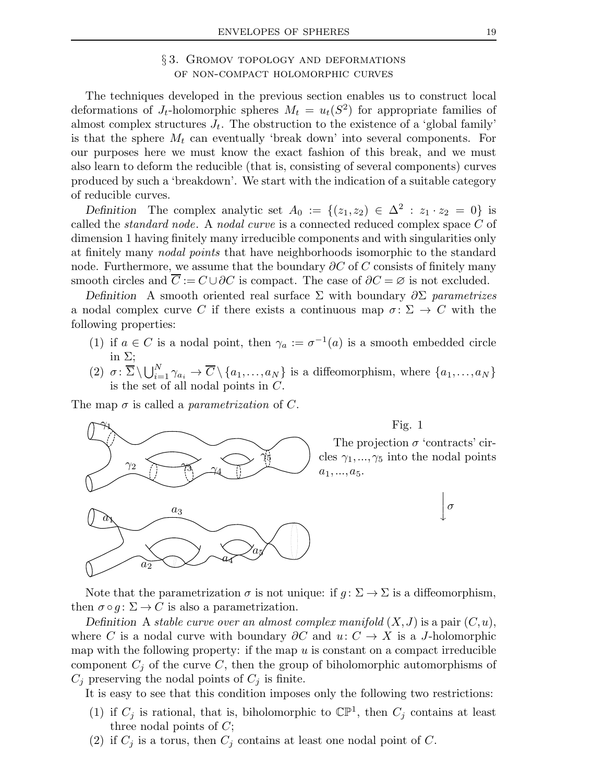### § 3. Gromov topology and deformations of non-compact holomorphic curves

The techniques developed in the previous section enables us to construct local deformations of  $J_t$ -holomorphic spheres  $M_t = u_t(S^2)$  for appropriate families of almost complex structures  $J_t$ . The obstruction to the existence of a 'global family' is that the sphere  $M_t$  can eventually 'break down' into several components. For our purposes here we must know the exact fashion of this break, and we must also learn to deform the reducible (that is, consisting of several components) curves produced by such a 'breakdown'. We start with the indication of a suitable category of reducible curves.

Definition The complex analytic set  $A_0 := \{(z_1, z_2) \in \Delta^2 : z_1 \cdot z_2 = 0\}$  is called the standard node. A nodal curve is a connected reduced complex space C of dimension 1 having finitely many irreducible components and with singularities only at finitely many nodal points that have neighborhoods isomorphic to the standard node. Furthermore, we assume that the boundary  $\partial C$  of C consists of finitely many smooth circles and  $\overline{C} := C \cup \partial C$  is compact. The case of  $\partial C = \emptyset$  is not excluded.

Definition A smooth oriented real surface  $\Sigma$  with boundary  $\partial \Sigma$  parametrizes a nodal complex curve C if there exists a continuous map  $\sigma: \Sigma \to C$  with the following properties:

- (1) if  $a \in C$  is a nodal point, then  $\gamma_a := \sigma^{-1}(a)$  is a smooth embedded circle in  $\Sigma$ ;
- (2)  $\sigma: \overline{\Sigma} \setminus \bigcup_{i=1}^N \gamma_{a_i} \to \overline{C} \setminus \{a_1,\ldots,a_N\}$  is a diffeomorphism, where  $\{a_1,\ldots,a_N\}$ is the set of all nodal points in C.

The map  $\sigma$  is called a *parametrization* of C.



Note that the parametrization  $\sigma$  is not unique: if  $g: \Sigma \to \Sigma$  is a diffeomorphism, then  $\sigma \circ g : \Sigma \to C$  is also a parametrization.

Definition A stable curve over an almost complex manifold  $(X, J)$  is a pair  $(C, u)$ , where C is a nodal curve with boundary  $\partial C$  and  $u: C \to X$  is a J-holomorphic map with the following property: if the map  $u$  is constant on a compact irreducible component  $C_i$  of the curve C, then the group of biholomorphic automorphisms of  $C_j$  preserving the nodal points of  $C_j$  is finite.

It is easy to see that this condition imposes only the following two restrictions:

- (1) if  $C_j$  is rational, that is, biholomorphic to  $\mathbb{CP}^1$ , then  $C_j$  contains at least three nodal points of  $C$ ;
- (2) if  $C_j$  is a torus, then  $C_j$  contains at least one nodal point of C.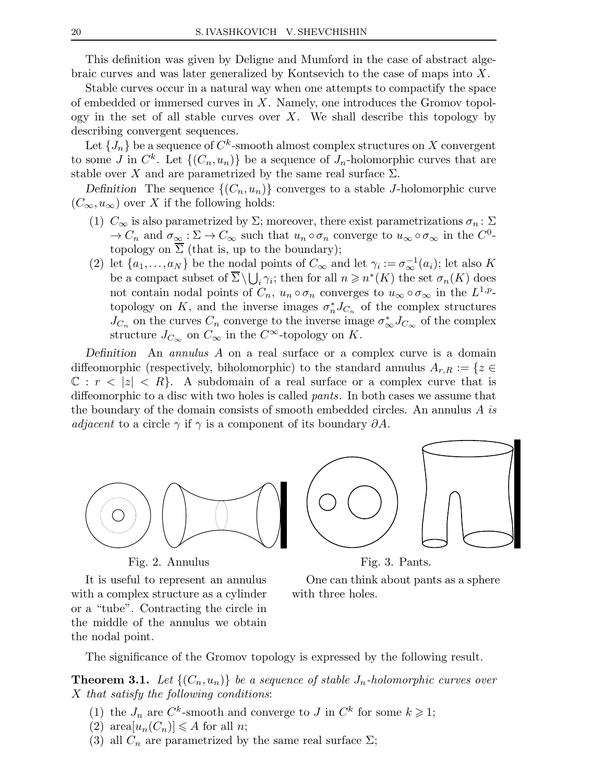This definition was given by Deligne and Mumford in the case of abstract algebraic curves and was later generalized by Kontsevich to the case of maps into X.

Stable curves occur in a natural way when one attempts to compactify the space of embedded or immersed curves in X. Namely, one introduces the Gromov topology in the set of all stable curves over  $X$ . We shall describe this topology by describing convergent sequences.

Let  $\{J_n\}$  be a sequence of  $C^k$ -smooth almost complex structures on  $X$  convergent to some J in  $C^k$ . Let  $\{(C_n, u_n)\}\)$  be a sequence of  $J_n$ -holomorphic curves that are stable over X and are parametrized by the same real surface  $\Sigma$ .

Definition The sequence  $\{(C_n, u_n)\}\)$  converges to a stable J-holomorphic curve  $(C_{\infty}, u_{\infty})$  over X if the following holds:

- (1)  $C_{\infty}$  is also parametrized by  $\Sigma$ ; moreover, there exist parametrizations  $\sigma_n : \Sigma$  $\to C_n$  and  $\sigma_{\infty} : \Sigma \to C_{\infty}$  such that  $u_n \circ \sigma_n$  converge to  $u_{\infty} \circ \sigma_{\infty}$  in the  $C^0$ topology on  $\overline{\Sigma}$  (that is, up to the boundary);
- (2) let  $\{a_1,\ldots,a_N\}$  be the nodal points of  $C_\infty$  and let  $\gamma_i := \sigma_\infty^{-1}(a_i)$ ; let also K be a compact subset of  $\overline{\Sigma}\setminus\bigcup_i\gamma_i$ ; then for all  $n\geqslant n^*(K)$  the set  $\sigma_n(K)$  does not contain nodal points of  $C_n$ ,  $u_n \circ \sigma_n$  converges to  $u_{\infty} \circ \sigma_{\infty}$  in the  $L^{1,p}$ topology on K, and the inverse images  $\sigma_n^* J_{C_n}$  of the complex structures  $J_{C_n}$  on the curves  $C_n$  converge to the inverse image  $\sigma_{\infty}^* J_{C_{\infty}}$  of the complex structure  $J_{C_{\infty}}$  on  $C_{\infty}$  in the  $C^{\infty}$ -topology on K.

Definition An annulus A on a real surface or a complex curve is a domain diffeomorphic (respectively, biholomorphic) to the standard annulus  $A_{r,R} := \{z \in$  $\mathbb{C}: r < |z| < R$ . A subdomain of a real surface or a complex curve that is diffeomorphic to a disc with two holes is called pants. In both cases we assume that the boundary of the domain consists of smooth embedded circles. An annulus A is *adjacent* to a circle  $\gamma$  if  $\gamma$  is a component of its boundary  $\partial A$ .



Fig. 2. Annulus

Fig. 3. Pants.

It is useful to represent an annulus with a complex structure as a cylinder or a "tube". Contracting the circle in the middle of the annulus we obtain the nodal point.

One can think about pants as a sphere with three holes.

The significance of the Gromov topology is expressed by the following result.

**Theorem 3.1.** Let  $\{(C_n, u_n)\}\)$  be a sequence of stable  $J_n$ -holomorphic curves over X that satisfy the following conditions:

- (1) the  $J_n$  are  $C^k$ -smooth and converge to  $J$  in  $C^k$  for some  $k \geq 1$ ;
- (2) area $[u_n(C_n)] \leq A$  for all *n*;
- (3) all  $C_n$  are parametrized by the same real surface  $\Sigma$ ;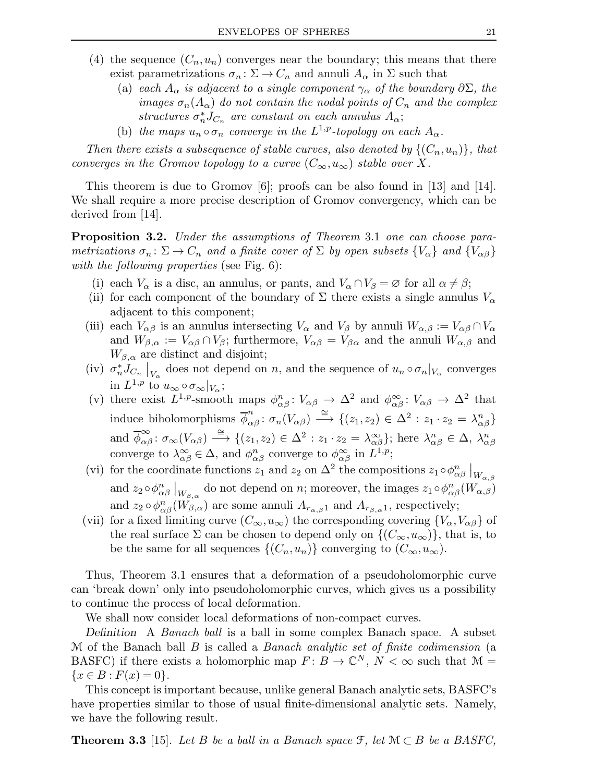- (4) the sequence  $(C_n, u_n)$  converges near the boundary; this means that there exist parametrizations  $\sigma_n : \Sigma \to C_n$  and annuli  $A_\alpha$  in  $\Sigma$  such that
	- (a) each  $A_{\alpha}$  is adjacent to a single component  $\gamma_{\alpha}$  of the boundary  $\partial \Sigma$ , the images  $\sigma_n(A_\alpha)$  do not contain the nodal points of  $C_n$  and the complex structures  $\sigma_n^* J_{C_n}$  are constant on each annulus  $A_{\alpha}$ ;
	- (b) the maps  $u_n \circ \sigma_n$  converge in the  $L^{1,p}$ -topology on each  $A_\alpha$ .

Then there exists a subsequence of stable curves, also denoted by  $\{(C_n, u_n)\}\$ , that converges in the Gromov topology to a curve  $(C_{\infty}, u_{\infty})$  stable over X.

This theorem is due to Gromov [6]; proofs can be also found in [13] and [14]. We shall require a more precise description of Gromov convergency, which can be derived from [14].

Proposition 3.2. Under the assumptions of Theorem 3.1 one can choose parametrizations  $\sigma_n : \Sigma \to C_n$  and a finite cover of  $\Sigma$  by open subsets  $\{V_\alpha\}$  and  $\{V_{\alpha\beta}\}$ with the following properties (see Fig. 6):

- (i) each  $V_{\alpha}$  is a disc, an annulus, or pants, and  $V_{\alpha} \cap V_{\beta} = \emptyset$  for all  $\alpha \neq \beta$ ;
- (ii) for each component of the boundary of  $\Sigma$  there exists a single annulus  $V_{\alpha}$ adjacent to this component;
- (iii) each  $V_{\alpha\beta}$  is an annulus intersecting  $V_{\alpha}$  and  $V_{\beta}$  by annuli  $W_{\alpha,\beta} := V_{\alpha\beta} \cap V_{\alpha}$ and  $W_{\beta,\alpha} := V_{\alpha\beta} \cap V_{\beta}$ ; furthermore,  $V_{\alpha\beta} = V_{\beta\alpha}$  and the annuli  $W_{\alpha,\beta}$  and  $W_{\beta,\alpha}$  are distinct and disjoint;
- (iv)  $\sigma_n^* \overline{J}_{C_n} \big|_{V_\alpha}$  does not depend on n, and the sequence of  $u_n \circ \sigma_n|_{V_\alpha}$  converges in  $L^{1,p}$  to  $u_{\infty} \circ \sigma_{\infty}|_{V_{\alpha}}$ ;
- (v) there exist  $L^{1,p}$ -smooth maps  $\phi^n_{\alpha\beta} : V_{\alpha\beta} \to \Delta^2$  and  $\phi^{\infty}_{\alpha\beta} : V_{\alpha\beta} \to \Delta^2$  that induce biholomorphisms  $\overline{\phi}_{\alpha\beta}^n : \sigma_n(V_{\alpha\beta}) \stackrel{\cong}{\longrightarrow} \{(z_1, z_2) \in \Delta^2 : z_1 \cdot z_2 = \lambda_{\alpha\beta}^n\}$ and  $\overline{\phi}^{\infty}_{\alpha\beta}$ :  $\sigma_{\infty}(V_{\alpha\beta}) \stackrel{\cong}{\longrightarrow} \{(z_1, z_2) \in \Delta^2 : z_1 \cdot z_2 = \lambda^{\infty}_{\alpha\beta}\}\;$  here  $\lambda^{n}_{\alpha\beta} \in \Delta$ ,  $\lambda^{n}_{\alpha\beta}$ converge to  $\lambda^{\infty}_{\alpha\beta} \in \Delta$ , and  $\phi^{n}_{\alpha\beta}$  converge to  $\phi^{\infty}_{\alpha\beta}$  in  $L^{1,p}$ ;
- (vi) for the coordinate functions  $z_1$  and  $z_2$  on  $\Delta^2$  the compositions  $z_1 \circ \phi_{\alpha\beta}^n|_{W_{\alpha,\beta}}$ and  $z_2 \circ \phi^n_{\alpha\beta} \big|_{W_{\beta,\alpha}}$  do not depend on n; moreover, the images  $z_1 \circ \phi^n_{\alpha\beta}(W_{\alpha,\beta})$ and  $z_2 \circ \phi^n_{\alpha\beta}(W_{\beta,\alpha})$  are some annuli  $A_{r_{\alpha,\beta}1}$  and  $A_{r_{\beta,\alpha}1}$ , respectively;
- (vii) for a fixed limiting curve  $(C_{\infty}, u_{\infty})$  the corresponding covering  $\{V_{\alpha}, V_{\alpha\beta}\}\$  of the real surface  $\Sigma$  can be chosen to depend only on  $\{(C_{\infty}, u_{\infty})\}\)$ , that is, to be the same for all sequences  $\{(C_n, u_n)\}\$ converging to  $(C_\infty, u_\infty)$ .

Thus, Theorem 3.1 ensures that a deformation of a pseudoholomorphic curve can 'break down' only into pseudoholomorphic curves, which gives us a possibility to continue the process of local deformation.

We shall now consider local deformations of non-compact curves.

Definition A Banach ball is a ball in some complex Banach space. A subset M of the Banach ball  $B$  is called a *Banach analytic set of finite codimension* (a BASFC) if there exists a holomorphic map  $F: B \to \mathbb{C}^N$ ,  $N < \infty$  such that  $\mathcal{M} =$  $\{x \in B : F(x) = 0\}.$ 

This concept is important because, unlike general Banach analytic sets, BASFC's have properties similar to those of usual finite-dimensional analytic sets. Namely, we have the following result.

**Theorem 3.3** [15]. Let B be a ball in a Banach space  $\mathcal{F}$ , let  $\mathcal{M} \subset B$  be a BASFC,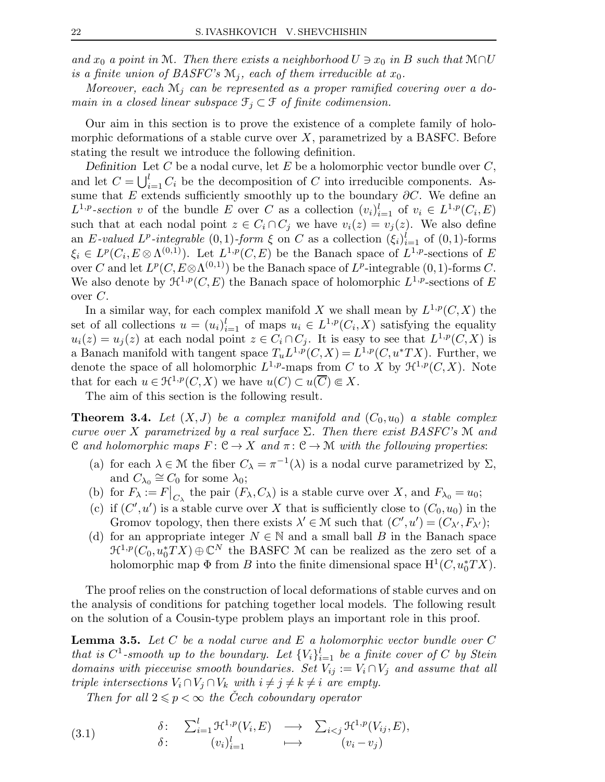and  $x_0$  a point in M. Then there exists a neighborhood  $U \ni x_0$  in B such that M∩U is a finite union of BASFC's  $\mathcal{M}_i$ , each of them irreducible at  $x_0$ .

Moreover, each  $\mathcal{M}_i$  can be represented as a proper ramified covering over a domain in a closed linear subspace  $\mathcal{F}_i \subset \mathcal{F}$  of finite codimension.

Our aim in this section is to prove the existence of a complete family of holomorphic deformations of a stable curve over  $X$ , parametrized by a BASFC. Before stating the result we introduce the following definition.

Definition Let C be a nodal curve, let E be a holomorphic vector bundle over  $C$ , and let  $C = \bigcup_{i=1}^{l} C_i$  be the decomposition of C into irreducible components. Assume that E extends sufficiently smoothly up to the boundary  $\partial C$ . We define an  $L^{1,p}$ -section v of the bundle E over C as a collection  $(v_i)_{i=1}^l$  of  $v_i \in L^{1,p}(C_i, E)$ such that at each nodal point  $z \in C_i \cap C_j$  we have  $v_i(z) = v_j(z)$ . We also define an E-valued L<sup>p</sup>-integrable (0,1)-form  $\xi$  on C as a collection  $(\xi_i)_{i=1}^l$  of (0,1)-forms  $\xi_i \in L^p(C_i, E \otimes \Lambda^{(0,1)})$ . Let  $L^{1,p}(C, E)$  be the Banach space of  $L^{1,p}$ -sections of E over C and let  $L^p(C, E \otimes \Lambda^{(0,1)})$  be the Banach space of  $L^p$ -integrable  $(0,1)$ -forms C. We also denote by  $\mathfrak{H}^{1,p}(C,E)$  the Banach space of holomorphic  $L^{1,p}$ -sections of E over C.

In a similar way, for each complex manifold X we shall mean by  $L^{1,p}(C,X)$  the set of all collections  $u = (u_i)_{i=1}^l$  of maps  $u_i \in L^{1,p}(C_i,X)$  satisfying the equality  $u_i(z) = u_j(z)$  at each nodal point  $z \in C_i \cap C_j$ . It is easy to see that  $L^{1,p}(C,X)$  is a Banach manifold with tangent space  $T_u L^{1,p}(C, X) = L^{1,p}(C, u^*TX)$ . Further, we denote the space of all holomorphic  $L^{1,p}$ -maps from C to X by  $\mathcal{H}^{1,p}(C,X)$ . Note that for each  $u \in \mathfrak{H}^{1,p}(C,X)$  we have  $u(C) \subset u(\overline{C}) \Subset X$ .

The aim of this section is the following result.

**Theorem 3.4.** Let  $(X, J)$  be a complex manifold and  $(C_0, u_0)$  a stable complex curve over X parametrized by a real surface  $\Sigma$ . Then there exist BASFC's M and C and holomorphic maps  $F: \mathcal{C} \to X$  and  $\pi: \mathcal{C} \to \mathcal{M}$  with the following properties:

- (a) for each  $\lambda \in \mathcal{M}$  the fiber  $C_{\lambda} = \pi^{-1}(\lambda)$  is a nodal curve parametrized by  $\Sigma$ , and  $C_{\lambda_0} \cong C_0$  for some  $\lambda_0$ ;
- (b) for  $F_{\lambda} := F\big|_{C_{\lambda}}$  the pair  $(F_{\lambda}, C_{\lambda})$  is a stable curve over X, and  $F_{\lambda_0} = u_0$ ;
- (c) if  $(C', u')$  is a stable curve over X that is sufficiently close to  $(C_0, u_0)$  in the Gromov topology, then there exists  $\lambda' \in \mathcal{M}$  such that  $(C', u') = (C_{\lambda'}, F_{\lambda'})$ ;
- (d) for an appropriate integer  $N \in \mathbb{N}$  and a small ball B in the Banach space  $\mathfrak{R}^{1,p}(C_0,u_0^*TX)\oplus \mathbb{C}^N$  the BASFC M can be realized as the zero set of a holomorphic map  $\Phi$  from B into the finite dimensional space  $H^1(C, u_0^*TX)$ .

The proof relies on the construction of local deformations of stable curves and on the analysis of conditions for patching together local models. The following result on the solution of a Cousin-type problem plays an important role in this proof.

**Lemma 3.5.** Let C be a nodal curve and E a holomorphic vector bundle over C that is  $C^1$ -smooth up to the boundary. Let  ${V_i}_{i=1}^l$  be a finite cover of C by Stein domains with piecewise smooth boundaries. Set  $V_{ij} := V_i \cap V_j$  and assume that all triple intersections  $V_i \cap V_j \cap V_k$  with  $i \neq j \neq k \neq i$  are empty.

Then for all  $2 \leq p \leq \infty$  the Cech coboundary operator

(3.1) 
$$
\begin{array}{cccc} \delta: & \sum_{i=1}^{l} \mathfrak{H}^{1,p}(V_i,E) & \longrightarrow & \sum_{i < j} \mathfrak{H}^{1,p}(V_{ij},E), \\ & \delta: & (v_i)_{i=1}^l & \longmapsto & (v_i - v_j) \end{array}
$$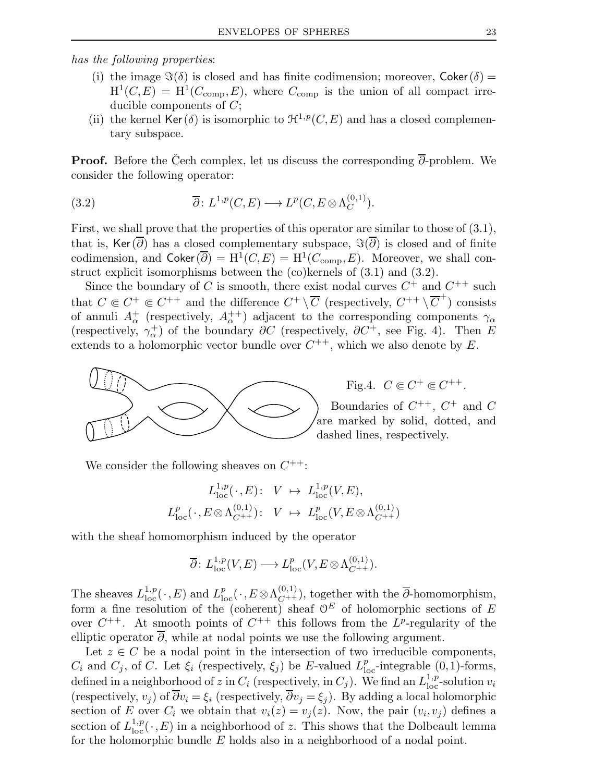has the following properties:

- (i) the image  $\Im(\delta)$  is closed and has finite codimension; moreover, Coker $(\delta)$  =  $H^1(C, E) = H^1(C_{\text{comp}}, E)$ , where  $C_{\text{comp}}$  is the union of all compact irreducible components of C;
- (ii) the kernel Ker( $\delta$ ) is isomorphic to  $\mathcal{H}^{1,p}(C,E)$  and has a closed complementary subspace.

**Proof.** Before the Čech complex, let us discuss the corresponding  $\overline{\partial}$ -problem. We consider the following operator:

(3.2) 
$$
\overline{\partial} \colon L^{1,p}(C,E) \longrightarrow L^p(C,E \otimes \Lambda_C^{(0,1)}).
$$

First, we shall prove that the properties of this operator are similar to those of (3.1), that is, Ker $(\partial)$  has a closed complementary subspace,  $\Im(\partial)$  is closed and of finite codimension, and  $\mathsf{Coker}(\overline{\partial}) = \mathrm{H}^1(C, E) = \mathrm{H}^1(C_{\mathrm{comp}}, E)$ . Moreover, we shall construct explicit isomorphisms between the (co)kernels of (3.1) and (3.2).

Since the boundary of C is smooth, there exist nodal curves  $C^+$  and  $C^{++}$  such that  $C \in C^+ \subseteq C^{++}$  and the difference  $C^+ \setminus \overline{C}$  (respectively,  $C^{++} \setminus \overline{C}^+$ ) consists of annuli  $A^+_\alpha$  (respectively,  $A^{++}_\alpha$ ) adjacent to the corresponding components  $\gamma_\alpha$ (respectively,  $\gamma_{\alpha}^{+}$ ) of the boundary  $\partial C$  (respectively,  $\partial C^{+}$ , see Fig. 4). Then E extends to a holomorphic vector bundle over  $C^{++}$ , which we also denote by E.



Fig.4.  $C \in C^+ \in C^{++}$ .

Boundaries of  $C^{++}$ ,  $C^+$  and  $C$ are marked by solid, dotted, and dashed lines, respectively.

We consider the following sheaves on  $C^{++}$ :

$$
L_{\text{loc}}^{1,p}(\cdot,E): V \mapsto L_{\text{loc}}^{1,p}(V,E),
$$
  

$$
L_{\text{loc}}^{p}(\cdot,E \otimes \Lambda_{C^{++}}^{(0,1)}): V \mapsto L_{\text{loc}}^{p}(V,E \otimes \Lambda_{C^{++}}^{(0,1)})
$$

with the sheaf homomorphism induced by the operator

$$
\overline{\partial} \colon L_{\mathrm{loc}}^{1,p}(V,E) \longrightarrow L_{\mathrm{loc}}^p(V,E \otimes \Lambda_{C^{++}}^{(0,1)}).
$$

The sheaves  $L^{1,p}_{loc}(\cdot,E)$  and  $L^p_{loc}(\cdot,E\otimes \Lambda^{(0,1)}_{C^{++}})$ , together with the  $\overline{\partial}$ -homomorphism, form a fine resolution of the (coherent) sheaf  $\mathcal{O}^E$  of holomorphic sections of E over  $C^{++}$ . At smooth points of  $C^{++}$  this follows from the  $L^p$ -regularity of the elliptic operator  $\partial$ , while at nodal points we use the following argument.

Let  $z \in C$  be a nodal point in the intersection of two irreducible components,  $C_i$  and  $C_j$ , of C. Let  $\xi_i$  (respectively,  $\xi_j$ ) be E-valued  $L_{\text{loc}}^p$ -integrable  $(0,1)$ -forms, defined in a neighborhood of z in  $C_i$  (respectively, in  $C_j$ ). We find an  $L^{1,p}_{loc}$ -solution  $v_i$ (respectively,  $v_j$ ) of  $\overline{\partial} v_i = \xi_i$  (respectively,  $\overline{\partial} v_j = \xi_j$ ). By adding a local holomorphic section of E over  $C_i$  we obtain that  $v_i(z) = v_j(z)$ . Now, the pair  $(v_i, v_j)$  defines a section of  $L^{1,p}_{loc}(\cdot,E)$  in a neighborhood of z. This shows that the Dolbeault lemma for the holomorphic bundle  $E$  holds also in a neighborhood of a nodal point.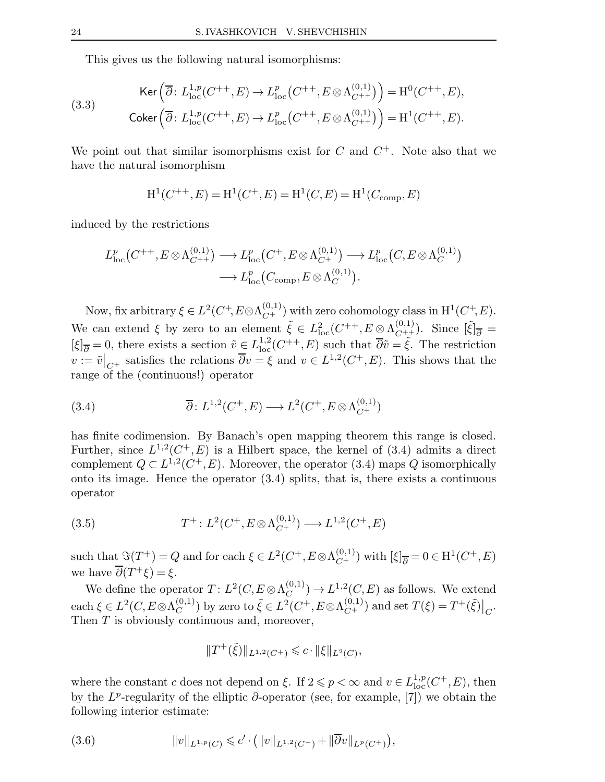This gives us the following natural isomorphisms:

(3.3) 
$$
\text{Ker}\left(\overline{\partial}: L_{\text{loc}}^{1,p}(C^{++}, E) \to L_{\text{loc}}^p(C^{++}, E \otimes \Lambda_{C^{++}}^{(0,1)})\right) = \text{H}^0(C^{++}, E),
$$

$$
\text{Coker}\left(\overline{\partial}: L_{\text{loc}}^{1,p}(C^{++}, E) \to L_{\text{loc}}^p(C^{++}, E \otimes \Lambda_{C^{++}}^{(0,1)})\right) = \text{H}^1(C^{++}, E).
$$

We point out that similar isomorphisms exist for  $C$  and  $C^+$ . Note also that we have the natural isomorphism

$$
H^{1}(C^{++}, E) = H^{1}(C^{+}, E) = H^{1}(C, E) = H^{1}(C_{comp}, E)
$$

induced by the restrictions

$$
L_{\mathrm{loc}}^p(C^{++}, E \otimes \Lambda_{C^{++}}^{(0,1)}) \longrightarrow L_{\mathrm{loc}}^p(C^+, E \otimes \Lambda_{C^+}^{(0,1)}) \longrightarrow L_{\mathrm{loc}}^p(C, E \otimes \Lambda_C^{(0,1)}) \longrightarrow L_{\mathrm{loc}}^p(C_{\mathrm{comp}}, E \otimes \Lambda_C^{(0,1)}).
$$

Now, fix arbitrary  $\xi \in L^2(C^+, E \otimes \Lambda_{C^+}^{(0,1)})$  with zero cohomology class in  $\mathrm{H}^1(C^+, E)$ . We can extend  $\xi$  by zero to an element  $\tilde{\xi} \in L^2_{\text{loc}}(C^{++}, E \otimes \Lambda_{C^{++}}^{(0,1)})$ . Since  $[\tilde{\xi}]_{\overline{\partial}} =$  $[\xi]_{\overline{\partial}} = 0$ , there exists a section  $\tilde{v} \in L^{1,2}_{loc}(C^{++}, E)$  such that  $\overline{\partial}\tilde{v} = \tilde{\xi}$ . The restriction  $\overline{v} := \overline{v}|_{C^+}$  satisfies the relations  $\overline{\partial} v = \xi$  and  $v \in L^{1,2}(C^+, E)$ . This shows that the range of the (continuous!) operator

(3.4) 
$$
\overline{\partial}: L^{1,2}(C^+, E) \longrightarrow L^2(C^+, E \otimes \Lambda_{C^+}^{(0,1)})
$$

has finite codimension. By Banach's open mapping theorem this range is closed. Further, since  $L^{1,2}(C^+,E)$  is a Hilbert space, the kernel of (3.4) admits a direct complement  $Q \subset L^{1,2}(C^+, E)$ . Moreover, the operator (3.4) maps Q isomorphically onto its image. Hence the operator  $(3.4)$  splits, that is, there exists a continuous operator

(3.5) 
$$
T^+ : L^2(C^+, E \otimes \Lambda_{C^+}^{(0,1)}) \longrightarrow L^{1,2}(C^+, E)
$$

such that  $\Im(T^+) = Q$  and for each  $\xi \in L^2(C^+, E \otimes \Lambda_{C^+}^{(0,1)})$  with  $[\xi]_{\overline{\partial}} = 0 \in H^1(C^+, E)$ we have  $\overline{\partial}(T^+\xi) = \xi$ .

We define the operator  $T: L^2(C, E \otimes \Lambda_C^{(0,1)})$  $C^{(0,1)}$   $\rightarrow$   $L^{1,2}(C,E)$  as follows. We extend each  $\xi \in L^2(C, E\otimes \Lambda_C^{(0,1)})$  $(C^{(0,1)}_{C})$  by zero to  $\tilde{\xi} \in L^2(C^+, E \otimes \Lambda_{C^+}^{(0,1)})$  and set  $T(\xi) = T^+(\tilde{\xi})\big|_{C}$ . Then T is obviously continuous and, moreover,

$$
||T^+(\tilde{\xi})||_{L^{1,2}(C^+)} \leqslant c \cdot ||\xi||_{L^2(C)},
$$

where the constant c does not depend on  $\xi$ . If  $2 \leq p < \infty$  and  $v \in L^{1,p}_{loc}(C^+, E)$ , then by the  $L^p$ -regularity of the elliptic  $\overline{\partial}$ -operator (see, for example, [7]) we obtain the following interior estimate:

(3.6) 
$$
||v||_{L^{1,p}(C)} \leqslant c' \cdot (||v||_{L^{1,2}(C^+)} + ||\overline{\partial}v||_{L^p(C^+)}),
$$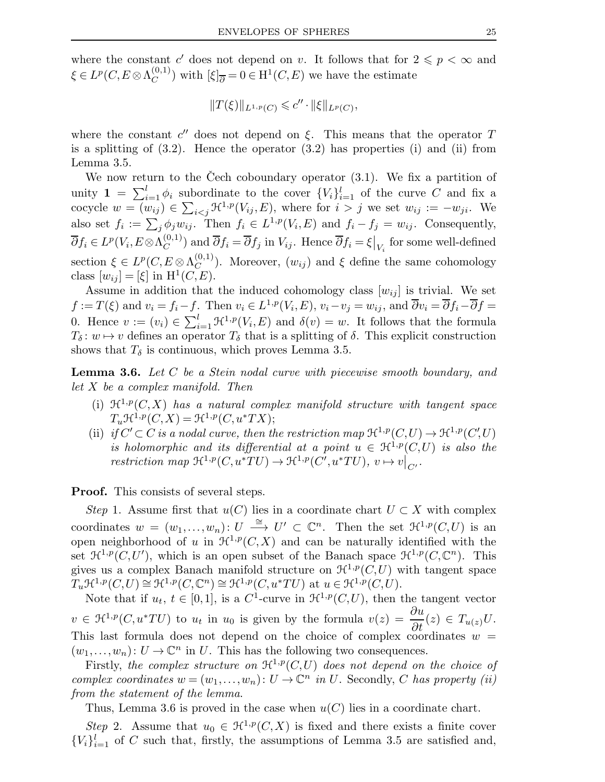where the constant c' does not depend on v. It follows that for  $2 \leqslant p < \infty$  and  $\xi\in L^p(C,E\mathop{\otimes}\Lambda^{(0,1)}_C)$  $(C^{(0,1)}_{C})$  with  $[\xi]_{\overline{\partial}} = 0 \in H^1(C, E)$  we have the estimate

$$
||T(\xi)||_{L^{1,p}(C)} \leqslant c'' \cdot ||\xi||_{L^p(C)},
$$

where the constant  $c''$  does not depend on  $\xi$ . This means that the operator T is a splitting of  $(3.2)$ . Hence the operator  $(3.2)$  has properties  $(i)$  and  $(ii)$  from Lemma 3.5.

We now return to the Cech coboundary operator  $(3.1)$ . We fix a partition of unity  $\mathbf{1} = \sum_{i=1}^{l} \phi_i$  subordinate to the cover  $\{V_i\}_{i=1}^{l}$  of the curve C and fix a cocycle  $w = (w_{ij}) \in \sum_{i < j} \mathcal{H}^{1,p}(V_{ij}, E)$ , where for  $i > j$  we set  $w_{ij} := -w_{ji}$ . We also set  $f_i := \sum_j \phi_j w_{ij}$ . Then  $f_i \in L^{1,p}(V_i, E)$  and  $f_i - f_j = w_{ij}$ . Consequently,  $\overline{\partial}f_i\in L^p(V_i, E{\mathord{ \otimes } } \Lambda^{(0,1)}_C$  $(C^{(0,1)}_C)$  and  $\overline{\partial} f_i = \overline{\partial} f_j$  in  $V_{ij}$ . Hence  $\overline{\partial} f_i = \xi \big|_{V_i}$  for some well-defined section  $\xi \in L^p(C, E \otimes \Lambda_C^{(0,1)})$  $(C<sup>(0,1)</sup>)$ . Moreover,  $(w_{ij})$  and  $\xi$  define the same cohomology class  $[w_{ij}] = [\xi]$  in  $H^1(C, E)$ .

Assume in addition that the induced cohomology class  $[w_{ij}]$  is trivial. We set  $f := T(\xi)$  and  $v_i = f_i - f$ . Then  $v_i \in L^{1,p}(V_i, E)$ ,  $v_i - v_j = w_{ij}$ , and  $\overline{\partial}v_i = \overline{\partial}f_i - \overline{\partial}f =$ 0. Hence  $v := (v_i) \in \sum_{i=1}^l \mathfrak{H}^{1,p}(V_i,E)$  and  $\delta(v) = w$ . It follows that the formula  $T_{\delta} : w \mapsto v$  defines an operator  $T_{\delta}$  that is a splitting of  $\delta$ . This explicit construction shows that  $T_{\delta}$  is continuous, which proves Lemma 3.5.

**Lemma 3.6.** Let  $C$  be a Stein nodal curve with piecewise smooth boundary, and let X be a complex manifold. Then

- (i)  $\mathfrak{H}^{1,p}(C,X)$  has a natural complex manifold structure with tangent space  $T_u \mathcal{H}^{1,p}(C,X) = \mathcal{H}^{1,p}(C,u^*TX);$
- (ii) if  $C' \subset C$  is a nodal curve, then the restriction map  $\mathfrak{H}^{1,p}(C,U) \to \mathfrak{H}^{1,p}(C',U)$ is holomorphic and its differential at a point  $u \in \mathcal{H}^{1,p}(C,U)$  is also the  $restriction\ map\ \mathfrak{H}^{1,p}(C,u^*TU)\rightarrow \mathfrak{H}^{1,p}(C',u^*TU),\ v\mapsto v\big|_{C'}$ .

Proof. This consists of several steps.

Step 1. Assume first that  $u(C)$  lies in a coordinate chart  $U \subset X$  with complex coordinates  $w = (w_1, \ldots, w_n) : U \stackrel{\cong}{\longrightarrow} U' \subset \mathbb{C}^n$ . Then the set  $\mathcal{H}^{1,p}(C,U)$  is an open neighborhood of u in  $\mathcal{H}^{1,p}(C,X)$  and can be naturally identified with the set  $\mathfrak{H}^{1,p}(C,U')$ , which is an open subset of the Banach space  $\mathfrak{H}^{1,p}(C,\mathbb{C}^n)$ . This gives us a complex Banach manifold structure on  $\mathcal{H}^{1,p}(C,U)$  with tangent space  $T_u \mathfrak{H}^{1,p}(C,U) \cong \mathfrak{H}^{1,p}(C,\mathbb{C}^n) \cong \mathfrak{H}^{1,p}(C,u^*TU)$  at  $u \in \mathfrak{H}^{1,p}(C,U)$ .

Note that if  $u_t, t \in [0,1]$ , is a C<sup>1</sup>-curve in  $\mathcal{H}^{1,p}(C,U)$ , then the tangent vector  $v \in \mathfrak{H}^{1,p}(C, u^*TU)$  to  $u_t$  in  $u_0$  is given by the formula  $v(z) = \frac{\partial u}{\partial t}(z) \in T_{u(z)}U$ . This last formula does not depend on the choice of complex coordinates  $w =$  $(w_1,...,w_n): U \to \mathbb{C}^n$  in U. This has the following two consequences.

Firstly, the complex structure on  $\mathfrak{H}^{1,p}(C,U)$  does not depend on the choice of complex coordinates  $w = (w_1, \ldots, w_n) : U \to \mathbb{C}^n$  in U. Secondly, C has property (ii) from the statement of the lemma.

Thus, Lemma 3.6 is proved in the case when  $u(C)$  lies in a coordinate chart.

Step 2. Assume that  $u_0 \in \mathcal{H}^{1,p}(C,X)$  is fixed and there exists a finite cover  ${V_i}_{i=1}^l$  of C such that, firstly, the assumptions of Lemma 3.5 are satisfied and,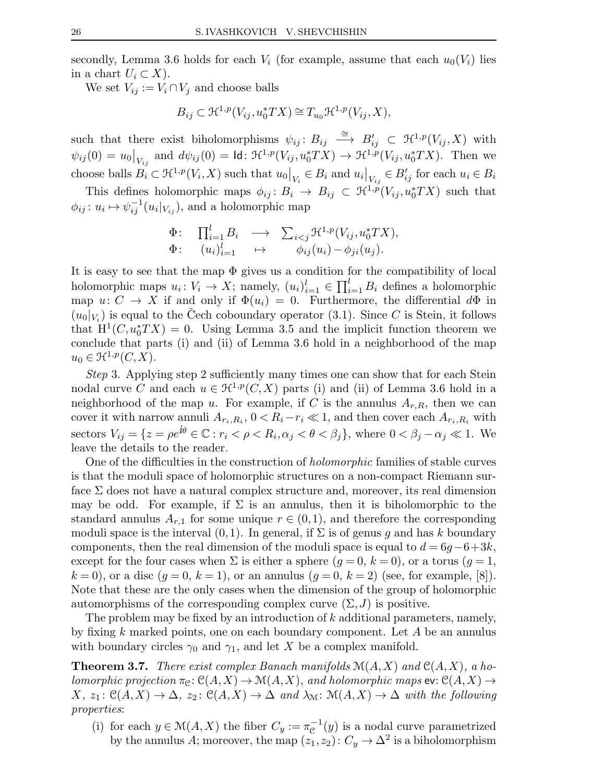secondly, Lemma 3.6 holds for each  $V_i$  (for example, assume that each  $u_0(V_i)$  lies in a chart  $U_i \subset X$ ).

We set  $V_{ij} := V_i \cap V_j$  and choose balls

$$
B_{ij} \subset \mathfrak{H}^{1,p}(V_{ij}, u_0^* TX) \cong T_{u_0} \mathfrak{H}^{1,p}(V_{ij}, X),
$$

such that there exist biholomorphisms  $\psi_{ij} : B_{ij} \longrightarrow B'_{ij} \subset \mathcal{H}^{1,p}(V_{ij},X)$  with  $\psi_{ij}(0) = u_0|_{V_{ij}}$  and  $d\psi_{ij}(0) = \mathsf{Id} \colon \mathfrak{H}^{1,p}(V_{ij}, u_0^*TX) \to \mathfrak{H}^{1,p}(V_{ij}, u_0^*TX)$ . Then we choose balls  $B_i \subset \mathcal{H}^{1,p}(V_i,X)$  such that  $u_0|_{V_i} \in B_i$  and  $u_i|_{V_{i,j}} \in B'_{ij}$  for each  $u_i \in B_i$ 

This defines holomorphic maps  $\phi_{ij}: B_i \to B_{ij} \subset \mathfrak{H}^{1,p}(V_{ij}, u_0^*TX)$  such that  $\phi_{ij}: u_i \mapsto \psi_{ij}^{-1}(u_i|_{V_{ij}})$ , and a holomorphic map

$$
\Phi: \prod_{i=1}^l B_i \longrightarrow \sum_{i < j} \mathcal{H}^{1,p}(V_{ij}, u_0^* TX),
$$
  

$$
\Phi: \quad (u_i)_{i=1}^l \longrightarrow \phi_{ij}(u_i) - \phi_{ji}(u_j).
$$

It is easy to see that the map  $\Phi$  gives us a condition for the compatibility of local holomorphic maps  $u_i: V_i \to X$ ; namely,  $(u_i)_{i=1}^l \in \prod_{i=1}^l B_i$  defines a holomorphic map  $u: C \to X$  if and only if  $\Phi(u_i) = 0$ . Furthermore, the differential  $d\Phi$  in  $(u_0|_{V_i})$  is equal to the Čech coboundary operator (3.1). Since C is Stein, it follows that  $H^1(C, u_0^*TX) = 0$ . Using Lemma 3.5 and the implicit function theorem we conclude that parts (i) and (ii) of Lemma 3.6 hold in a neighborhood of the map  $u_0 \in \mathfrak{H}^{1,p}(C,X).$ 

Step 3. Applying step 2 sufficiently many times one can show that for each Stein nodal curve C and each  $u \in \mathcal{H}^{1,p}(C,X)$  parts (i) and (ii) of Lemma 3.6 hold in a neighborhood of the map u. For example, if C is the annulus  $A_{r,R}$ , then we can cover it with narrow annuli  $A_{r_i, R_i}$ ,  $0 < R_i - r_i \ll 1$ , and then cover each  $A_{r_i, R_i}$  with sectors  $V_{ij} = \{z = \rho e^{i\theta} \in \mathbb{C} : r_i < \rho < R_i, \alpha_j < \theta < \beta_j\}$ , where  $0 < \beta_j - \alpha_j \ll 1$ . We leave the details to the reader.

One of the difficulties in the construction of holomorphic families of stable curves is that the moduli space of holomorphic structures on a non-compact Riemann surface  $\Sigma$  does not have a natural complex structure and, moreover, its real dimension may be odd. For example, if  $\Sigma$  is an annulus, then it is biholomorphic to the standard annulus  $A_{r,1}$  for some unique  $r \in (0,1)$ , and therefore the corresponding moduli space is the interval  $(0,1)$ . In general, if  $\Sigma$  is of genus g and has k boundary components, then the real dimension of the moduli space is equal to  $d = 6g - 6+3k$ , except for the four cases when  $\Sigma$  is either a sphere  $(g = 0, k = 0)$ , or a torus  $(g = 1,$  $k = 0$ , or a disc  $(q = 0, k = 1)$ , or an annulus  $(q = 0, k = 2)$  (see, for example, [8]). Note that these are the only cases when the dimension of the group of holomorphic automorphisms of the corresponding complex curve  $(\Sigma, J)$  is positive.

The problem may be fixed by an introduction of  $k$  additional parameters, namely, by fixing k marked points, one on each boundary component. Let  $A$  be an annulus with boundary circles  $\gamma_0$  and  $\gamma_1$ , and let X be a complex manifold.

**Theorem 3.7.** There exist complex Banach manifolds  $\mathcal{M}(A, X)$  and  $\mathcal{C}(A, X)$ , a holomorphic projection  $\pi_{\mathfrak{C}}: \mathfrak{C}(A,X) \to \mathfrak{M}(A,X)$ , and holomorphic maps  $ev: \mathfrak{C}(A,X) \to$  $X, z_1: \mathcal{C}(A, X) \to \Delta$ ,  $z_2: \mathcal{C}(A, X) \to \Delta$  and  $\lambda_{\mathcal{M}}: \mathcal{M}(A, X) \to \Delta$  with the following properties:

(i) for each  $y \in \mathcal{M}(A, X)$  the fiber  $C_y := \pi_{\mathcal{C}}^{-1}(y)$  is a nodal curve parametrized by the annulus A; moreover, the map  $(z_1, z_2): C_y \to \Delta^2$  is a biholomorphism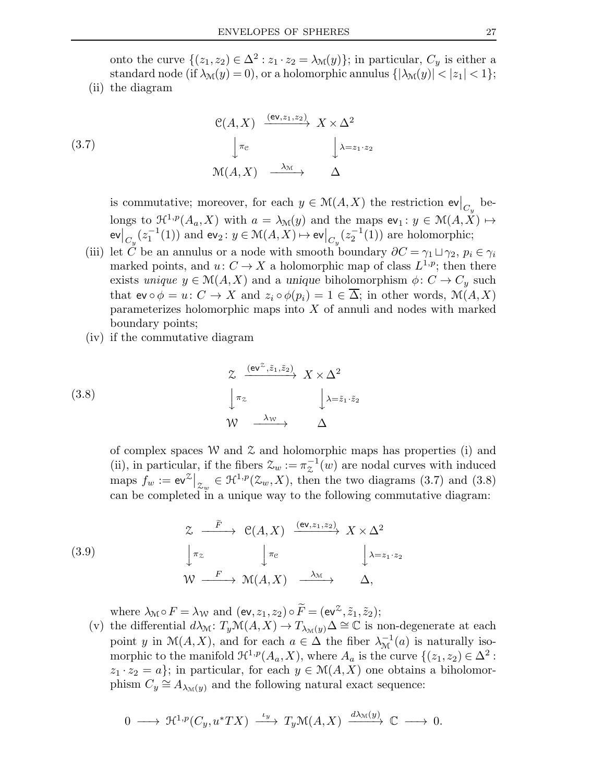onto the curve  $\{(z_1, z_2) \in \Delta^2 : z_1 \cdot z_2 = \lambda_{\mathcal{M}}(y)\};$  in particular,  $C_y$  is either a standard node (if  $\lambda_{\mathcal{M}}(y) = 0$ ), or a holomorphic annulus  $\{|\lambda_{\mathcal{M}}(y)| < |z_1| < 1\};$ 

(ii) the diagram

(3.7)  
\n
$$
\begin{array}{ccc}\n\mathbb{C}(A, X) & \xrightarrow{(\text{ev}, z_1, z_2)} & X \times \Delta^2 \\
\downarrow^{\pi_c} & & \downarrow^{\lambda = z_1 \cdot z_2} \\
\mathbb{M}(A, X) & \xrightarrow{\lambda_{\mathcal{M}}} & \Delta\n\end{array}
$$

is commutative; moreover, for each  $y \in \mathcal{M}(A, X)$  the restriction  $\mathsf{ev}|_{C_y}$  belongs to  $\mathfrak{H}^{1,p}(A_a,X)$  with  $a = \lambda_{\mathcal{M}}(y)$  and the maps  $ev_1 : y \in \mathcal{M}(A,\overline{X}) \mapsto$ ev $\big\vert_{C_y}^{\infty} (z_1^{-1}$  $\binom{-1}{1}$  and  $ev_2: y \in \mathcal{M}(A, X) \mapsto ev \big|_{C_y}(z_2^{-1})$  $2^{-1}(1)$  are holomorphic;

- (iii) let C be an annulus or a node with smooth boundary  $\partial C = \gamma_1 \sqcup \gamma_2$ ,  $p_i \in \gamma_i$ marked points, and  $u: C \to X$  a holomorphic map of class  $L^{1,p}$ ; then there exists unique  $y \in M(A, X)$  and a unique biholomorphism  $\phi: C \to C_y$  such that  $ev \circ \phi = u: C \to X$  and  $z_i \circ \phi(p_i) = 1 \in \overline{\Delta}$ ; in other words,  $\mathcal{M}(A, X)$ parameterizes holomorphic maps into  $X$  of annuli and nodes with marked boundary points;
- (iv) if the commutative diagram

(3.8)  
\n
$$
\begin{array}{ccc}\n & \xrightarrow{\text{(ev}^{\mathcal{Z}}, \tilde{z}_1, \tilde{z}_2)} & X \times \Delta^2 \\
\downarrow^{\pi_{\mathcal{Z}}} & & \downarrow^{\lambda = \tilde{z}_1 \cdot \tilde{z}_2} \\
\mathcal{W} & \xrightarrow{\lambda_{\mathcal{W}}} & & \Delta\n\end{array}
$$

of complex spaces W and  $\mathfrak X$  and holomorphic maps has properties (i) and (ii), in particular, if the fibers  $\mathcal{Z}_w := \pi_{\mathcal{Z}}^{-1}(w)$  are nodal curves with induced maps  $f_w := \mathrm{ev}^{\mathcal{Z}}\big|_{\mathcal{Z}_w} \in \mathcal{H}^{1,p}(\mathcal{Z}_w, X)$ , then the two diagrams (3.7) and (3.8) can be completed in a unique way to the following commutative diagram:

(3.9)  
\n
$$
\begin{array}{cccc}\n & \mathcal{Z} & \xrightarrow{\tilde{F}} & \mathcal{C}(A, X) & \xrightarrow{(\text{ev}, z_1, z_2)} & X \times \Delta^2 \\
 & \downarrow \pi_z & \downarrow \pi_{\mathcal{C}} & & \downarrow \lambda = z_1 \cdot z_2 \\
 & \mathcal{W} & \xrightarrow{F} & \mathcal{M}(A, X) & \xrightarrow{\lambda_{\mathcal{M}}} & \Delta,\n\end{array}
$$

where  $\lambda_{\mathcal{M}} \circ F = \lambda_{\mathcal{W}}$  and  $(\text{ev}, z_1, z_2) \circ \widetilde{F} = (\text{ev}^{\mathcal{Z}}, \widetilde{z}_1, \widetilde{z}_2);$ 

(v) the differential  $d\lambda_{\mathcal{M}}\colon T_y\mathcal{M}(A,X)\to T_{\lambda_{\mathcal{M}}(y)}\Delta\cong \mathbb{C}$  is non-degenerate at each point y in  $\mathcal{M}(A, X)$ , and for each  $a \in \Delta$  the fiber  $\lambda_{\mathcal{M}}^{-1}(a)$  is naturally isomorphic to the manifold  $\mathfrak{H}^{1,p}(A_a,X)$ , where  $A_a$  is the curve  $\{(z_1,z_2)\in\Delta^2:\$  $z_1 \cdot z_2 = a$ ; in particular, for each  $y \in M(A, X)$  one obtains a biholomorphism  $C_y \cong A_{\lambda_M(y)}$  and the following natural exact sequence:

$$
0 \longrightarrow \mathfrak{R}^{1,p}(C_y, u^*TX) \stackrel{\iota_y}{\longrightarrow} T_y\mathfrak{M}(A,X) \stackrel{d\lambda_{\mathfrak{M}}(y)}{\longrightarrow} \mathbb{C} \longrightarrow 0.
$$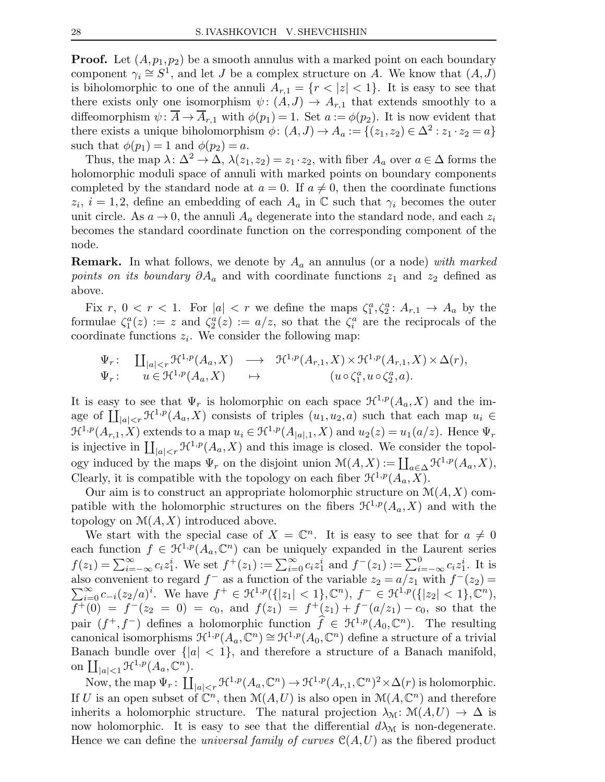**Proof.** Let  $(A, p_1, p_2)$  be a smooth annulus with a marked point on each boundary component  $\gamma_i \cong S^1$ , and let J be a complex structure on A. We know that  $(A, J)$ is biholomorphic to one of the annuli  $A_{r,1} = \{r < |z| < 1\}$ . It is easy to see that there exists only one isomorphism  $\psi: (A, J) \to A_{r,1}$  that extends smoothly to a diffeomorphism  $\psi: \overline{A} \to \overline{A}_{r,1}$  with  $\phi(p_1) = 1$ . Set  $a := \phi(p_2)$ . It is now evident that there exists a unique biholomorphism  $\phi: (A, J) \to A_a := \{(z_1, z_2) \in \Delta^2 : z_1 \cdot z_2 = a\}$ such that  $\phi(p_1) = 1$  and  $\phi(p_2) = a$ .

Thus, the map  $\lambda: \Delta^2 \to \Delta$ ,  $\lambda(z_1, z_2) = z_1 \cdot z_2$ , with fiber  $A_a$  over  $a \in \Delta$  forms the holomorphic moduli space of annuli with marked points on boundary components completed by the standard node at  $a = 0$ . If  $a \neq 0$ , then the coordinate functions  $z_i, i = 1, 2$ , define an embedding of each  $A_a$  in  $\mathbb C$  such that  $\gamma_i$  becomes the outer unit circle. As  $a \to 0$ , the annuli  $A_a$  degenerate into the standard node, and each  $z_i$ becomes the standard coordinate function on the corresponding component of the node.

**Remark.** In what follows, we denote by  $A_a$  an annulus (or a node) with marked *points on its boundary*  $\partial A_a$  and with coordinate functions  $z_1$  and  $z_2$  defined as above.

Fix r,  $0 < r < 1$ . For  $|a| < r$  we define the maps  $\zeta_1^a, \zeta_2^a : A_{r,1} \to A_a$  by the formulae  $\zeta_1^a(z) := z$  and  $\zeta_2^a(z) := a/z$ , so that the  $\zeta_i^a$  are the reciprocals of the coordinate functions  $z_i$ . We consider the following map:

$$
\Psi_r: \quad \underset{u \in \mathcal{H}^{1,p}(A_a, X)}{\coprod_{|a| < r} \mathcal{H}^{1,p}(A_a, X)} \quad \longrightarrow \quad \mathcal{H}^{1,p}(A_{r,1}, X) \times \mathcal{H}^{1,p}(A_{r,1}, X) \times \Delta(r),
$$
\n
$$
\Psi_r: \quad u \in \mathcal{H}^{1,p}(A_a, X) \quad \longrightarrow \quad (u \circ \zeta_1^a, u \circ \zeta_2^a, a).
$$

It is easy to see that  $\Psi_r$  is holomorphic on each space  $\mathcal{H}^{1,p}(A_a,X)$  and the image of  $\prod_{|a|< r} \mathcal{H}^{1,p}(A_a,X)$  consists of triples  $(u_1,u_2,a)$  such that each map  $u_i \in$  $\mathcal{H}^{1,p}(A_{r,1},X)$  extends to a map  $u_i \in \mathcal{H}^{1,p}(A_{|a|,1},X)$  and  $u_2(z) = u_1(a/z)$ . Hence  $\Psi_r$ is injective in  $\prod_{|a|< r} \mathcal{H}^{1,p}(A_a,X)$  and this image is closed. We consider the topology induced by the maps  $\Psi_r$  on the disjoint union  $\mathcal{M}(A, X) := \coprod_{a \in \Delta} \mathcal{H}^{1,p}(A_a, X),$ Clearly, it is compatible with the topology on each fiber  $\mathcal{H}^{1,p}(A_a,X)$ .

Our aim is to construct an appropriate holomorphic structure on  $\mathcal{M}(A, X)$  compatible with the holomorphic structures on the fibers  $\mathcal{H}^{1,p}(A_a,X)$  and with the topology on  $\mathcal{M}(A, X)$  introduced above.

We start with the special case of  $X = \mathbb{C}^n$ . It is easy to see that for  $a \neq 0$ each function  $f \in \mathcal{H}^{1,p}(A_a,\mathbb{C}^n)$  can be uniquely expanded in the Laurent series  $f(z_1) = \sum_{i=-\infty}^{\infty} c_i z_1^i$ . We set  $f^+(z_1) := \sum_{i=0}^{\infty} c_i z_1^i$  and  $f^-(z_1) := \sum_{i=-\infty}^0 c_i z_1^i$ . It is also convenient to regard  $f^-$  as a function of the variable  $z_2 = a/z_1$  with  $f^-(z_2) =$  $\sum_{i=0}^{\infty} c_{-i}(z_2/a)^i$ . We have  $f^+ \in \mathcal{H}^{1,p}(\{|z_1| < 1\}, \mathbb{C}^n)$ ,  $f^- \in \mathcal{H}^{1,p}(\{|z_2| < 1\}, \mathbb{C}^n)$ ,  $f^+(0) = f^-(z_2 = 0) = c_0$ , and  $f(z_1) = f^+(z_1) + f^-(a/z_1) - c_0$ , so that the pair  $(f^+, f^-)$  defines a holomorphic function  $\hat{f} \in \mathcal{H}^{1,p}(A_0, \mathbb{C}^n)$ . The resulting canonical isomorphisms  $\mathfrak{H}^{1,p}(A_a,\mathbb{C}^n) \cong \mathfrak{H}^{1,p}(A_0,\mathbb{C}^n)$  define a structure of a trivial Banach bundle over  $\{|a| < 1\}$ , and therefore a structure of a Banach manifold, on  $\coprod_{|a|<1} \mathfrak{H}^{1,p}(A_a,\mathbb{C}^n)$ .

Now, the map  $\Psi_r: \coprod_{|a|< r} \mathcal{H}^{1,p}(A_a,\mathbb{C}^n) \to \mathcal{H}^{1,p}(A_{r,1},\mathbb{C}^n)^2 \times \Delta(r)$  is holomorphic. If U is an open subset of  $\mathbb{C}^n$ , then  $\mathcal{M}(A, U)$  is also open in  $\mathcal{M}(A, \mathbb{C}^n)$  and therefore inherits a holomorphic structure. The natural projection  $\lambda_{\mathcal{M}}: \mathcal{M}(A,U) \to \Delta$  is now holomorphic. It is easy to see that the differential  $d\lambda_{\mathcal{M}}$  is non-degenerate. Hence we can define the *universal family of curves*  $\mathcal{C}(A, U)$  as the fibered product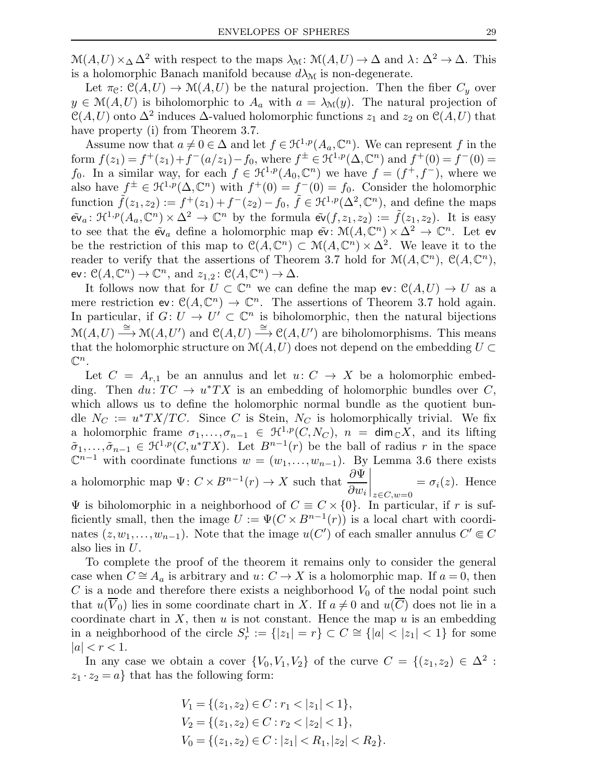$\mathcal{M}(A, U) \times_{\Delta} \Delta^2$  with respect to the maps  $\lambda_{\mathcal{M}} \colon \mathcal{M}(A, U) \to \Delta$  and  $\lambda \colon \Delta^2 \to \Delta$ . This is a holomorphic Banach manifold because  $d\lambda_{\mathcal{M}}$  is non-degenerate.

Let  $\pi_{\mathcal{C}}: \mathcal{C}(A,U) \to \mathcal{M}(A,U)$  be the natural projection. Then the fiber  $C_y$  over  $y \in \mathcal{M}(A, U)$  is biholomorphic to  $A_a$  with  $a = \lambda_{\mathcal{M}}(y)$ . The natural projection of  $\mathcal{C}(A, U)$  onto  $\Delta^2$  induces  $\Delta$ -valued holomorphic functions  $z_1$  and  $z_2$  on  $\mathcal{C}(A, U)$  that have property (i) from Theorem 3.7.

Assume now that  $a \neq 0 \in \Delta$  and let  $f \in \mathcal{H}^{1,p}(A_a, \mathbb{C}^n)$ . We can represent f in the form  $f(z_1) = f^+(z_1) + f^-(a/z_1) - f_0$ , where  $f^{\pm} \in \mathcal{H}^{1,p}(\Delta, \mathbb{C}^n)$  and  $f^+(0) = f^-(0) =$ f<sub>0</sub>. In a similar way, for each  $f \in \mathcal{H}^{1,p}(A_0,\mathbb{C}^n)$  we have  $f = (f^+, f^-)$ , where we also have  $f^{\pm} \in \mathfrak{H}^{1,p}(\Delta,\mathbb{C}^n)$  with  $f^+(0) = f^-(0) = f_0$ . Consider the holomorphic function  $\tilde{f}(z_1, z_2) := f^+(z_1) + f^-(z_2) - f_0$ ,  $\tilde{f} \in \mathfrak{H}^{1,p}(\Delta^2, \mathbb{C}^n)$ , and define the maps  $\widetilde{\mathsf{ev}}_a\colon \mathcal{H}^{1,p}(A_a,\mathbb{C}^n)\times \Delta^2\to \mathbb{C}^n$  by the formula  $\widetilde{\mathsf{ev}}(f,z_1,z_2):=\widetilde{f}(z_1,z_2).$  It is easy to see that the  $\tilde{\mathbf{ev}}_a$  define a holomorphic map  $\tilde{\mathbf{ev}}$ :  $\mathcal{M}(A,\mathbb{C}^n) \times \Delta^2 \to \mathbb{C}^n$ . Let ev be the restriction of this map to  $\mathcal{C}(A,\mathbb{C}^n) \subset \mathcal{M}(A,\mathbb{C}^n) \times \Delta^2$ . We leave it to the reader to verify that the assertions of Theorem 3.7 hold for  $\mathcal{M}(A,\mathbb{C}^n)$ ,  $\mathcal{C}(A,\mathbb{C}^n)$ , ev:  $\mathcal{C}(A, \mathbb{C}^n) \to \mathbb{C}^n$ , and  $z_{1,2}$ :  $\mathcal{C}(A, \mathbb{C}^n) \to \Delta$ .

It follows now that for  $U \subset \mathbb{C}^n$  we can define the map ev:  $\mathcal{C}(A, U) \to U$  as a mere restriction  $ev: C(A, \mathbb{C}^n) \to \mathbb{C}^n$ . The assertions of Theorem 3.7 hold again. In particular, if  $G: U \to U' \subset \mathbb{C}^n$  is biholomorphic, then the natural bijections  $\mathcal{M}(A, U) \stackrel{\cong}{\longrightarrow} \mathcal{M}(A, U')$  and  $\mathcal{C}(A, U) \stackrel{\cong}{\longrightarrow} \mathcal{C}(A, U')$  are biholomorphisms. This means that the holomorphic structure on  $\mathcal{M}(A,U)$  does not depend on the embedding  $U \subset$  $\mathbb{C}^n$ .

Let  $C = A_{r,1}$  be an annulus and let  $u: C \rightarrow X$  be a holomorphic embedding. Then  $du: TC \to u^*TX$  is an embedding of holomorphic bundles over C, which allows us to define the holomorphic normal bundle as the quotient bundle  $N_C := u^*TX/TC$ . Since C is Stein,  $N_C$  is holomorphically trivial. We fix a holomorphic frame  $\sigma_1,\ldots,\sigma_{n-1} \in \mathfrak{H}^{1,p}(C,N_C)$ ,  $n = \dim_{\mathbb{C}} X$ , and its lifting  $\tilde{\sigma}_1,\ldots,\tilde{\sigma}_{n-1} \in \mathfrak{H}^{1,p}(C, u^*TX)$ . Let  $B^{n-1}(r)$  be the ball of radius r in the space  $\mathbb{C}^{n-1}$  with coordinate functions  $w = (w_1, \ldots, w_{n-1})$ . By Lemma 3.6 there exists a holomorphic map  $\Psi: C \times B^{n-1}(r) \to X$  such that  $\frac{\partial \Psi}{\partial r}$  $\partial w_i$  $\Bigg|_{z \in C, w = 0}$  $=\sigma_i(z)$ . Hence

 $\Psi$  is biholomorphic in a neighborhood of  $C \equiv C \times \{0\}$ . In particular, if r is sufficiently small, then the image  $U := \Psi(C \times B^{n-1}(r))$  is a local chart with coordinates  $(z, w_1, \ldots, w_{n-1})$ . Note that the image  $u(C')$  of each smaller annulus  $C' \in C$ also lies in U.

To complete the proof of the theorem it remains only to consider the general case when  $C \cong A_a$  is arbitrary and  $u: C \to X$  is a holomorphic map. If  $a = 0$ , then  $C$  is a node and therefore there exists a neighborhood  $V_0$  of the nodal point such that  $u(\overline{V}_0)$  lies in some coordinate chart in X. If  $a \neq 0$  and  $u(\overline{C})$  does not lie in a coordinate chart in  $X$ , then  $u$  is not constant. Hence the map  $u$  is an embedding in a neighborhood of the circle  $S_r^1 := \{|z_1| = r\} \subset C \cong \{|a| < |z_1| < 1\}$  for some  $|a| < r < 1.$ 

In any case we obtain a cover  $\{V_0, V_1, V_2\}$  of the curve  $C = \{(z_1, z_2) \in \Delta^2 :$  $z_1 \cdot z_2 = a$  that has the following form:

$$
V_1 = \{(z_1, z_2) \in C : r_1 < |z_1| < 1\},
$$
  
\n
$$
V_2 = \{(z_1, z_2) \in C : r_2 < |z_2| < 1\},
$$
  
\n
$$
V_0 = \{(z_1, z_2) \in C : |z_1| < R_1, |z_2| < R_2\}.
$$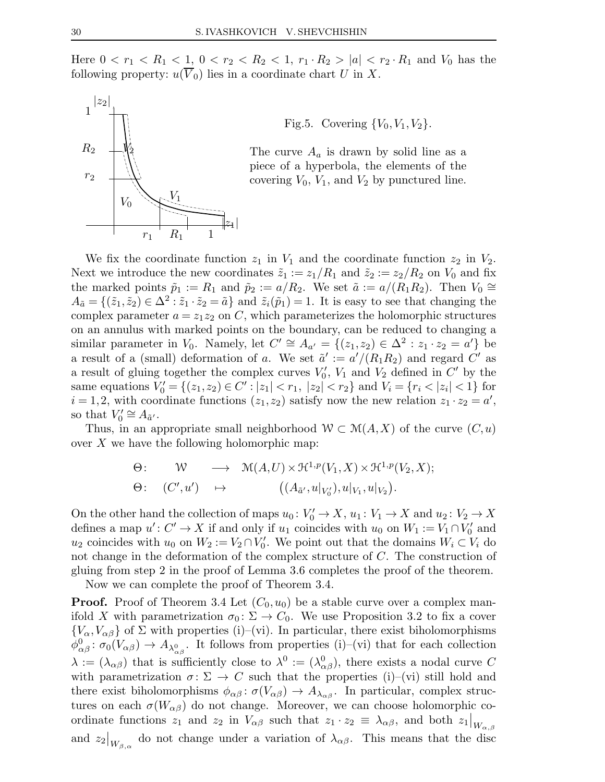Here  $0 < r_1 < R_1 < 1$ ,  $0 < r_2 < R_2 < 1$ ,  $r_1 \cdot R_2 > |a| < r_2 \cdot R_1$  and  $V_0$  has the following property:  $u(\overline{V}_0)$  lies in a coordinate chart U in X.



Fig.5. Covering  $\{V_0, V_1, V_2\}$ .

The curve  $A_a$  is drawn by solid line as a piece of a hyperbola, the elements of the covering  $V_0$ ,  $V_1$ , and  $V_2$  by punctured line.

We fix the coordinate function  $z_1$  in  $V_1$  and the coordinate function  $z_2$  in  $V_2$ . Next we introduce the new coordinates  $\tilde{z}_1 := z_1/R_1$  and  $\tilde{z}_2 := z_2/R_2$  on  $V_0$  and fix the marked points  $\tilde{p}_1 := R_1$  and  $\tilde{p}_2 := a/R_2$ . We set  $\tilde{a} := a/(R_1R_2)$ . Then  $V_0 \cong$  $A_{\tilde{a}} = \{(\tilde{z}_1, \tilde{z}_2) \in \Delta^2 : \tilde{z}_1 \cdot \tilde{z}_2 = \tilde{a}\}\$ and  $\tilde{z}_i(\tilde{p}_1) = 1$ . It is easy to see that changing the complex parameter  $a = z_1 z_2$  on C, which parameterizes the holomorphic structures on an annulus with marked points on the boundary, can be reduced to changing a similar parameter in  $V_0$ . Namely, let  $C' \cong A_{a'} = \{(z_1, z_2) \in \Delta^2 : z_1 \cdot z_2 = a'\}$  be a result of a (small) deformation of a. We set  $\tilde{a}' := a'/(R_1R_2)$  and regard C' as a result of gluing together the complex curves  $V'_0$ ,  $V_1$  and  $V_2$  defined in  $C'$  by the same equations  $V'_0 = \{(z_1, z_2) \in C' : |z_1| < r_1, |z_2| < r_2\}$  and  $V_i = \{r_i < |z_i| < 1\}$  for  $i = 1, 2$ , with coordinate functions  $(z_1, z_2)$  satisfy now the new relation  $z_1 \cdot z_2 = a'$ , so that  $V'_0 \cong A_{\tilde{a}'}$ .

Thus, in an appropriate small neighborhood  $W \subset M(A,X)$  of the curve  $(C, u)$ over  $X$  we have the following holomorphic map:

$$
\Theta: \qquad W \qquad \longrightarrow \quad \mathcal{M}(A,U) \times \mathcal{H}^{1,p}(V_1,X) \times \mathcal{H}^{1,p}(V_2,X);
$$

$$
\Theta: \quad (C',u') \quad \mapsto \qquad ((A_{\tilde{a}'},u|_{V'_0}),u|_{V_1},u|_{V_2}).
$$

On the other hand the collection of maps  $u_0: V'_0 \to X$ ,  $u_1: V_1 \to X$  and  $u_2: V_2 \to X$ defines a map  $u' : C' \to X$  if and only if  $u_1$  coincides with  $u_0$  on  $W_1 := V_1 \cap V'_0$  and  $u_2$  coincides with  $u_0$  on  $W_2 := V_2 \cap V'_0$ . We point out that the domains  $W_i \subset V_i$  do not change in the deformation of the complex structure of C. The construction of gluing from step 2 in the proof of Lemma 3.6 completes the proof of the theorem.

Now we can complete the proof of Theorem 3.4.

**Proof.** Proof of Theorem 3.4 Let  $(C_0, u_0)$  be a stable curve over a complex manifold X with parametrization  $\sigma_0 \colon \Sigma \to C_0$ . We use Proposition 3.2 to fix a cover  ${V_{\alpha}, V_{\alpha\beta}}$  of  $\Sigma$  with properties (i)–(vi). In particular, there exist biholomorphisms  $\phi_{\alpha\beta}^0: \sigma_0(V_{\alpha\beta}) \to A_{\lambda_{\alpha\beta}^0}$ . It follows from properties (i)–(vi) that for each collection  $\lambda := (\lambda_{\alpha\beta})$  that is sufficiently close to  $\lambda^0 := (\lambda_{\alpha\beta}^0)$ , there exists a nodal curve C with parametrization  $\sigma: \Sigma \to C$  such that the properties (i)–(vi) still hold and there exist biholomorphisms  $\phi_{\alpha\beta} : \sigma(V_{\alpha\beta}) \to A_{\lambda_{\alpha\beta}}$ . In particular, complex structures on each  $\sigma(W_{\alpha\beta})$  do not change. Moreover, we can choose holomorphic coordinate functions  $z_1$  and  $z_2$  in  $V_{\alpha\beta}$  such that  $z_1 \cdot z_2 \equiv \lambda_{\alpha\beta}$ , and both  $z_1|_{W_{\alpha,\beta}}$ and  $z_2|_{W_{\beta,\alpha}}$  do not change under a variation of  $\lambda_{\alpha\beta}$ . This means that the disc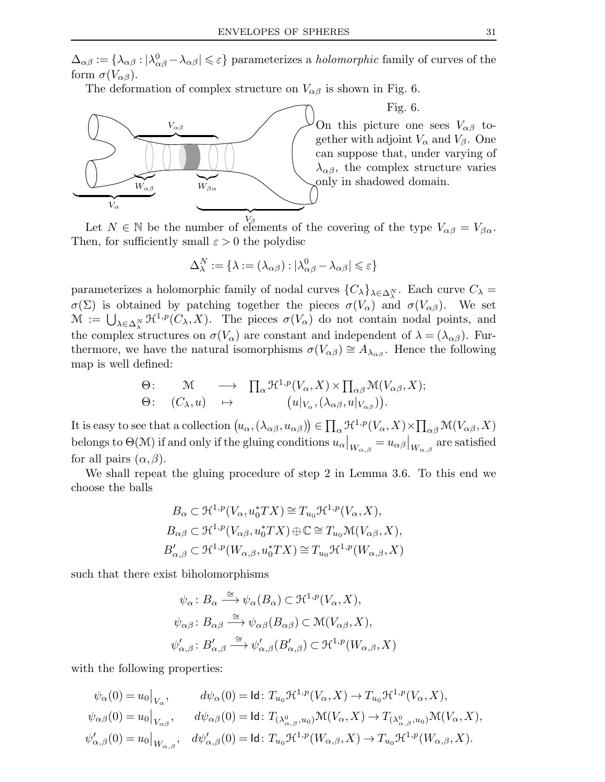$\Delta_{\alpha\beta}:=\{\lambda_{\alpha\beta}:|\lambda_{\alpha\beta}^0-\lambda_{\alpha\beta}|\leqslant\varepsilon\}$  parameterizes a *holomorphic* family of curves of the form  $\sigma(V_{\alpha\beta})$ .

The deformation of complex structure on  $V_{\alpha\beta}$  is shown in Fig. 6.



Fig. 6. On this picture one sees  $V_{\alpha\beta}$  together with adjoint  $V_{\alpha}$  and  $V_{\beta}$ . One can suppose that, under varying of  $\lambda_{\alpha\beta}$ , the complex structure varies only in shadowed domain.

Let  $N \in \mathbb{N}$  be the number of elements of the covering of the type  $V_{\alpha\beta} = V_{\beta\alpha}$ . Then, for sufficiently small  $\varepsilon > 0$  the polydisc

$$
\Delta_\lambda^N := \{ \lambda := (\lambda_{\alpha\beta}) : |\lambda_{\alpha\beta}^0 - \lambda_{\alpha\beta}| \leqslant \varepsilon \}
$$

parameterizes a holomorphic family of nodal curves  ${C_{\lambda}}_{\lambda \in \Delta_{\lambda}^{N}}$ . Each curve  $C_{\lambda}$  =  $\sigma(\Sigma)$  is obtained by patching together the pieces  $\sigma(V_{\alpha})$  and  $\sigma(V_{\alpha\beta})$ . We set  $\mathcal{M} := \bigcup_{\lambda \in \Delta_N^N} \mathcal{H}^{1,p}(C_\lambda,X)$ . The pieces  $\sigma(V_\alpha)$  do not contain nodal points, and the complex structures on  $\sigma(V_\alpha)$  are constant and independent of  $\lambda = (\lambda_{\alpha\beta})$ . Furthermore, we have the natural isomorphisms  $\sigma(V_{\alpha\beta}) \cong A_{\lambda_{\alpha\beta}}$ . Hence the following map is well defined:

$$
\Theta: \qquad \mathcal{M} \qquad \longrightarrow \quad \prod_{\alpha} \mathfrak{H}^{1,p}(V_{\alpha}, X) \times \prod_{\alpha \beta} \mathfrak{M}(V_{\alpha \beta}, X);
$$

$$
\Theta: \quad (C_{\lambda}, u) \quad \mapsto \qquad \big( u|_{V_{\alpha}}, (\lambda_{\alpha \beta}, u|_{V_{\alpha \beta}}) \big).
$$

It is easy to see that a collection  $(u_{\alpha},(\lambda_{\alpha\beta},u_{\alpha\beta}))\in\prod_{\alpha}\mathfrak{H}^{1,p}(V_{\alpha},X)\times\prod_{\alpha\beta}\mathfrak{M}(V_{\alpha\beta},X)$ belongs to  $\Theta(\mathcal{M})$  if and only if the gluing conditions  $u_{\alpha}|_{W_{\alpha,\beta}} = u_{\alpha\beta}|_{W_{\alpha,\beta}}$  are satisfied for all pairs  $(\alpha, \beta)$ .

We shall repeat the gluing procedure of step 2 in Lemma 3.6. To this end we choose the balls

$$
B_{\alpha} \subset \mathfrak{H}^{1,p}(V_{\alpha}, u_0^* TX) \cong T_{u_0} \mathfrak{H}^{1,p}(V_{\alpha}, X),
$$
  
\n
$$
B_{\alpha\beta} \subset \mathfrak{H}^{1,p}(V_{\alpha\beta}, u_0^* TX) \oplus \mathbb{C} \cong T_{u_0} \mathfrak{M}(V_{\alpha\beta}, X),
$$
  
\n
$$
B'_{\alpha,\beta} \subset \mathfrak{H}^{1,p}(W_{\alpha,\beta}, u_0^* TX) \cong T_{u_0} \mathfrak{H}^{1,p}(W_{\alpha,\beta}, X)
$$

such that there exist biholomorphisms

$$
\psi_{\alpha} : B_{\alpha} \xrightarrow{\cong} \psi_{\alpha}(B_{\alpha}) \subset \mathfrak{H}^{1,p}(V_{\alpha}, X),
$$
  

$$
\psi_{\alpha\beta} : B_{\alpha\beta} \xrightarrow{\cong} \psi_{\alpha\beta}(B_{\alpha\beta}) \subset \mathfrak{M}(V_{\alpha\beta}, X),
$$
  

$$
\psi'_{\alpha,\beta} : B'_{\alpha,\beta} \xrightarrow{\cong} \psi'_{\alpha,\beta}(B'_{\alpha,\beta}) \subset \mathfrak{H}^{1,p}(W_{\alpha,\beta}, X)
$$

with the following properties:

$$
\psi_{\alpha}(0) = u_0|_{V_{\alpha}}, \qquad d\psi_{\alpha}(0) = \text{Id}: T_{u_0} \mathcal{H}^{1,p}(V_{\alpha}, X) \to T_{u_0} \mathcal{H}^{1,p}(V_{\alpha}, X),
$$
  

$$
\psi_{\alpha\beta}(0) = u_0|_{V_{\alpha\beta}}, \qquad d\psi_{\alpha\beta}(0) = \text{Id}: T_{(\lambda^0_{\alpha,\beta}, u_0)} \mathcal{M}(V_{\alpha}, X) \to T_{(\lambda^0_{\alpha,\beta}, u_0)} \mathcal{M}(V_{\alpha}, X),
$$
  

$$
\psi'_{\alpha,\beta}(0) = u_0|_{W_{\alpha,\beta}}, \quad d\psi'_{\alpha,\beta}(0) = \text{Id}: T_{u_0} \mathcal{H}^{1,p}(W_{\alpha,\beta}, X) \to T_{u_0} \mathcal{H}^{1,p}(W_{\alpha,\beta}, X).
$$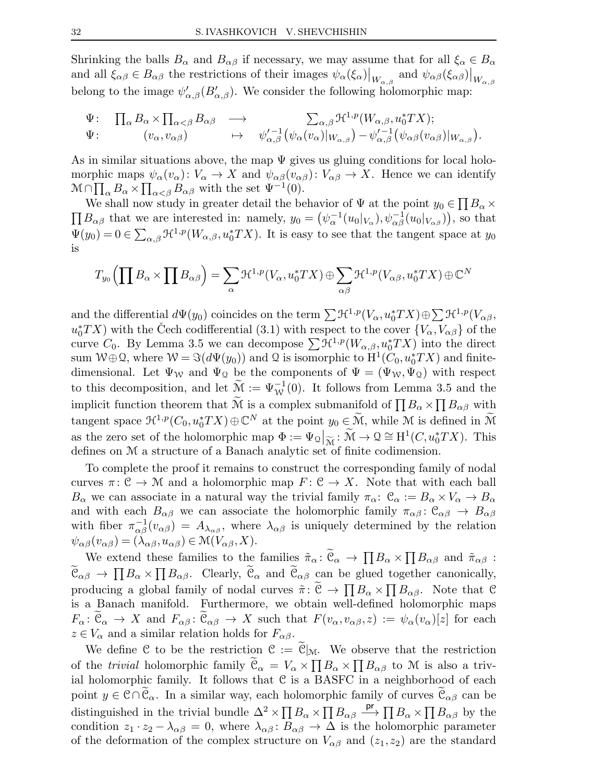Shrinking the balls  $B_{\alpha}$  and  $B_{\alpha\beta}$  if necessary, we may assume that for all  $\xi_{\alpha} \in B_{\alpha}$ and all  $\xi_{\alpha\beta} \in B_{\alpha\beta}$  the restrictions of their images  $\psi_{\alpha}(\xi_{\alpha})|_{W_{\alpha,\beta}}$  and  $\psi_{\alpha\beta}(\xi_{\alpha\beta})|_{W_{\alpha,\beta}}$ belong to the image  $\psi'_{\alpha,\beta}(B'_{\alpha,\beta})$ . We consider the following holomorphic map:

$$
\Psi\colon\quad \Pi_{\alpha}B_{\alpha}\times \Pi_{\alpha<\beta}B_{\alpha\beta}\quad\longrightarrow\quad \sum_{\alpha,\beta}\mathcal{H}^{1,p}(W_{\alpha,\beta},u_0^*TX);\\ \Psi\colon\quad \begin{array}{ccc} (v_{\alpha},v_{\alpha\beta}) & \mapsto& \psi_{\alpha,\beta}'^{-1}(\psi_{\alpha}(v_{\alpha})|_{W_{\alpha,\beta}})-\psi_{\alpha,\beta}'^{-1}(\psi_{\alpha\beta}(v_{\alpha\beta})|_{W_{\alpha,\beta}}). \end{array}
$$

As in similar situations above, the map  $\Psi$  gives us gluing conditions for local holomorphic maps  $\psi_{\alpha}(v_{\alpha})$ :  $V_{\alpha} \to X$  and  $\psi_{\alpha\beta}(v_{\alpha\beta})$ :  $V_{\alpha\beta} \to X$ . Hence we can identify  $\mathcal{M} \cap \prod_{\alpha} B_{\alpha} \times \prod_{\alpha \leq \beta} B_{\alpha}$  with the set  $\Psi^{-1}(0)$ .

We shall now study in greater detail the behavior of  $\Psi$  at the point  $y_0 \in \prod B_\alpha \times$  $\prod B_{\alpha\beta}$  that we are interested in: namely,  $y_0 = (\psi_\alpha^{-1}(u_0|_{V_\alpha}), \psi_\alpha^{-1}(u_0|_{V_{\alpha\beta}}))$ , so that  $\Psi(y_0) = 0 \in \sum_{\alpha,\beta} \mathfrak{H}^{1,p}(W_{\alpha,\beta}, u_0^* TX)$ . It is easy to see that the tangent space at  $y_0$ is

$$
T_{y_0}\left(\prod B_\alpha\times\prod B_{\alpha\beta}\right)=\sum_\alpha\mathcal{H}^{1,p}(V_\alpha,u_0^*TX)\oplus\sum_{\alpha\beta}\mathcal{H}^{1,p}(V_{\alpha\beta},u_0^*TX)\oplus\mathbb{C}^N
$$

and the differential  $d\Psi(y_0)$  coincides on the term  $\sum \mathfrak{H}^{1,p}(V_\alpha, u_0^*TX) \oplus \sum \mathfrak{H}^{1,p}(V_{\alpha\beta},$  $u_0^*TX$ ) with the Čech codifferential (3.1) with respect to the cover  ${V_\alpha, V_{\alpha\beta}}$  of the curve  $C_0$ . By Lemma 3.5 we can decompose  $\sum \mathcal{H}^{1,p}(W_{\alpha,\beta}, u_0^*TX)$  into the direct sum  $W \oplus \mathcal{Q}$ , where  $W = \Im(d\Psi(y_0))$  and  $\mathcal{Q}$  is isomorphic to  $H^1(C_0, u_0^* TX)$  and finitedimensional. Let  $\Psi_W$  and  $\Psi_Q$  be the components of  $\Psi = (\Psi_W, \Psi_Q)$  with respect to this decomposition, and let  $\widetilde{\mathcal{M}} := \Psi^{-1}_{\mathcal{W}}(0)$ . It follows from Lemma 3.5 and the implicit function theorem that  $\widetilde{M}$  is a complex submanifold of  $\prod B_{\alpha} \times \prod B_{\alpha\beta}$  with tangent space  $\mathcal{H}^{1,p}(C_0, u_0^*TX) \oplus \mathbb{C}^N$  at the point  $y_0 \in \widetilde{\mathcal{M}}$ , while M is defined in  $\widetilde{\mathcal{M}}$ as the zero set of the holomorphic map  $\Phi := \Psi_{\mathcal{Q}}|_{\widetilde{\mathcal{M}}} : \widetilde{\mathcal{M}} \to \mathcal{Q} \cong H^1(C, u_0^* TX)$ . This defines on M a structure of a Banach analytic set of finite codimension.

To complete the proof it remains to construct the corresponding family of nodal curves  $\pi: \mathcal{C} \to \mathcal{M}$  and a holomorphic map  $F: \mathcal{C} \to X$ . Note that with each ball  $B_{\alpha}$  we can associate in a natural way the trivial family  $\pi_{\alpha}$ :  $\mathcal{C}_{\alpha} := B_{\alpha} \times V_{\alpha} \to B_{\alpha}$ and with each  $B_{\alpha\beta}$  we can associate the holomorphic family  $\pi_{\alpha\beta}$ :  $\mathcal{C}_{\alpha\beta} \to B_{\alpha\beta}$ with fiber  $\pi_{\alpha\beta}^{-1}(v_{\alpha\beta}) = A_{\lambda_{\alpha\beta}}$ , where  $\lambda_{\alpha\beta}$  is uniquely determined by the relation  $\psi_{\alpha\beta}(v_{\alpha\beta}) = (\lambda_{\alpha\beta}, u_{\alpha\beta}) \in \mathcal{M}(V_{\alpha\beta}, X).$ 

We extend these families to the families  $\tilde{\pi}_{\alpha} : \tilde{\mathfrak{C}}_{\alpha} \to \prod B_{\alpha} \times \prod B_{\alpha\beta}$  and  $\tilde{\pi}_{\alpha\beta}$ :  $\tilde{\mathfrak{C}}_{\alpha\beta} \to \prod B_{\alpha} \times \prod B_{\alpha\beta}$ . Clearly,  $\tilde{\mathfrak{C}}_{\alpha}$  and  $\tilde{\mathfrak{C}}_{\alpha\beta}$  can be glued together canonically, producing a global family of nodal curves  $\tilde{\pi} \colon \tilde{\mathcal{C}} \to \prod B_{\alpha} \times \prod B_{\alpha\beta}$ . Note that C is a Banach manifold. Furthermore, we obtain well-defined holomorphic maps  $F_{\alpha} \colon \mathcal{C}_{\alpha} \to X$  and  $F_{\alpha\beta} \colon \mathcal{C}_{\alpha\beta} \to X$  such that  $F(v_{\alpha}, v_{\alpha\beta}, z) := \psi_{\alpha}(v_{\alpha})[z]$  for each  $z \in V_\alpha$  and a similar relation holds for  $F_{\alpha\beta}$ .

We define C to be the restriction  $C := \widetilde{C}|_{\mathcal{M}}$ . We observe that the restriction of the *trivial* holomorphic family  $\tilde{\mathcal{C}}_{\alpha} = V_{\alpha} \times \prod B_{\alpha} \times \prod B_{\alpha\beta}$  to M is also a trivial holomorphic family. It follows that  $C$  is a BASFC in a neighborhood of each point  $y \in \mathcal{C} \cap \mathcal{C}_{\alpha}$ . In a similar way, each holomorphic family of curves  $\mathcal{C}_{\alpha\beta}$  can be distinguished in the trivial bundle  $\Delta^2 \times \prod B_\alpha \times \prod B_{\alpha\beta} \stackrel{pr}{\longrightarrow} \prod B_\alpha \times \prod B_{\alpha\beta}$  by the condition  $z_1 \cdot z_2 - \lambda_{\alpha\beta} = 0$ , where  $\lambda_{\alpha\beta} : B_{\alpha\beta} \to \Delta$  is the holomorphic parameter of the deformation of the complex structure on  $V_{\alpha\beta}$  and  $(z_1,z_2)$  are the standard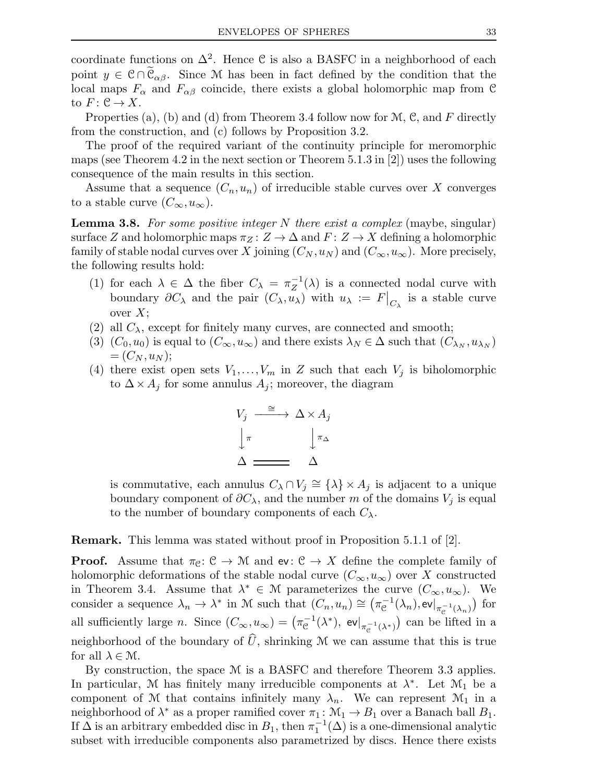coordinate functions on  $\Delta^2$ . Hence C is also a BASFC in a neighborhood of each point  $y \in \mathcal{C} \cap \mathcal{C}_{\alpha\beta}$ . Since M has been in fact defined by the condition that the local maps  $F_{\alpha}$  and  $F_{\alpha\beta}$  coincide, there exists a global holomorphic map from C to  $F: \mathfrak{C} \to X$ .

Properties (a), (b) and (d) from Theorem 3.4 follow now for  $\mathcal{M}$ , C, and F directly from the construction, and (c) follows by Proposition 3.2.

The proof of the required variant of the continuity principle for meromorphic maps (see Theorem 4.2 in the next section or Theorem 5.1.3 in [2]) uses the following consequence of the main results in this section.

Assume that a sequence  $(C_n, u_n)$  of irreducible stable curves over X converges to a stable curve  $(C_{\infty}, u_{\infty})$ .

**Lemma 3.8.** For some positive integer N there exist a complex (maybe, singular) surface Z and holomorphic maps  $\pi_Z : Z \to \Delta$  and  $F : Z \to X$  defining a holomorphic family of stable nodal curves over X joining  $(C_N, u_N)$  and  $(C_\infty, u_\infty)$ . More precisely, the following results hold:

- (1) for each  $\lambda \in \Delta$  the fiber  $C_{\lambda} = \pi_Z^{-1}$  $Z^{-1}(\lambda)$  is a connected nodal curve with boundary  $\partial C_\lambda$  and the pair  $(C_\lambda, u_\lambda)$  with  $u_\lambda := F|_{C_\lambda}$  is a stable curve over  $X$ ;
- (2) all  $C_{\lambda}$ , except for finitely many curves, are connected and smooth;
- (3)  $(C_0, u_0)$  is equal to  $(C_{\infty}, u_{\infty})$  and there exists  $\lambda_N \in \Delta$  such that  $(C_{\lambda_N}, u_{\lambda_N})$  $=(C_N, u_N);$
- (4) there exist open sets  $V_1, \ldots, V_m$  in Z such that each  $V_j$  is biholomorphic to  $\Delta \times A_j$  for some annulus  $A_j$ ; moreover, the diagram

$$
V_j \xrightarrow{\cong} \Delta \times A_j
$$

$$
\downarrow \pi \qquad \qquad \downarrow \pi_\Delta
$$

$$
\Delta \xrightarrow{\qquad \qquad } \Delta
$$

is commutative, each annulus  $C_{\lambda} \cap V_j \cong {\{\lambda\}} \times A_j$  is adjacent to a unique boundary component of  $\partial C_\lambda$ , and the number m of the domains  $V_j$  is equal to the number of boundary components of each  $C_{\lambda}$ .

Remark. This lemma was stated without proof in Proposition 5.1.1 of [2].

**Proof.** Assume that  $\pi_{\mathcal{C}}: \mathcal{C} \to \mathcal{M}$  and  $ev: \mathcal{C} \to X$  define the complete family of holomorphic deformations of the stable nodal curve  $(C_{\infty}, u_{\infty})$  over X constructed in Theorem 3.4. Assume that  $\lambda^* \in \mathcal{M}$  parameterizes the curve  $(C_{\infty}, u_{\infty})$ . We consider a sequence  $\lambda_n \to \lambda^*$  in M such that  $(C_n, u_n) \cong (\pi_{\mathcal{C}}^{-1}(\lambda_n), \text{ev}|_{\pi_{\mathcal{C}}^{-1}(\lambda_n)})$  for all sufficiently large *n*. Since  $(C_{\infty}, u_{\infty}) = (\pi_{\mathcal{C}}^{-1}(\lambda^*), \text{ ev}|_{\pi_{\mathcal{C}}^{-1}(\lambda^*)})$  can be lifted in a neighborhood of the boundary of  $\hat{U}$ , shrinking M we can assume that this is true for all  $\lambda \in \mathcal{M}$ .

By construction, the space M is a BASFC and therefore Theorem 3.3 applies. In particular, M has finitely many irreducible components at  $\lambda^*$ . Let  $\mathcal{M}_1$  be a component of M that contains infinitely many  $\lambda_n$ . We can represent  $\mathcal{M}_1$  in a neighborhood of  $\lambda^*$  as a proper ramified cover  $\pi_1 \colon \mathcal{M}_1 \to B_1$  over a Banach ball  $B_1$ . If  $\Delta$  is an arbitrary embedded disc in  $B_1$ , then  $\pi_1^{-1}$  $_1^{-1}(\Delta)$  is a one-dimensional analytic subset with irreducible components also parametrized by discs. Hence there exists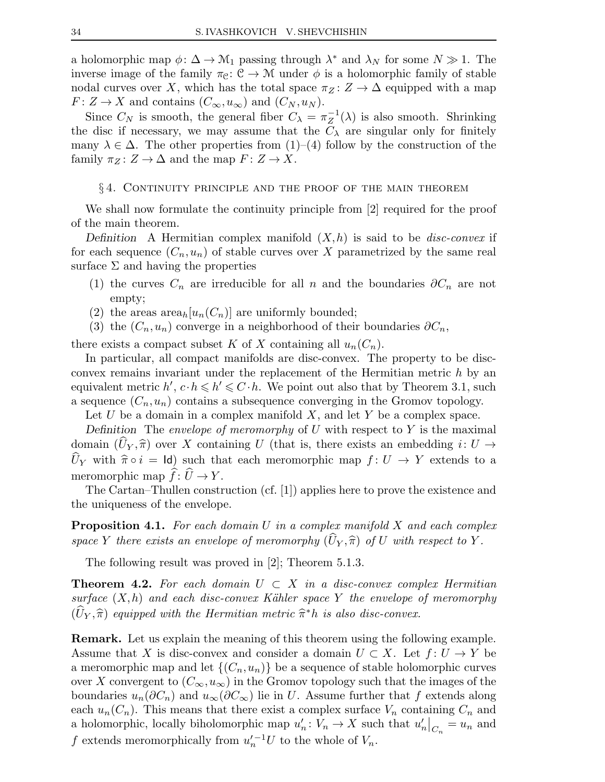a holomorphic map  $\phi: \Delta \to \mathcal{M}_1$  passing through  $\lambda^*$  and  $\lambda_N$  for some  $N \gg 1$ . The inverse image of the family  $\pi_{\mathcal{C}}: \mathcal{C} \to \mathcal{M}$  under  $\phi$  is a holomorphic family of stable nodal curves over X, which has the total space  $\pi_Z : Z \to \Delta$  equipped with a map  $F: Z \to X$  and contains  $(C_{\infty}, u_{\infty})$  and  $(C_N, u_N)$ .

Since  $C_N$  is smooth, the general fiber  $C_\lambda = \pi_Z^{-1}$  $Z^{-1}(\lambda)$  is also smooth. Shrinking the disc if necessary, we may assume that the  $C_{\lambda}$  are singular only for finitely many  $\lambda \in \Delta$ . The other properties from (1)–(4) follow by the construction of the family  $\pi_Z \colon Z \to \Delta$  and the map  $F \colon Z \to X$ .

#### § 4. Continuity principle and the proof of the main theorem

We shall now formulate the continuity principle from [2] required for the proof of the main theorem.

Definition A Hermitian complex manifold  $(X,h)$  is said to be *disc-convex* if for each sequence  $(C_n, u_n)$  of stable curves over X parametrized by the same real surface  $\Sigma$  and having the properties

- (1) the curves  $C_n$  are irreducible for all n and the boundaries  $\partial C_n$  are not empty;
- (2) the areas  $\text{area}_h[u_n(C_n)]$  are uniformly bounded;
- (3) the  $(C_n, u_n)$  converge in a neighborhood of their boundaries  $\partial C_n$ ,

there exists a compact subset K of X containing all  $u_n(C_n)$ .

In particular, all compact manifolds are disc-convex. The property to be discconvex remains invariant under the replacement of the Hermitian metric h by an equivalent metric  $h', c \cdot h \leq h' \leq C \cdot h$ . We point out also that by Theorem 3.1, such a sequence  $(C_n, u_n)$  contains a subsequence converging in the Gromov topology.

Let  $U$  be a domain in a complex manifold  $X$ , and let  $Y$  be a complex space.

Definition The envelope of meromorphy of U with respect to Y is the maximal domain  $(\tilde{U}_Y, \hat{\pi})$  over X containing U (that is, there exists an embedding  $i: U \rightarrow$  $\widehat{U}_Y$  with  $\widehat{\pi} \circ i = \text{Id}$  such that each meromorphic map  $f : U \to Y$  extends to a meromorphic map  $f: U \to Y$ .

The Cartan–Thullen construction (cf. [1]) applies here to prove the existence and the uniqueness of the envelope.

**Proposition 4.1.** For each domain U in a complex manifold X and each complex space Y there exists an envelope of meromorphy  $(U_Y, \hat{\pi})$  of U with respect to Y.

The following result was proved in [2]; Theorem 5.1.3.

**Theorem 4.2.** For each domain  $U \subset X$  in a disc-convex complex Hermitian surface  $(X,h)$  and each disc-convex Kähler space Y the envelope of meromorphy  $(\hat{U}_Y, \hat{\pi})$  equipped with the Hermitian metric  $\hat{\pi}^*h$  is also disc-convex.

Remark. Let us explain the meaning of this theorem using the following example. Assume that X is disc-convex and consider a domain  $U \subset X$ . Let  $f: U \to Y$  be a meromorphic map and let  $\{(C_n, u_n)\}\)$  be a sequence of stable holomorphic curves over X convergent to  $(C_{\infty}, u_{\infty})$  in the Gromov topology such that the images of the boundaries  $u_n(\partial C_n)$  and  $u_\infty(\partial C_\infty)$  lie in U. Assume further that f extends along each  $u_n(C_n)$ . This means that there exist a complex surface  $V_n$  containing  $C_n$  and a holomorphic, locally biholomorphic map  $u'_n: V_n \to X$  such that  $u'_n|_{C_n} = u_n$  and f extends meromorphically from  $u_n'^{-1}U$  to the whole of  $V_n$ .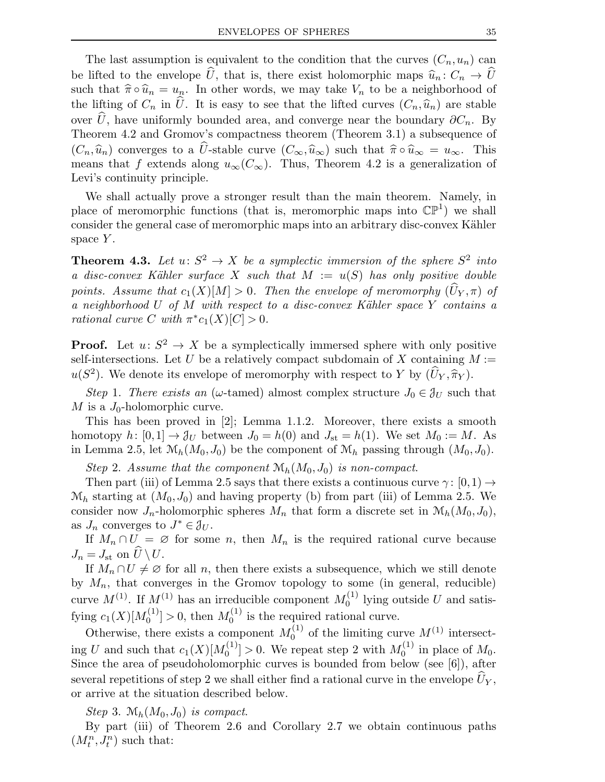The last assumption is equivalent to the condition that the curves  $(C_n, u_n)$  can be lifted to the envelope  $\hat{U}$ , that is, there exist holomorphic maps  $\hat{u}_n : C_n \to \hat{U}$ such that  $\hat{\pi} \circ \hat{u}_n = u_n$ . In other words, we may take  $V_n$  to be a neighborhood of the lifting of  $C_n$  in  $\widehat{U}$ . It is easy to see that the lifted curves  $(C_n,\widehat{u}_n)$  are stable over  $\hat{U}$ , have uniformly bounded area, and converge near the boundary  $\partial C_n$ . By Theorem 4.2 and Gromov's compactness theorem (Theorem 3.1) a subsequence of  $(C_n,\hat{u}_n)$  converges to a  $\hat{U}$ -stable curve  $(C_{\infty},\hat{u}_{\infty})$  such that  $\hat{\pi}\circ \hat{u}_{\infty} = u_{\infty}$ . This means that f extends along  $u_{\infty}(C_{\infty})$ . Thus, Theorem 4.2 is a generalization of Levi's continuity principle.

We shall actually prove a stronger result than the main theorem. Namely, in place of meromorphic functions (that is, meromorphic maps into  $\mathbb{CP}^1$ ) we shall consider the general case of meromorphic maps into an arbitrary disc-convex Kähler space  $Y$ .

**Theorem 4.3.** Let  $u: S^2 \to X$  be a symplectic immersion of the sphere  $S^2$  into a disc-convex Kähler surface X such that  $M := u(S)$  has only positive double points. Assume that  $c_1(X)[M] > 0$ . Then the envelope of meromorphy  $(\hat{U}_Y, \pi)$  of a neighborhood U of M with respect to a disc-convex Kähler space  $\overline{Y}$  contains a rational curve C with  $\pi^* c_1(X)[C] > 0$ .

**Proof.** Let  $u: S^2 \to X$  be a symplectically immersed sphere with only positive self-intersections. Let U be a relatively compact subdomain of X containing  $M :=$  $u(S^2)$ . We denote its envelope of meromorphy with respect to Y by  $(\hat{U}_Y, \hat{\pi}_Y)$ .

Step 1. There exists an ( $\omega$ -tamed) almost complex structure  $J_0 \in \mathcal{J}_U$  such that M is a  $J_0$ -holomorphic curve.

This has been proved in [2]; Lemma 1.1.2. Moreover, there exists a smooth homotopy  $h: [0,1] \to \mathcal{J}_U$  between  $J_0 = h(0)$  and  $J_{st} = h(1)$ . We set  $M_0 := M$ . As in Lemma 2.5, let  $\mathcal{M}_h(M_0, J_0)$  be the component of  $\mathcal{M}_h$  passing through  $(M_0, J_0)$ .

Step 2. Assume that the component  $\mathcal{M}_h(M_0, J_0)$  is non-compact.

Then part (iii) of Lemma 2.5 says that there exists a continuous curve  $\gamma: [0,1) \rightarrow$  $\mathcal{M}_h$  starting at  $(M_0, J_0)$  and having property (b) from part (iii) of Lemma 2.5. We consider now  $J_n$ -holomorphic spheres  $M_n$  that form a discrete set in  $\mathcal{M}_h(M_0, J_0)$ , as  $J_n$  converges to  $J^* \in \mathcal{J}_U$ .

If  $M_n \cap U = \emptyset$  for some n, then  $M_n$  is the required rational curve because  $J_n = J_{\rm st}$  on  $U \setminus U$ .

If  $M_n \cap U \neq \emptyset$  for all n, then there exists a subsequence, which we still denote by  $M_n$ , that converges in the Gromov topology to some (in general, reducible) curve  $M^{(1)}$ . If  $M^{(1)}$  has an irreducible component  $M_0^{(1)}$  $\binom{1}{0}$  lying outside U and satisfying  $c_1(X)[M_0^{(1)}]$  $\binom{1}{0} > 0$ , then  $M_0^{(1)}$  $\int_0^{(1)}$  is the required rational curve.

Otherwise, there exists a component  $M_0^{(1)}$  $_{0}^{(1)}$  of the limiting curve  $M^{(1)}$  intersecting U and such that  $c_1(X)[M_0^{(1)}]$  $\binom{1}{0}$  > 0. We repeat step 2 with  $M_0^{(1)}$  $\int_0^{(1)}$  in place of  $M_0$ . Since the area of pseudoholomorphic curves is bounded from below (see [6]), after several repetitions of step 2 we shall either find a rational curve in the envelope  $U_Y$ , or arrive at the situation described below.

Step 3.  $\mathcal{M}_h(M_0, J_0)$  is compact.

By part (iii) of Theorem 2.6 and Corollary 2.7 we obtain continuous paths  $\left(M_t^n,J_t^n\right)$  such that: